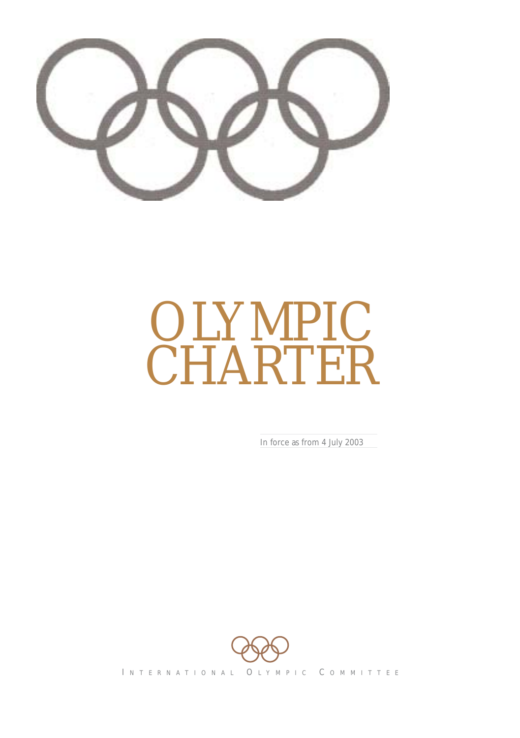

# **OLYMPIC** CHARTER

In force as from 4 July 2003

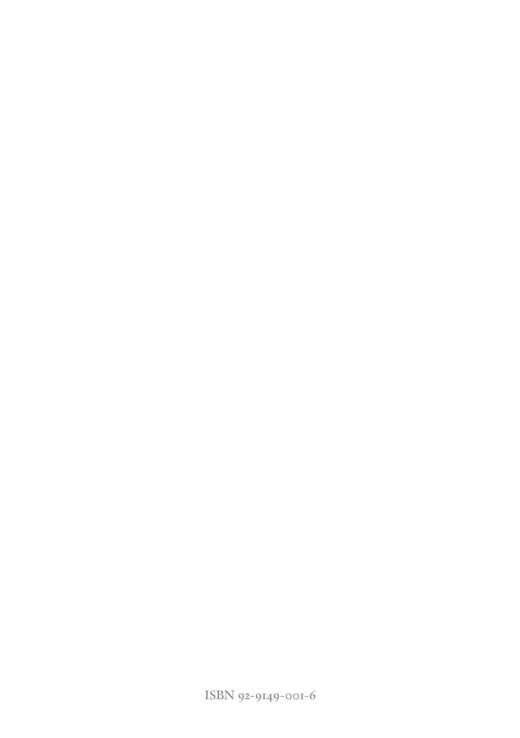ISBN 92-9149-001-6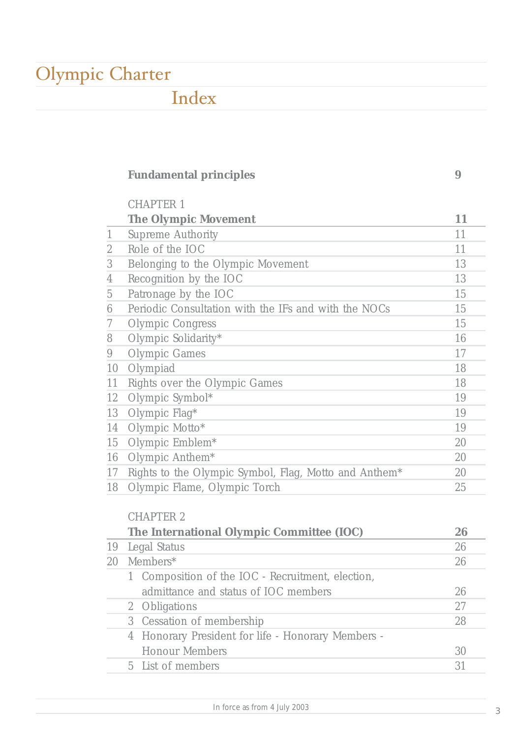# Olympic Charter

# Index

## **Fundamental principles 9**

|                           | <b>CHAPTER 1</b>                                      |    |
|---------------------------|-------------------------------------------------------|----|
|                           | <b>The Olympic Movement</b>                           | 11 |
| $\mathbf{1}$              | Supreme Authority                                     | 11 |
| $\boldsymbol{2}$          | Role of the IOC                                       | 11 |
| $\boldsymbol{\mathrm{3}}$ | Belonging to the Olympic Movement                     | 13 |
| 4                         | Recognition by the IOC                                | 13 |
| 5                         | Patronage by the IOC                                  | 15 |
| 6                         | Periodic Consultation with the IFs and with the NOCs  | 15 |
| $\,7$                     | Olympic Congress                                      | 15 |
| $\frac{8}{1}$             | Olympic Solidarity*                                   | 16 |
| 9                         | Olympic Games                                         | 17 |
| 10                        | Olympiad                                              | 18 |
| 11                        | Rights over the Olympic Games                         | 18 |
| 12                        | Olympic Symbol*                                       | 19 |
| 13                        | Olympic Flag*                                         | 19 |
| 14                        | Olympic Motto*                                        | 19 |
| 15                        | Olympic Emblem*                                       | 20 |
| 16                        | Olympic Anthem <sup>*</sup>                           | 20 |
| 17                        | Rights to the Olympic Symbol, Flag, Motto and Anthem* | 20 |
| 18                        | Olympic Flame, Olympic Torch                          | 25 |

#### CHAPTER 2

|    | The International Olympic Committee (IOC)          | 26 |
|----|----------------------------------------------------|----|
| 19 | Legal Status                                       | 26 |
| 20 | Members*                                           | 26 |
|    | 1 Composition of the IOC - Recruitment, election,  |    |
|    | admittance and status of IOC members               | 26 |
|    | 2 Obligations                                      | 27 |
|    | 3 Cessation of membership                          | 28 |
|    | 4 Honorary President for life - Honorary Members - |    |
|    | Honour Members                                     | 30 |
|    | 5 List of members                                  | 31 |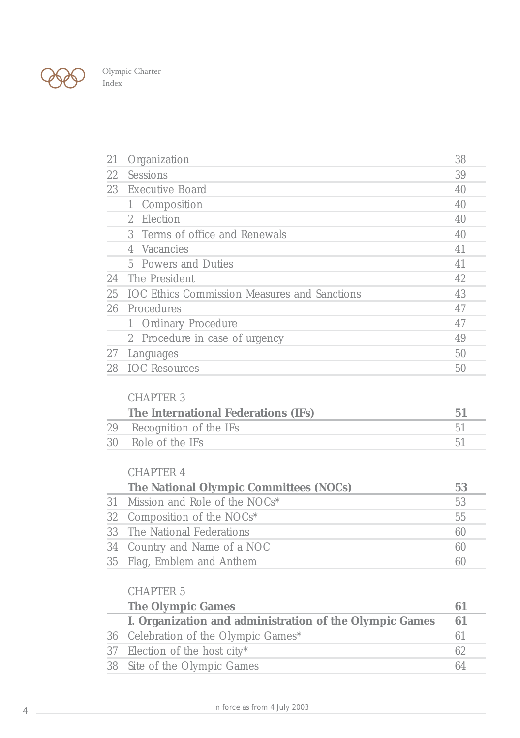

| 21 | Organization                                 | 38 |
|----|----------------------------------------------|----|
| 22 | Sessions                                     | 39 |
| 23 | <b>Executive Board</b>                       | 40 |
|    | 1 Composition                                | 40 |
|    | Election<br>2                                | 40 |
|    | 3 Terms of office and Renewals               | 40 |
|    | 4 Vacancies                                  | 41 |
|    | 5 Powers and Duties                          | 41 |
| 24 | The President                                | 42 |
| 25 | TOC Ethics Commission Measures and Sanctions | 43 |
| 26 | Procedures                                   | 47 |
|    | <b>Ordinary Procedure</b>                    | 47 |
|    | 2 Procedure in case of urgency               | 49 |
| 27 | Languages                                    | 50 |
| 28 | <b>IOC</b> Resources                         | 50 |
|    |                                              |    |

#### CHAPTER 3

| The International Federations (IFs) | -51 |
|-------------------------------------|-----|
| 29 Recognition of the IFs           |     |
| 30 Role of the IFs                  |     |

#### CHAPTER 4

| The National Olympic Committees (NOCs)       | 53 |
|----------------------------------------------|----|
| 31 Mission and Role of the NOCs <sup>*</sup> | 53 |
| 32 Composition of the NOCs*                  | 55 |
| 33 The National Federations                  | 60 |
| 34 Country and Name of a NOC                 | 60 |
| 35 Flag, Emblem and Anthem                   | 60 |

#### CHAPTER 5

| <b>The Olympic Games</b>                                | 61 |
|---------------------------------------------------------|----|
| I. Organization and administration of the Olympic Games | 61 |
| 36 Celebration of the Olympic Games*                    | 61 |
| 37 Election of the host city*                           | 62 |
| 38 Site of the Olympic Games                            | 64 |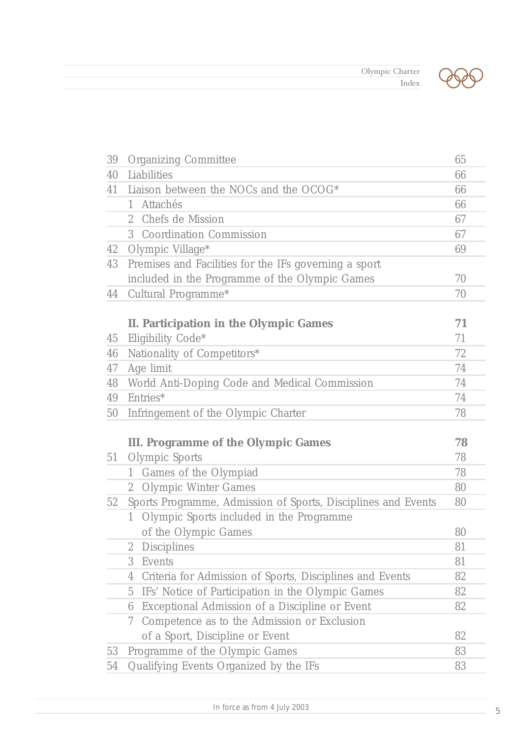| Olympic Charter |       |
|-----------------|-------|
|                 | Index |



| 39 | <b>Organizing Committee</b>                                   | 65 |
|----|---------------------------------------------------------------|----|
| 40 | Liabilities                                                   | 66 |
| 41 | Liaison between the NOCs and the OCOG*                        | 66 |
|    | 1 Attachés                                                    | 66 |
|    | 2 Chefs de Mission                                            | 67 |
|    | 3 Coordination Commission                                     | 67 |
| 42 | Olympic Village*                                              | 69 |
| 43 | Premises and Facilities for the IFs governing a sport         |    |
|    | included in the Programme of the Olympic Games                | 70 |
| 44 | Cultural Programme*                                           | 70 |
|    |                                                               |    |
|    | <b>II. Participation in the Olympic Games</b>                 | 71 |
| 45 | Eligibility Code*                                             | 71 |
| 46 | Nationality of Competitors*                                   | 72 |
| 47 | Age limit                                                     | 74 |
| 48 | World Anti-Doping Code and Medical Commission                 | 74 |
| 49 | Entries*                                                      | 74 |
| 50 | Infringement of the Olympic Charter                           | 78 |
|    |                                                               |    |
|    | <b>III. Programme of the Olympic Games</b>                    | 78 |
| 51 | Olympic Sports                                                | 78 |
|    | 1 Games of the Olympiad                                       | 78 |
|    | 2 Olympic Winter Games                                        | 80 |
| 52 | Sports Programme, Admission of Sports, Disciplines and Events | 80 |
|    | Olympic Sports included in the Programme<br>1.                |    |
|    | of the Olympic Games                                          | 80 |
|    | 2 Disciplines                                                 | 81 |
|    | 3 Events                                                      | 81 |
|    | 4 Criteria for Admission of Sports, Disciplines and Events    | 82 |
|    | 5 IFs' Notice of Participation in the Olympic Games           | 82 |
|    | 6 Exceptional Admission of a Discipline or Event              | 82 |
|    | Competence as to the Admission or Exclusion                   |    |
|    | of a Sport, Discipline or Event                               | 82 |
| 53 | Programme of the Olympic Games                                | 83 |
|    |                                                               |    |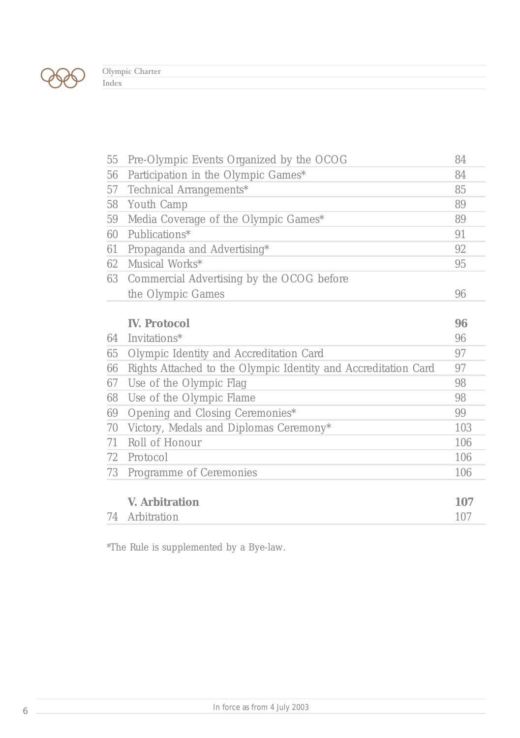

| 55 | Pre-Olympic Events Organized by the OCOG                       | 84  |
|----|----------------------------------------------------------------|-----|
| 56 | Participation in the Olympic Games*                            | 84  |
| 57 | Technical Arrangements*                                        | 85  |
| 58 | Youth Camp                                                     | 89  |
| 59 | Media Coverage of the Olympic Games*                           | 89  |
| 60 | Publications*                                                  | 91  |
| 61 | Propaganda and Advertising*                                    | 92  |
| 62 | Musical Works*                                                 | 95  |
| 63 | Commercial Advertising by the OCOG before                      |     |
|    | the Olympic Games                                              | 96  |
|    |                                                                |     |
|    | <b>IV.</b> Protocol                                            | 96  |
| 64 | Invitations*                                                   | 96  |
| 65 | Olympic Identity and Accreditation Card                        | 97  |
| 66 | Rights Attached to the Olympic Identity and Accreditation Card | 97  |
| 67 | Use of the Olympic Flag                                        | 98  |
| 68 | Use of the Olympic Flame                                       | 98  |
| 69 | Opening and Closing Ceremonies*                                | 99  |
| 70 | Victory, Medals and Diplomas Ceremony*                         | 103 |
| 71 | Roll of Honour                                                 | 106 |
| 72 | Protocol                                                       | 106 |
| 73 | Programme of Ceremonies                                        | 106 |
|    |                                                                |     |
|    | <b>V.</b> Arbitration                                          | 107 |
| 74 | Arbitration                                                    | 107 |

\*The Rule is supplemented by a Bye-law.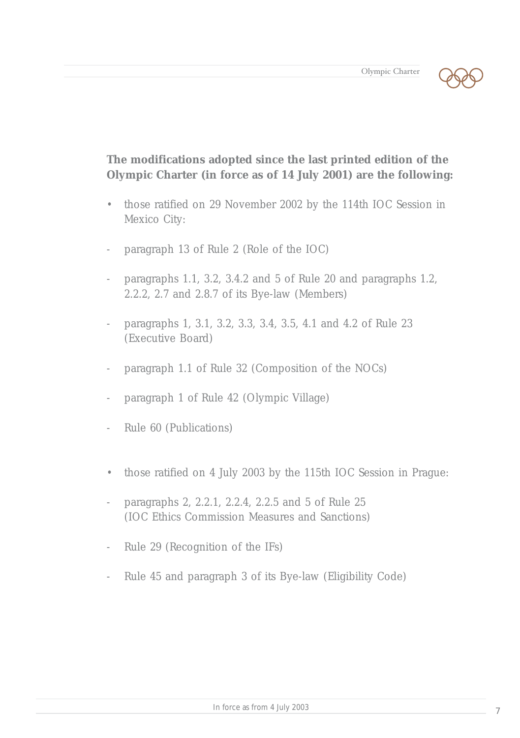

#### **The modifications adopted since the last printed edition of the Olympic Charter (in force as of 14 July 2001) are the following:**

- those ratified on 29 November 2002 by the 114th IOC Session in Mexico City:
- paragraph 13 of Rule 2 (Role of the IOC)
- paragraphs 1.1, 3.2, 3.4.2 and 5 of Rule 20 and paragraphs 1.2, 2.2.2, 2.7 and 2.8.7 of its Bye-law (Members)
- paragraphs 1, 3.1, 3.2, 3.3, 3.4, 3.5, 4.1 and 4.2 of Rule 23 (Executive Board)
- paragraph 1.1 of Rule 32 (Composition of the NOCs)
- paragraph 1 of Rule 42 (Olympic Village)
- Rule 60 (Publications)
- those ratified on 4 July 2003 by the 115th IOC Session in Prague:
- paragraphs 2, 2.2.1, 2.2.4, 2.2.5 and 5 of Rule 25 (IOC Ethics Commission Measures and Sanctions)
- Rule 29 (Recognition of the IFs)
- Rule 45 and paragraph 3 of its Bye-law (Eligibility Code)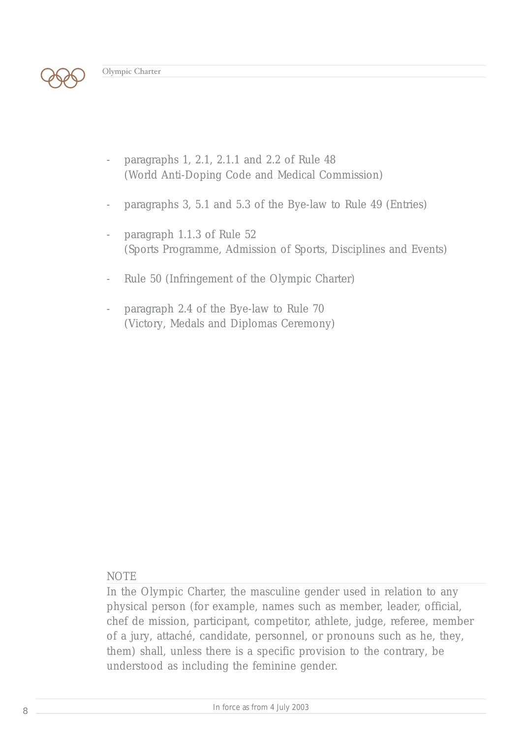- paragraphs 1, 2.1, 2.1.1 and 2.2 of Rule 48 (World Anti-Doping Code and Medical Commission)
- paragraphs 3, 5.1 and 5.3 of the Bye-law to Rule 49 (Entries)
- paragraph 1.1.3 of Rule 52 (Sports Programme, Admission of Sports, Disciplines and Events)
- Rule 50 (Infringement of the Olympic Charter)
- paragraph 2.4 of the Bye-law to Rule 70 (Victory, Medals and Diplomas Ceremony)

#### NOTE

In the Olympic Charter, the masculine gender used in relation to any physical person (for example, names such as member, leader, official, chef de mission, participant, competitor, athlete, judge, referee, member of a jury, attaché, candidate, personnel, or pronouns such as he, they, them) shall, unless there is a specific provision to the contrary, be understood as including the feminine gender.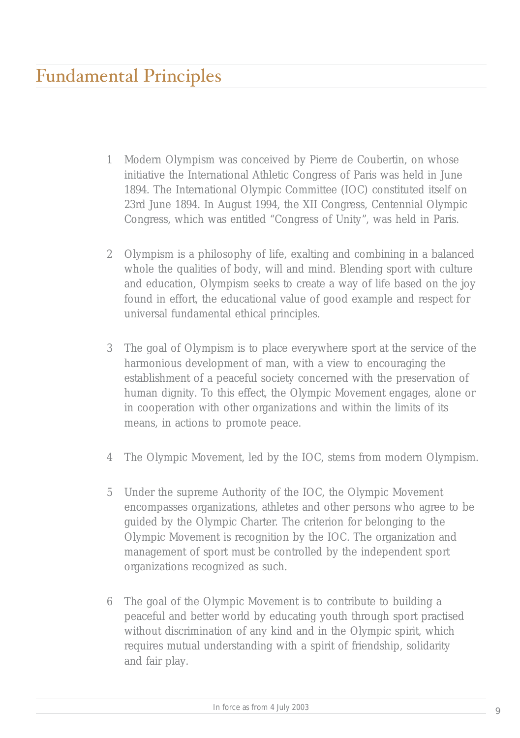# Fundamental Principles

- 1 Modern Olympism was conceived by Pierre de Coubertin, on whose initiative the International Athletic Congress of Paris was held in June 1894. The International Olympic Committee (IOC) constituted itself on 23rd June 1894. In August 1994, the XII Congress, Centennial Olympic Congress, which was entitled "Congress of Unity", was held in Paris.
- 2 Olympism is a philosophy of life, exalting and combining in a balanced whole the qualities of body, will and mind. Blending sport with culture and education, Olympism seeks to create a way of life based on the joy found in effort, the educational value of good example and respect for universal fundamental ethical principles.
- 3 The goal of Olympism is to place everywhere sport at the service of the harmonious development of man, with a view to encouraging the establishment of a peaceful society concerned with the preservation of human dignity. To this effect, the Olympic Movement engages, alone or in cooperation with other organizations and within the limits of its means, in actions to promote peace.
- 4 The Olympic Movement, led by the IOC, stems from modern Olympism.
- 5 Under the supreme Authority of the IOC, the Olympic Movement encompasses organizations, athletes and other persons who agree to be guided by the Olympic Charter. The criterion for belonging to the Olympic Movement is recognition by the IOC. The organization and management of sport must be controlled by the independent sport organizations recognized as such.
- 6 The goal of the Olympic Movement is to contribute to building a peaceful and better world by educating youth through sport practised without discrimination of any kind and in the Olympic spirit, which requires mutual understanding with a spirit of friendship, solidarity and fair play.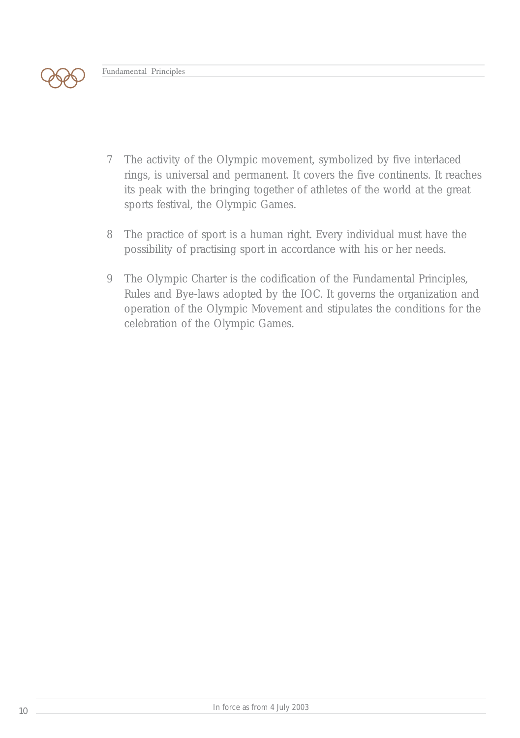

- 7 The activity of the Olympic movement, symbolized by five interlaced rings, is universal and permanent. It covers the five continents. It reaches its peak with the bringing together of athletes of the world at the great sports festival, the Olympic Games.
- 8 The practice of sport is a human right. Every individual must have the possibility of practising sport in accordance with his or her needs.
- 9 The Olympic Charter is the codification of the Fundamental Principles, Rules and Bye-laws adopted by the IOC. It governs the organization and operation of the Olympic Movement and stipulates the conditions for the celebration of the Olympic Games.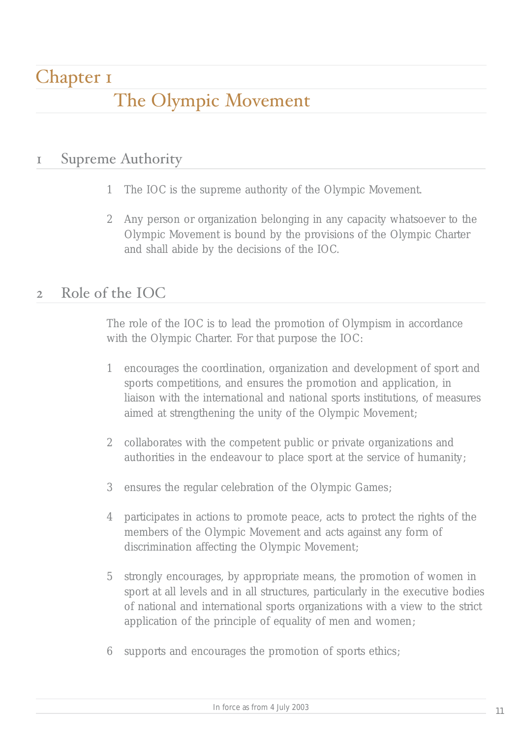# Chapter 1

# The Olympic Movement

## 1 Supreme Authority

- 1 The IOC is the supreme authority of the Olympic Movement.
- 2 Any person or organization belonging in any capacity whatsoever to the Olympic Movement is bound by the provisions of the Olympic Charter and shall abide by the decisions of the IOC.

# 2 Role of the IOC

The role of the IOC is to lead the promotion of Olympism in accordance with the Olympic Charter. For that purpose the IOC:

- 1 encourages the coordination, organization and development of sport and sports competitions, and ensures the promotion and application, in liaison with the international and national sports institutions, of measures aimed at strengthening the unity of the Olympic Movement;
- 2 collaborates with the competent public or private organizations and authorities in the endeavour to place sport at the service of humanity;
- 3 ensures the regular celebration of the Olympic Games;
- 4 participates in actions to promote peace, acts to protect the rights of the members of the Olympic Movement and acts against any form of discrimination affecting the Olympic Movement;
- 5 strongly encourages, by appropriate means, the promotion of women in sport at all levels and in all structures, particularly in the executive bodies of national and international sports organizations with a view to the strict application of the principle of equality of men and women;
- 6 supports and encourages the promotion of sports ethics;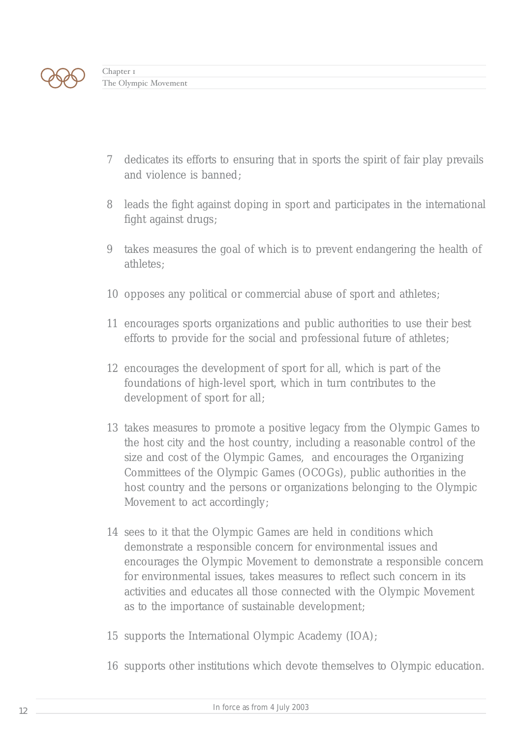- 7 dedicates its efforts to ensuring that in sports the spirit of fair play prevails and violence is banned;
- 8 leads the fight against doping in sport and participates in the international fight against drugs;
- 9 takes measures the goal of which is to prevent endangering the health of athletes;
- 10 opposes any political or commercial abuse of sport and athletes;
- 11 encourages sports organizations and public authorities to use their best efforts to provide for the social and professional future of athletes;
- 12 encourages the development of sport for all, which is part of the foundations of high-level sport, which in turn contributes to the development of sport for all;
- 13 takes measures to promote a positive legacy from the Olympic Games to the host city and the host country, including a reasonable control of the size and cost of the Olympic Games, and encourages the Organizing Committees of the Olympic Games (OCOGs), public authorities in the host country and the persons or organizations belonging to the Olympic Movement to act accordingly;
- 14 sees to it that the Olympic Games are held in conditions which demonstrate a responsible concern for environmental issues and encourages the Olympic Movement to demonstrate a responsible concern for environmental issues, takes measures to reflect such concern in its activities and educates all those connected with the Olympic Movement as to the importance of sustainable development;
- 15 supports the International Olympic Academy (IOA);
- 16 supports other institutions which devote themselves to Olympic education.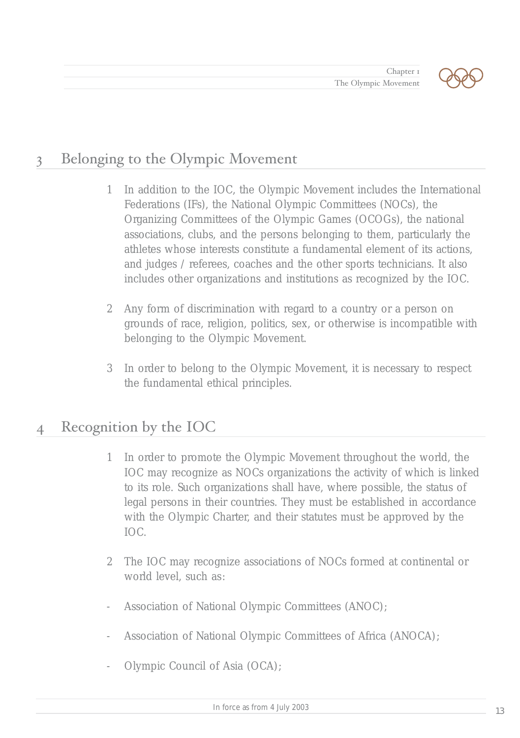

# 3 Belonging to the Olympic Movement

- 1 In addition to the IOC, the Olympic Movement includes the International Federations (IFs), the National Olympic Committees (NOCs), the Organizing Committees of the Olympic Games (OCOGs), the national associations, clubs, and the persons belonging to them, particularly the athletes whose interests constitute a fundamental element of its actions, and judges / referees, coaches and the other sports technicians. It also includes other organizations and institutions as recognized by the IOC.
- 2 Any form of discrimination with regard to a country or a person on grounds of race, religion, politics, sex, or otherwise is incompatible with belonging to the Olympic Movement.
- 3 In order to belong to the Olympic Movement, it is necessary to respect the fundamental ethical principles.

# 4 Recognition by the IOC

- 1 In order to promote the Olympic Movement throughout the world, the IOC may recognize as NOCs organizations the activity of which is linked to its role. Such organizations shall have, where possible, the status of legal persons in their countries. They must be established in accordance with the Olympic Charter, and their statutes must be approved by the IOC.
- 2 The IOC may recognize associations of NOCs formed at continental or world level, such as:
- Association of National Olympic Committees (ANOC);
- Association of National Olympic Committees of Africa (ANOCA);
- Olympic Council of Asia (OCA);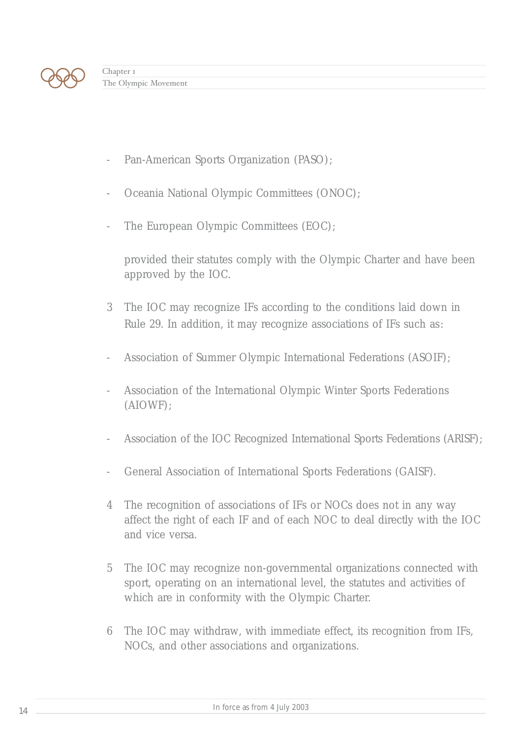- Pan-American Sports Organization (PASO);
- Oceania National Olympic Committees (ONOC);
- The European Olympic Committees (EOC);
	- provided their statutes comply with the Olympic Charter and have been approved by the IOC.
- 3 The IOC may recognize IFs according to the conditions laid down in Rule 29. In addition, it may recognize associations of IFs such as:
- Association of Summer Olympic International Federations (ASOIF);
- Association of the International Olympic Winter Sports Federations (AIOWF);
- Association of the IOC Recognized International Sports Federations (ARISF);
- General Association of International Sports Federations (GAISF).
- 4 The recognition of associations of IFs or NOCs does not in any way affect the right of each IF and of each NOC to deal directly with the IOC and vice versa.
- 5 The IOC may recognize non-governmental organizations connected with sport, operating on an international level, the statutes and activities of which are in conformity with the Olympic Charter.
- 6 The IOC may withdraw, with immediate effect, its recognition from IFs, NOCs, and other associations and organizations.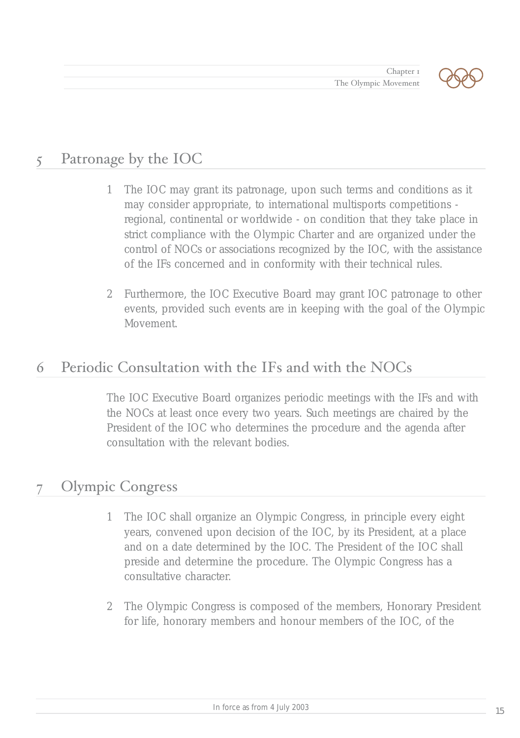

# 5 Patronage by the IOC

- 1 The IOC may grant its patronage, upon such terms and conditions as it may consider appropriate, to international multisports competitions regional, continental or worldwide - on condition that they take place in strict compliance with the Olympic Charter and are organized under the control of NOCs or associations recognized by the IOC, with the assistance of the IFs concerned and in conformity with their technical rules.
- 2 Furthermore, the IOC Executive Board may grant IOC patronage to other events, provided such events are in keeping with the goal of the Olympic Movement.

## 6 Periodic Consultation with the IFs and with the NOCs

The IOC Executive Board organizes periodic meetings with the IFs and with the NOCs at least once every two years. Such meetings are chaired by the President of the IOC who determines the procedure and the agenda after consultation with the relevant bodies.

# 7 Olympic Congress

- 1 The IOC shall organize an Olympic Congress, in principle every eight years, convened upon decision of the IOC, by its President, at a place and on a date determined by the IOC. The President of the IOC shall preside and determine the procedure. The Olympic Congress has a consultative character.
- 2 The Olympic Congress is composed of the members, Honorary President for life, honorary members and honour members of the IOC, of the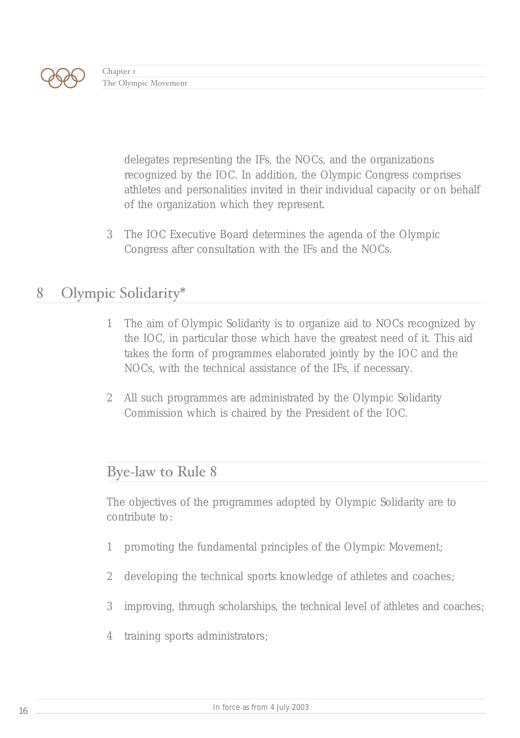

delegates representing the IFs, the NOCs, and the organizations recognized by the IOC. In addition, the Olympic Congress comprises athletes and personalities invited in their individual capacity or on behalf of the organization which they represent.

3 The IOC Executive Board determines the agenda of the Olympic Congress after consultation with the IFs and the NOCs.

## 8 Olympic Solidarity\*

- 1 The aim of Olympic Solidarity is to organize aid to NOCs recognized by the IOC, in particular those which have the greatest need of it. This aid takes the form of programmes elaborated jointly by the IOC and the NOCs, with the technical assistance of the IFs, if necessary.
- 2 All such programmes are administrated by the Olympic Solidarity Commission which is chaired by the President of the IOC.

#### Bye-law to Rule 8

The objectives of the programmes adopted by Olympic Solidarity are to contribute to:

- 1 promoting the fundamental principles of the Olympic Movement;
- 2 developing the technical sports knowledge of athletes and coaches;
- 3 improving, through scholarships, the technical level of athletes and coaches;
- 4 training sports administrators;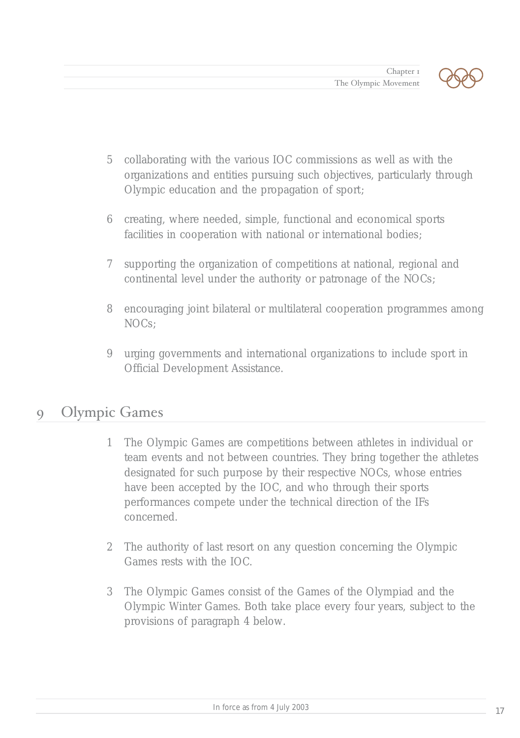

- 5 collaborating with the various IOC commissions as well as with the organizations and entities pursuing such objectives, particularly through Olympic education and the propagation of sport;
- 6 creating, where needed, simple, functional and economical sports facilities in cooperation with national or international bodies;
- 7 supporting the organization of competitions at national, regional and continental level under the authority or patronage of the NOCs;
- 8 encouraging joint bilateral or multilateral cooperation programmes among NOCs;
- 9 urging governments and international organizations to include sport in Official Development Assistance.

## 9 Olympic Games

- 1 The Olympic Games are competitions between athletes in individual or team events and not between countries. They bring together the athletes designated for such purpose by their respective NOCs, whose entries have been accepted by the IOC, and who through their sports performances compete under the technical direction of the IFs concerned.
- 2 The authority of last resort on any question concerning the Olympic Games rests with the IOC.
- 3 The Olympic Games consist of the Games of the Olympiad and the Olympic Winter Games. Both take place every four years, subject to the provisions of paragraph 4 below.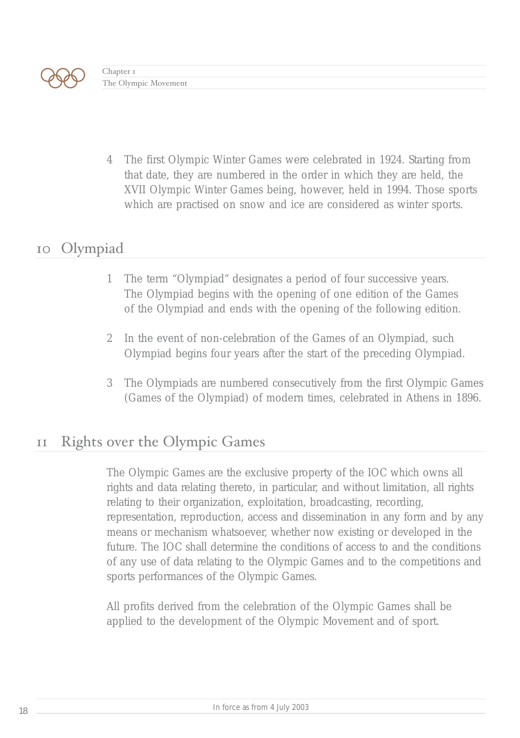4 The first Olympic Winter Games were celebrated in 1924. Starting from that date, they are numbered in the order in which they are held, the XVII Olympic Winter Games being, however, held in 1994. Those sports which are practised on snow and ice are considered as winter sports.

# 10 Olympiad

- 1 The term "Olympiad" designates a period of four successive years. The Olympiad begins with the opening of one edition of the Games of the Olympiad and ends with the opening of the following edition.
- 2 In the event of non-celebration of the Games of an Olympiad, such Olympiad begins four years after the start of the preceding Olympiad.
- 3 The Olympiads are numbered consecutively from the first Olympic Games (Games of the Olympiad) of modern times, celebrated in Athens in 1896.

# 11 Rights over the Olympic Games

The Olympic Games are the exclusive property of the IOC which owns all rights and data relating thereto, in particular, and without limitation, all rights relating to their organization, exploitation, broadcasting, recording, representation, reproduction, access and dissemination in any form and by any means or mechanism whatsoever, whether now existing or developed in the future. The IOC shall determine the conditions of access to and the conditions of any use of data relating to the Olympic Games and to the competitions and sports performances of the Olympic Games.

All profits derived from the celebration of the Olympic Games shall be applied to the development of the Olympic Movement and of sport.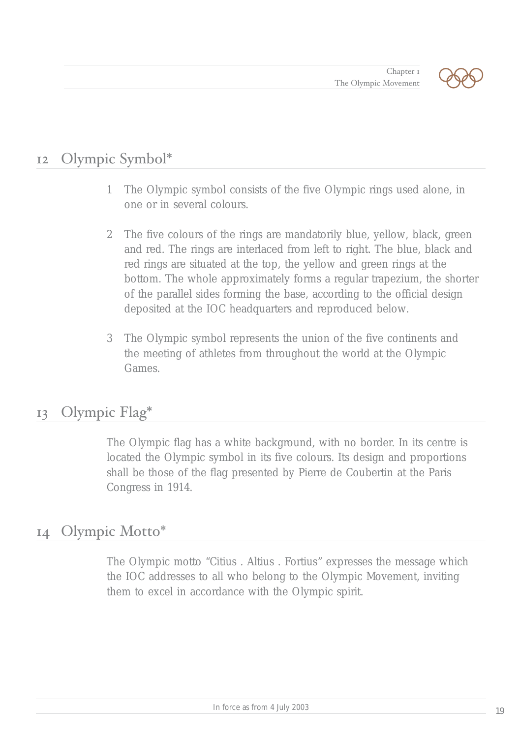

# 12 Olympic Symbol\*

- 1 The Olympic symbol consists of the five Olympic rings used alone, in one or in several colours.
- 2 The five colours of the rings are mandatorily blue, yellow, black, green and red. The rings are interlaced from left to right. The blue, black and red rings are situated at the top, the yellow and green rings at the bottom. The whole approximately forms a regular trapezium, the shorter of the parallel sides forming the base, according to the official design deposited at the IOC headquarters and reproduced below.
- 3 The Olympic symbol represents the union of the five continents and the meeting of athletes from throughout the world at the Olympic Games.

# 13 Olympic Flag\*

The Olympic flag has a white background, with no border. In its centre is located the Olympic symbol in its five colours. Its design and proportions shall be those of the flag presented by Pierre de Coubertin at the Paris Congress in 1914.

## 14 Olympic Motto\*

The Olympic motto "Citius . Altius . Fortius" expresses the message which the IOC addresses to all who belong to the Olympic Movement, inviting them to excel in accordance with the Olympic spirit.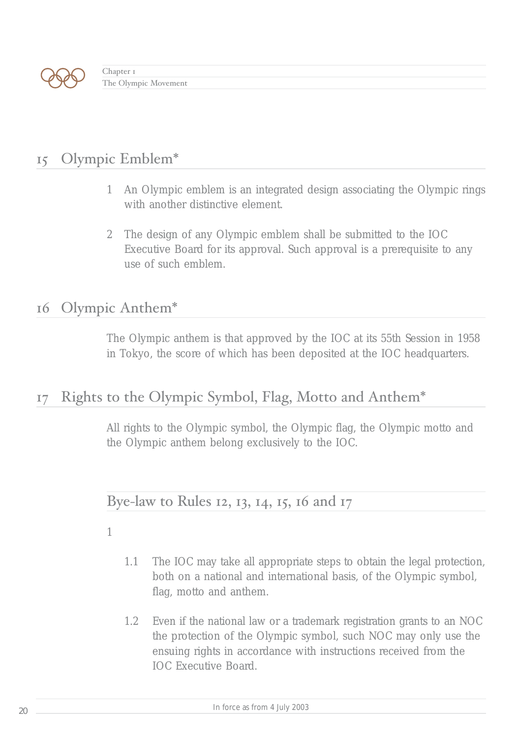# 15 Olympic Emblem\*

- 1 An Olympic emblem is an integrated design associating the Olympic rings with another distinctive element.
- 2 The design of any Olympic emblem shall be submitted to the IOC Executive Board for its approval. Such approval is a prerequisite to any use of such emblem.

# 16 Olympic Anthem\*

The Olympic anthem is that approved by the IOC at its 55th Session in 1958 in Tokyo, the score of which has been deposited at the IOC headquarters.

# 17 Rights to the Olympic Symbol, Flag, Motto and Anthem\*

All rights to the Olympic symbol, the Olympic flag, the Olympic motto and the Olympic anthem belong exclusively to the IOC.

#### Bye-law to Rules 12, 13, 14, 15, 16 and 17

- 1
- 1.1 The IOC may take all appropriate steps to obtain the legal protection, both on a national and international basis, of the Olympic symbol, flag, motto and anthem.
- 1.2 Even if the national law or a trademark registration grants to an NOC the protection of the Olympic symbol, such NOC may only use the ensuing rights in accordance with instructions received from the IOC Executive Board.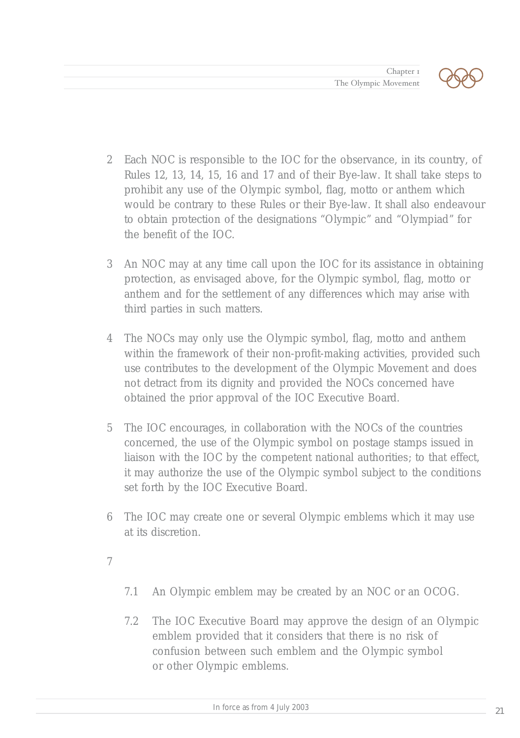Chapter 1 The Olympic Movement



- 2 Each NOC is responsible to the IOC for the observance, in its country, of Rules 12, 13, 14, 15, 16 and 17 and of their Bye-law. It shall take steps to prohibit any use of the Olympic symbol, flag, motto or anthem which would be contrary to these Rules or their Bye-law. It shall also endeavour to obtain protection of the designations "Olympic" and "Olympiad" for the benefit of the IOC.
- 3 An NOC may at any time call upon the IOC for its assistance in obtaining protection, as envisaged above, for the Olympic symbol, flag, motto or anthem and for the settlement of any differences which may arise with third parties in such matters.
- 4 The NOCs may only use the Olympic symbol, flag, motto and anthem within the framework of their non-profit-making activities, provided such use contributes to the development of the Olympic Movement and does not detract from its dignity and provided the NOCs concerned have obtained the prior approval of the IOC Executive Board.
- 5 The IOC encourages, in collaboration with the NOCs of the countries concerned, the use of the Olympic symbol on postage stamps issued in liaison with the IOC by the competent national authorities; to that effect, it may authorize the use of the Olympic symbol subject to the conditions set forth by the IOC Executive Board.
- 6 The IOC may create one or several Olympic emblems which it may use at its discretion.
- 7
- 7.1 An Olympic emblem may be created by an NOC or an OCOG.
- 7.2 The IOC Executive Board may approve the design of an Olympic emblem provided that it considers that there is no risk of confusion between such emblem and the Olympic symbol or other Olympic emblems.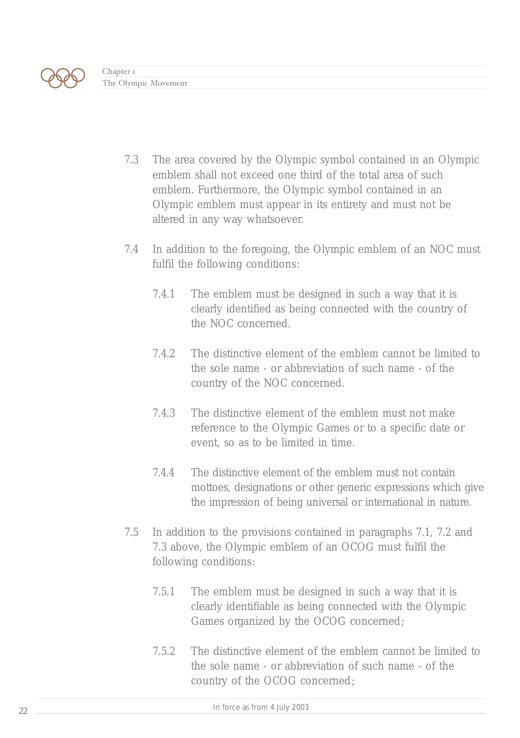- 7.3 The area covered by the Olympic symbol contained in an Olympic emblem shall not exceed one third of the total area of such emblem. Furthermore, the Olympic symbol contained in an Olympic emblem must appear in its entirety and must not be altered in any way whatsoever.
- 7.4 In addition to the foregoing, the Olympic emblem of an NOC must fulfil the following conditions:
	- 7.4.1 The emblem must be designed in such a way that it is clearly identified as being connected with the country of the NOC concerned.
	- 7.4.2 The distinctive element of the emblem cannot be limited to the sole name - or abbreviation of such name - of the country of the NOC concerned.
	- 7.4.3 The distinctive element of the emblem must not make reference to the Olympic Games or to a specific date or event, so as to be limited in time.
	- 7.4.4 The distinctive element of the emblem must not contain mottoes, designations or other generic expressions which give the impression of being universal or international in nature.
- 7.5 In addition to the provisions contained in paragraphs 7.1, 7.2 and 7.3 above, the Olympic emblem of an OCOG must fulfil the following conditions:
	- 7.5.1 The emblem must be designed in such a way that it is clearly identifiable as being connected with the Olympic Games organized by the OCOG concerned;
	- 7.5.2 The distinctive element of the emblem cannot be limited to the sole name - or abbreviation of such name - of the country of the OCOG concerned;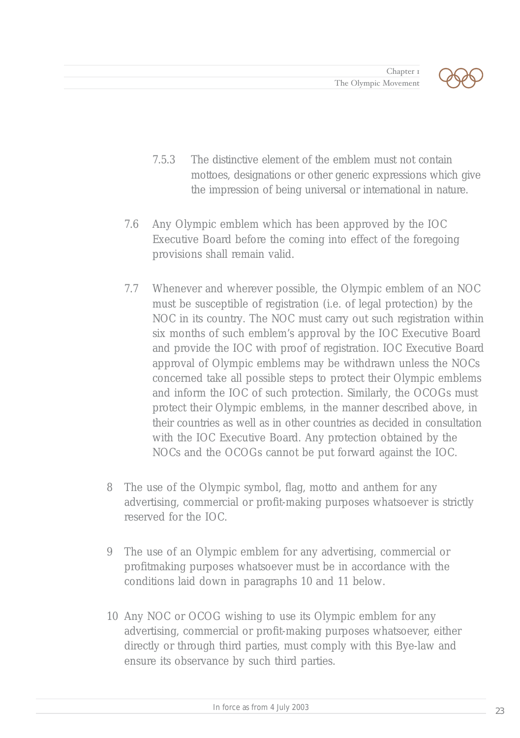

- 7.5.3 The distinctive element of the emblem must not contain mottoes, designations or other generic expressions which give the impression of being universal or international in nature.
- 7.6 Any Olympic emblem which has been approved by the IOC Executive Board before the coming into effect of the foregoing provisions shall remain valid.
- 7.7 Whenever and wherever possible, the Olympic emblem of an NOC must be susceptible of registration (i.e. of legal protection) by the NOC in its country. The NOC must carry out such registration within six months of such emblem's approval by the IOC Executive Board and provide the IOC with proof of registration. IOC Executive Board approval of Olympic emblems may be withdrawn unless the NOCs concerned take all possible steps to protect their Olympic emblems and inform the IOC of such protection. Similarly, the OCOGs must protect their Olympic emblems, in the manner described above, in their countries as well as in other countries as decided in consultation with the IOC Executive Board. Any protection obtained by the NOCs and the OCOGs cannot be put forward against the IOC.
- 8 The use of the Olympic symbol, flag, motto and anthem for any advertising, commercial or profit-making purposes whatsoever is strictly reserved for the IOC.
- 9 The use of an Olympic emblem for any advertising, commercial or profitmaking purposes whatsoever must be in accordance with the conditions laid down in paragraphs 10 and 11 below.
- 10 Any NOC or OCOG wishing to use its Olympic emblem for any advertising, commercial or profit-making purposes whatsoever, either directly or through third parties, must comply with this Bye-law and ensure its observance by such third parties.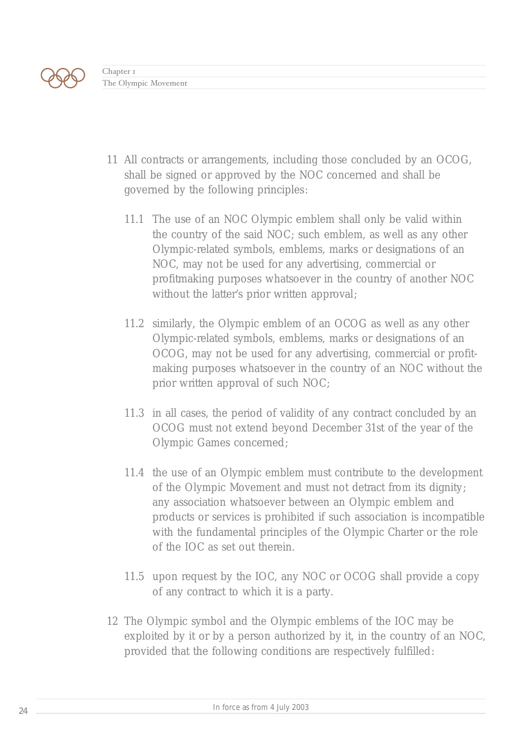

- 11.1 The use of an NOC Olympic emblem shall only be valid within the country of the said NOC; such emblem, as well as any other Olympic-related symbols, emblems, marks or designations of an NOC, may not be used for any advertising, commercial or profitmaking purposes whatsoever in the country of another NOC without the latter's prior written approval;
- 11.2 similarly, the Olympic emblem of an OCOG as well as any other Olympic-related symbols, emblems, marks or designations of an OCOG, may not be used for any advertising, commercial or profitmaking purposes whatsoever in the country of an NOC without the prior written approval of such NOC;
- 11.3 in all cases, the period of validity of any contract concluded by an OCOG must not extend beyond December 31st of the year of the Olympic Games concerned;
- 11.4 the use of an Olympic emblem must contribute to the development of the Olympic Movement and must not detract from its dignity; any association whatsoever between an Olympic emblem and products or services is prohibited if such association is incompatible with the fundamental principles of the Olympic Charter or the role of the IOC as set out therein.
- 11.5 upon request by the IOC, any NOC or OCOG shall provide a copy of any contract to which it is a party.
- 12 The Olympic symbol and the Olympic emblems of the IOC may be exploited by it or by a person authorized by it, in the country of an NOC, provided that the following conditions are respectively fulfilled: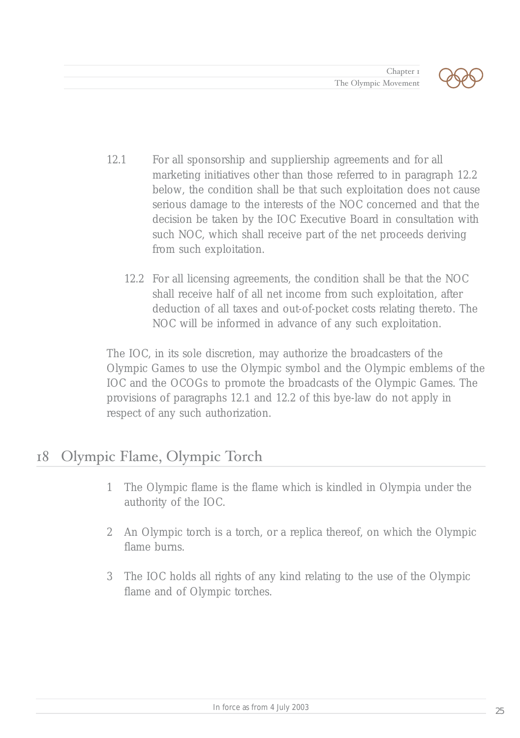

- 12.1 For all sponsorship and suppliership agreements and for all marketing initiatives other than those referred to in paragraph 12.2 below, the condition shall be that such exploitation does not cause serious damage to the interests of the NOC concerned and that the decision be taken by the IOC Executive Board in consultation with such NOC, which shall receive part of the net proceeds deriving from such exploitation.
	- 12.2 For all licensing agreements, the condition shall be that the NOC shall receive half of all net income from such exploitation, after deduction of all taxes and out-of-pocket costs relating thereto. The NOC will be informed in advance of any such exploitation.

The IOC, in its sole discretion, may authorize the broadcasters of the Olympic Games to use the Olympic symbol and the Olympic emblems of the IOC and the OCOGs to promote the broadcasts of the Olympic Games. The provisions of paragraphs 12.1 and 12.2 of this bye-law do not apply in respect of any such authorization.

# 18 Olympic Flame, Olympic Torch

- 1 The Olympic flame is the flame which is kindled in Olympia under the authority of the IOC.
- 2 An Olympic torch is a torch, or a replica thereof, on which the Olympic flame burns.
- 3 The IOC holds all rights of any kind relating to the use of the Olympic flame and of Olympic torches.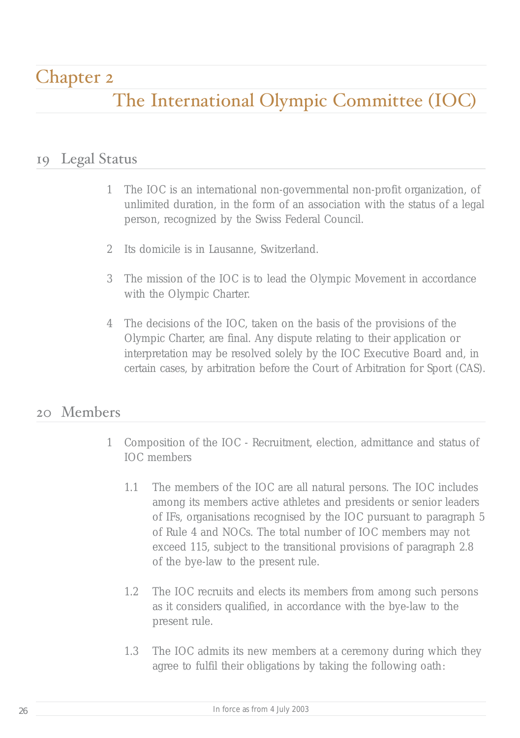# Chapter 2

# The International Olympic Committee (IOC)

# 19 Legal Status

- 1 The IOC is an international non-governmental non-profit organization, of unlimited duration, in the form of an association with the status of a legal person, recognized by the Swiss Federal Council.
- 2 Its domicile is in Lausanne, Switzerland.
- 3 The mission of the IOC is to lead the Olympic Movement in accordance with the Olympic Charter.
- 4 The decisions of the IOC, taken on the basis of the provisions of the Olympic Charter, are final. Any dispute relating to their application or interpretation may be resolved solely by the IOC Executive Board and, in certain cases, by arbitration before the Court of Arbitration for Sport (CAS).

#### 20 Members

- 1 Composition of the IOC Recruitment, election, admittance and status of IOC members
	- 1.1 The members of the IOC are all natural persons. The IOC includes among its members active athletes and presidents or senior leaders of IFs, organisations recognised by the IOC pursuant to paragraph 5 of Rule 4 and NOCs. The total number of IOC members may not exceed 115, subject to the transitional provisions of paragraph 2.8 of the bye-law to the present rule.
	- 1.2 The IOC recruits and elects its members from among such persons as it considers qualified, in accordance with the bye-law to the present rule.
	- 1.3 The IOC admits its new members at a ceremony during which they agree to fulfil their obligations by taking the following oath: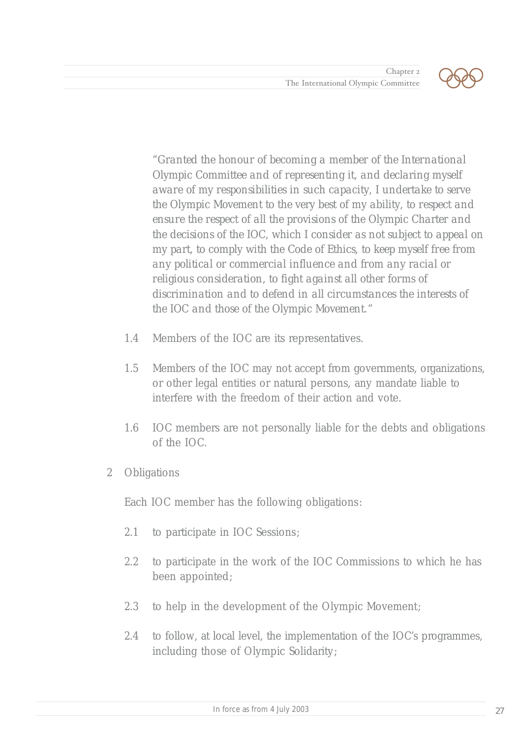Chapter 2 The International Olympic Committee



*"Granted the honour of becoming a member of the International Olympic Committee and of representing it, and declaring myself aware of my responsibilities in such capacity, I undertake to serve the Olympic Movement to the very best of my ability, to respect and ensure the respect of all the provisions of the Olympic Charter and the decisions of the IOC, which I consider as not subject to appeal on my part, to comply with the Code of Ethics, to keep myself free from any political or commercial influence and from any racial or religious consideration, to fight against all other forms of discrimination and to defend in all circumstances the interests of the IOC and those of the Olympic Movement."*

- 1.4 Members of the IOC are its representatives.
- 1.5 Members of the IOC may not accept from governments, organizations, or other legal entities or natural persons, any mandate liable to interfere with the freedom of their action and vote.
- 1.6 IOC members are not personally liable for the debts and obligations of the IOC.
- 2 Obligations

Each IOC member has the following obligations:

- 2.1 to participate in IOC Sessions;
- 2.2 to participate in the work of the IOC Commissions to which he has been appointed;
- 2.3 to help in the development of the Olympic Movement;
- 2.4 to follow, at local level, the implementation of the IOC's programmes, including those of Olympic Solidarity;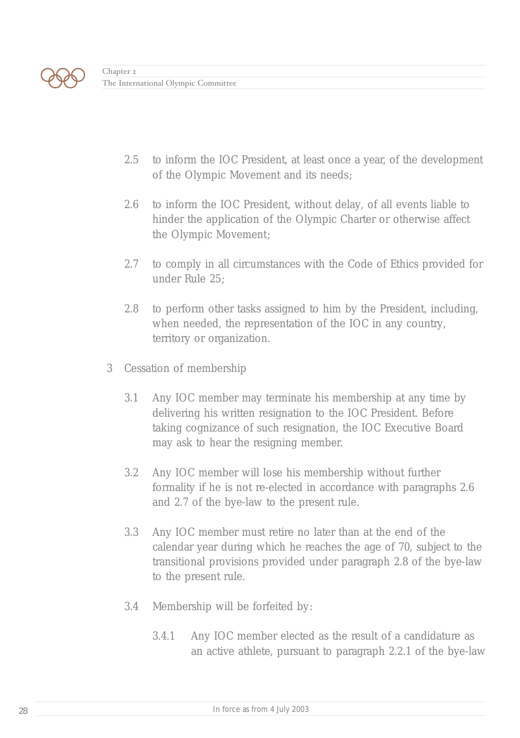- 2.5 to inform the IOC President, at least once a year, of the development of the Olympic Movement and its needs;
- 2.6 to inform the IOC President, without delay, of all events liable to hinder the application of the Olympic Charter or otherwise affect the Olympic Movement;
- 2.7 to comply in all circumstances with the Code of Ethics provided for under Rule 25;
- 2.8 to perform other tasks assigned to him by the President, including, when needed, the representation of the IOC in any country, territory or organization.
- 3 Cessation of membership
	- 3.1 Any IOC member may terminate his membership at any time by delivering his written resignation to the IOC President. Before taking cognizance of such resignation, the IOC Executive Board may ask to hear the resigning member.
	- 3.2 Any IOC member will lose his membership without further formality if he is not re-elected in accordance with paragraphs 2.6 and 2.7 of the bye-law to the present rule.
	- 3.3 Any IOC member must retire no later than at the end of the calendar year during which he reaches the age of 70, subject to the transitional provisions provided under paragraph 2.8 of the bye-law to the present rule.
	- 3.4 Membership will be forfeited by:
		- 3.4.1 Any IOC member elected as the result of a candidature as an active athlete, pursuant to paragraph 2.2.1 of the bye-law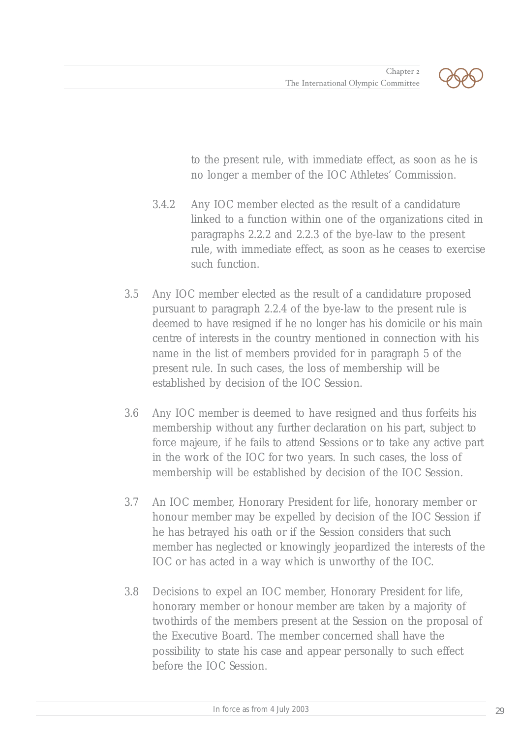

to the present rule, with immediate effect, as soon as he is no longer a member of the IOC Athletes' Commission.

- 3.4.2 Any IOC member elected as the result of a candidature linked to a function within one of the organizations cited in paragraphs 2.2.2 and 2.2.3 of the bye-law to the present rule, with immediate effect, as soon as he ceases to exercise such function.
- 3.5 Any IOC member elected as the result of a candidature proposed pursuant to paragraph 2.2.4 of the bye-law to the present rule is deemed to have resigned if he no longer has his domicile or his main centre of interests in the country mentioned in connection with his name in the list of members provided for in paragraph 5 of the present rule. In such cases, the loss of membership will be established by decision of the IOC Session.
- 3.6 Any IOC member is deemed to have resigned and thus forfeits his membership without any further declaration on his part, subject to force majeure, if he fails to attend Sessions or to take any active part in the work of the IOC for two years. In such cases, the loss of membership will be established by decision of the IOC Session.
- 3.7 An IOC member, Honorary President for life, honorary member or honour member may be expelled by decision of the IOC Session if he has betrayed his oath or if the Session considers that such member has neglected or knowingly jeopardized the interests of the IOC or has acted in a way which is unworthy of the IOC.
- 3.8 Decisions to expel an IOC member, Honorary President for life, honorary member or honour member are taken by a majority of twothirds of the members present at the Session on the proposal of the Executive Board. The member concerned shall have the possibility to state his case and appear personally to such effect before the IOC Session.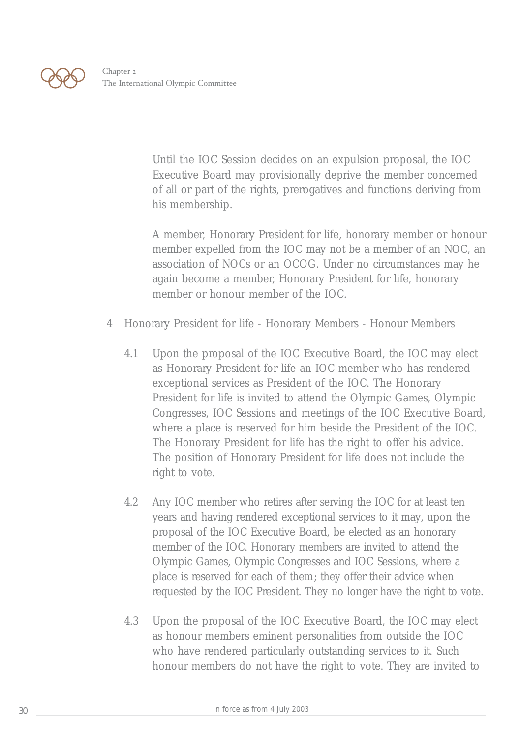Chapter 2 The International Olympic Committee

> Until the IOC Session decides on an expulsion proposal, the IOC Executive Board may provisionally deprive the member concerned of all or part of the rights, prerogatives and functions deriving from his membership.

A member, Honorary President for life, honorary member or honour member expelled from the IOC may not be a member of an NOC, an association of NOCs or an OCOG. Under no circumstances may he again become a member, Honorary President for life, honorary member or honour member of the IOC.

- 4 Honorary President for life Honorary Members Honour Members
	- 4.1 Upon the proposal of the IOC Executive Board, the IOC may elect as Honorary President for life an IOC member who has rendered exceptional services as President of the IOC. The Honorary President for life is invited to attend the Olympic Games, Olympic Congresses, IOC Sessions and meetings of the IOC Executive Board, where a place is reserved for him beside the President of the IOC. The Honorary President for life has the right to offer his advice. The position of Honorary President for life does not include the right to vote.
	- 4.2 Any IOC member who retires after serving the IOC for at least ten years and having rendered exceptional services to it may, upon the proposal of the IOC Executive Board, be elected as an honorary member of the IOC. Honorary members are invited to attend the Olympic Games, Olympic Congresses and IOC Sessions, where a place is reserved for each of them; they offer their advice when requested by the IOC President. They no longer have the right to vote.
	- 4.3 Upon the proposal of the IOC Executive Board, the IOC may elect as honour members eminent personalities from outside the IOC who have rendered particularly outstanding services to it. Such honour members do not have the right to vote. They are invited to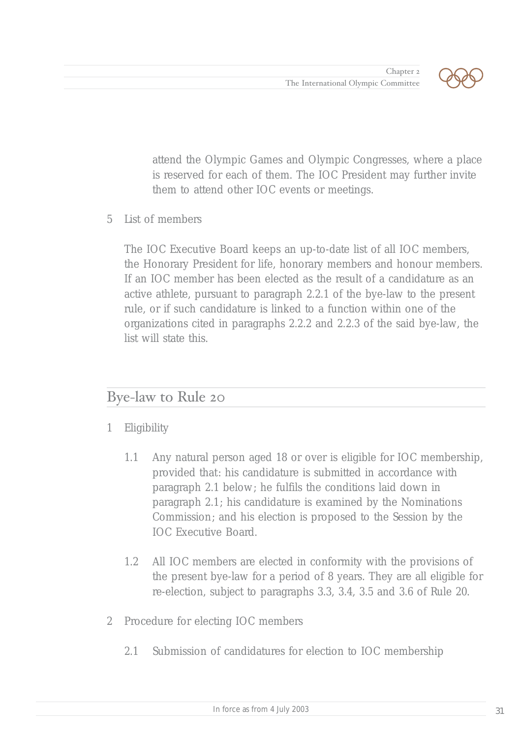

attend the Olympic Games and Olympic Congresses, where a place is reserved for each of them. The IOC President may further invite them to attend other IOC events or meetings.

5 List of members

The IOC Executive Board keeps an up-to-date list of all IOC members, the Honorary President for life, honorary members and honour members. If an IOC member has been elected as the result of a candidature as an active athlete, pursuant to paragraph 2.2.1 of the bye-law to the present rule, or if such candidature is linked to a function within one of the organizations cited in paragraphs 2.2.2 and 2.2.3 of the said bye-law, the list will state this.

#### Bye-law to Rule 20

1 Eligibility

- 1.1 Any natural person aged 18 or over is eligible for IOC membership, provided that: his candidature is submitted in accordance with paragraph 2.1 below; he fulfils the conditions laid down in paragraph 2.1; his candidature is examined by the Nominations Commission; and his election is proposed to the Session by the IOC Executive Board.
- 1.2 All IOC members are elected in conformity with the provisions of the present bye-law for a period of 8 years. They are all eligible for re-election, subject to paragraphs 3.3, 3.4, 3.5 and 3.6 of Rule 20.
- 2 Procedure for electing IOC members
	- 2.1 Submission of candidatures for election to IOC membership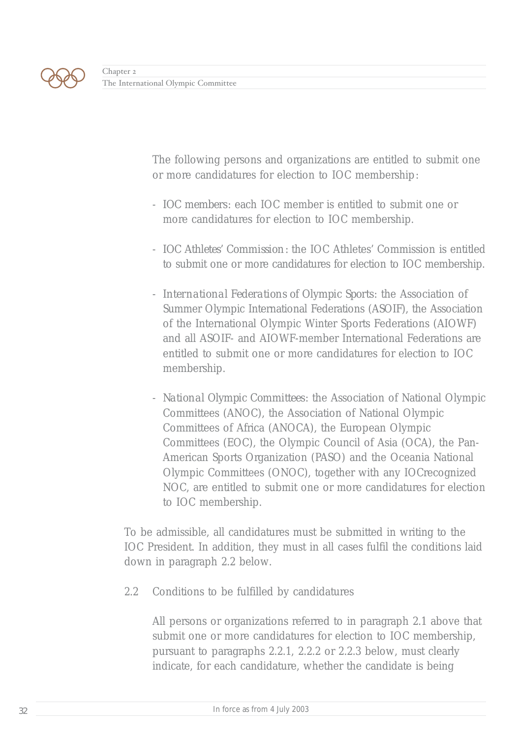The following persons and organizations are entitled to submit one or more candidatures for election to IOC membership:

- *IOC members:* each IOC member is entitled to submit one or more candidatures for election to IOC membership.
- *IOC Athletes' Commission:* the IOC Athletes' Commission is entitled to submit one or more candidatures for election to IOC membership.
- *International Federations of Olympic Sports:* the Association of Summer Olympic International Federations (ASOIF), the Association of the International Olympic Winter Sports Federations (AIOWF) and all ASOIF- and AIOWF-member International Federations are entitled to submit one or more candidatures for election to IOC membership.
- *National Olympic Committees:* the Association of National Olympic Committees (ANOC), the Association of National Olympic Committees of Africa (ANOCA), the European Olympic Committees (EOC), the Olympic Council of Asia (OCA), the Pan-American Sports Organization (PASO) and the Oceania National Olympic Committees (ONOC), together with any IOCrecognized NOC, are entitled to submit one or more candidatures for election to IOC membership.

To be admissible, all candidatures must be submitted in writing to the IOC President. In addition, they must in all cases fulfil the conditions laid down in paragraph 2.2 below.

2.2 Conditions to be fulfilled by candidatures

All persons or organizations referred to in paragraph 2.1 above that submit one or more candidatures for election to IOC membership, pursuant to paragraphs 2.2.1, 2.2.2 or 2.2.3 below, must clearly indicate, for each candidature, whether the candidate is being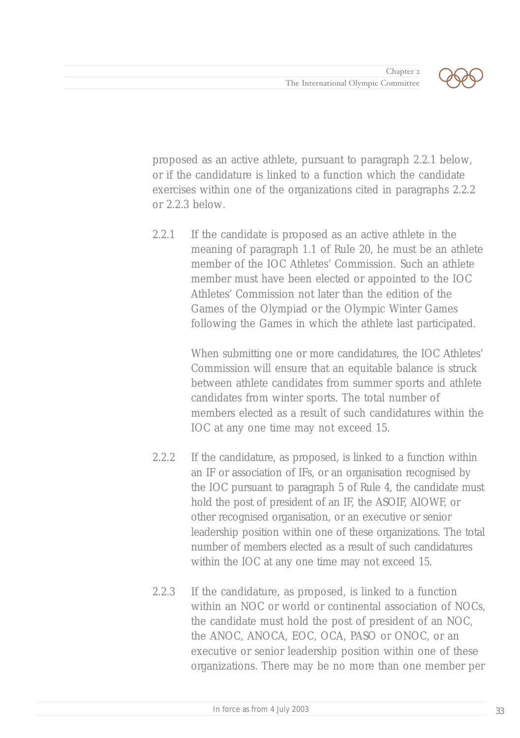

proposed as an active athlete, pursuant to paragraph 2.2.1 below, or if the candidature is linked to a function which the candidate exercises within one of the organizations cited in paragraphs 2.2.2 or 2.2.3 below.

2.2.1 If the candidate is proposed as an active athlete in the meaning of paragraph 1.1 of Rule 20, he must be an athlete member of the IOC Athletes' Commission. Such an athlete member must have been elected or appointed to the IOC Athletes' Commission not later than the edition of the Games of the Olympiad or the Olympic Winter Games following the Games in which the athlete last participated.

> When submitting one or more candidatures, the IOC Athletes' Commission will ensure that an equitable balance is struck between athlete candidates from summer sports and athlete candidates from winter sports. The total number of members elected as a result of such candidatures within the IOC at any one time may not exceed 15.

- 2.2.2 If the candidature, as proposed, is linked to a function within an IF or association of IFs, or an organisation recognised by the IOC pursuant to paragraph 5 of Rule 4, the candidate must hold the post of president of an IF, the ASOIF, AIOWF, or other recognised organisation, or an executive or senior leadership position within one of these organizations. The total number of members elected as a result of such candidatures within the IOC at any one time may not exceed 15.
- 2.2.3 If the candidature, as proposed, is linked to a function within an NOC or world or continental association of NOCs, the candidate must hold the post of president of an NOC, the ANOC, ANOCA, EOC, OCA, PASO or ONOC, or an executive or senior leadership position within one of these organizations. There may be no more than one member per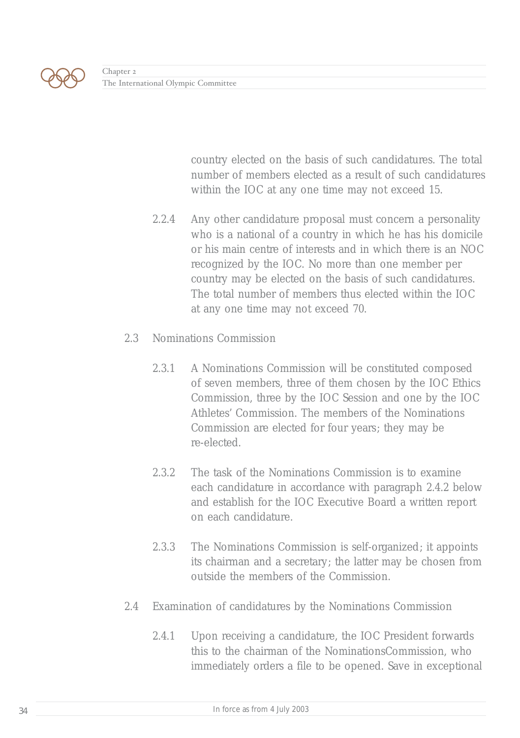country elected on the basis of such candidatures. The total number of members elected as a result of such candidatures within the IOC at any one time may not exceed 15.

2.2.4 Any other candidature proposal must concern a personality who is a national of a country in which he has his domicile or his main centre of interests and in which there is an NOC recognized by the IOC. No more than one member per country may be elected on the basis of such candidatures. The total number of members thus elected within the IOC at any one time may not exceed 70.

#### 2.3 Nominations Commission

- 2.3.1 A Nominations Commission will be constituted composed of seven members, three of them chosen by the IOC Ethics Commission, three by the IOC Session and one by the IOC Athletes' Commission. The members of the Nominations Commission are elected for four years; they may be re-elected.
- 2.3.2 The task of the Nominations Commission is to examine each candidature in accordance with paragraph 2.4.2 below and establish for the IOC Executive Board a written report on each candidature.
- 2.3.3 The Nominations Commission is self-organized; it appoints its chairman and a secretary; the latter may be chosen from outside the members of the Commission.
- 2.4 Examination of candidatures by the Nominations Commission
	- 2.4.1 Upon receiving a candidature, the IOC President forwards this to the chairman of the NominationsCommission, who immediately orders a file to be opened. Save in exceptional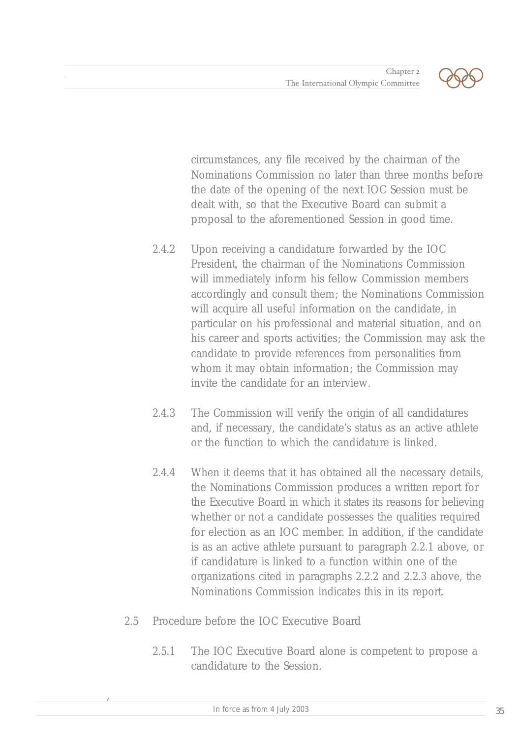Chapter 2 The International Olympic Committee



circumstances, any file received by the chairman of the Nominations Commission no later than three months before the date of the opening of the next IOC Session must be dealt with, so that the Executive Board can submit a proposal to the aforementioned Session in good time.

- 2.4.2 Upon receiving a candidature forwarded by the IOC President, the chairman of the Nominations Commission will immediately inform his fellow Commission members accordingly and consult them; the Nominations Commission will acquire all useful information on the candidate, in particular on his professional and material situation, and on his career and sports activities; the Commission may ask the candidate to provide references from personalities from whom it may obtain information; the Commission may invite the candidate for an interview.
- 2.4.3 The Commission will verify the origin of all candidatures and, if necessary, the candidate's status as an active athlete or the function to which the candidature is linked.
- 2.4.4 When it deems that it has obtained all the necessary details, the Nominations Commission produces a written report for the Executive Board in which it states its reasons for believing whether or not a candidate possesses the qualities required for election as an IOC member. In addition, if the candidate is as an active athlete pursuant to paragraph 2.2.1 above, or if candidature is linked to a function within one of the organizations cited in paragraphs 2.2.2 and 2.2.3 above, the Nominations Commission indicates this in its report.
- 2.5 Procedure before the IOC Executive Board

,

2.5.1 The IOC Executive Board alone is competent to propose a candidature to the Session.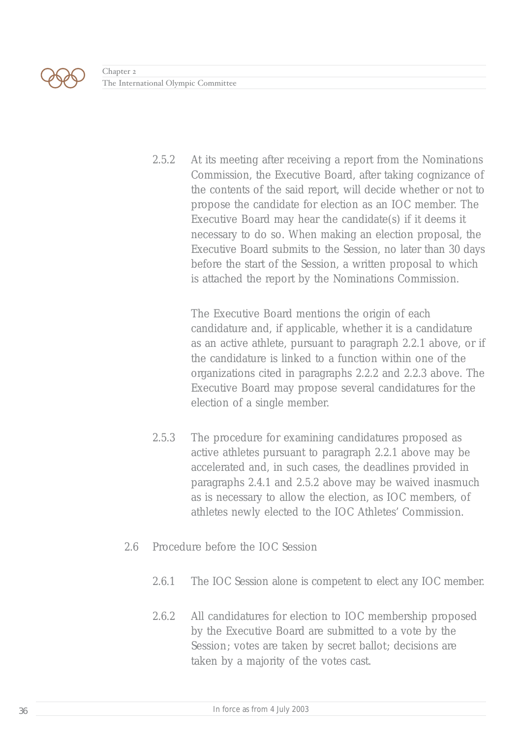

Chapter 2 The International Olympic Committee

> 2.5.2 At its meeting after receiving a report from the Nominations Commission, the Executive Board, after taking cognizance of the contents of the said report, will decide whether or not to propose the candidate for election as an IOC member. The Executive Board may hear the candidate(s) if it deems it necessary to do so. When making an election proposal, the Executive Board submits to the Session, no later than 30 days before the start of the Session, a written proposal to which is attached the report by the Nominations Commission.

> > The Executive Board mentions the origin of each candidature and, if applicable, whether it is a candidature as an active athlete, pursuant to paragraph 2.2.1 above, or if the candidature is linked to a function within one of the organizations cited in paragraphs 2.2.2 and 2.2.3 above. The Executive Board may propose several candidatures for the election of a single member.

- 2.5.3 The procedure for examining candidatures proposed as active athletes pursuant to paragraph 2.2.1 above may be accelerated and, in such cases, the deadlines provided in paragraphs 2.4.1 and 2.5.2 above may be waived inasmuch as is necessary to allow the election, as IOC members, of athletes newly elected to the IOC Athletes' Commission.
- 2.6 Procedure before the IOC Session
	- 2.6.1 The IOC Session alone is competent to elect any IOC member.
	- 2.6.2 All candidatures for election to IOC membership proposed by the Executive Board are submitted to a vote by the Session; votes are taken by secret ballot; decisions are taken by a majority of the votes cast.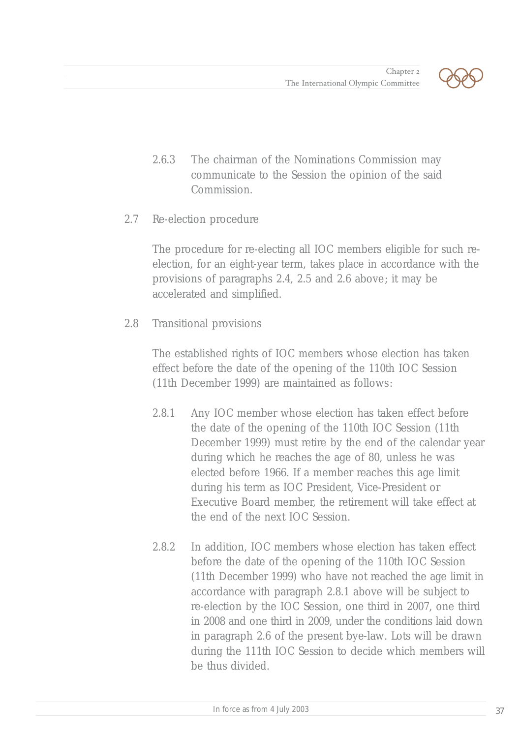

- 2.6.3 The chairman of the Nominations Commission may communicate to the Session the opinion of the said Commission.
- 2.7 Re-election procedure

The procedure for re-electing all IOC members eligible for such reelection, for an eight-year term, takes place in accordance with the provisions of paragraphs 2.4, 2.5 and 2.6 above; it may be accelerated and simplified.

2.8 Transitional provisions

The established rights of IOC members whose election has taken effect before the date of the opening of the 110th IOC Session (11th December 1999) are maintained as follows:

- 2.8.1 Any IOC member whose election has taken effect before the date of the opening of the 110th IOC Session (11th December 1999) must retire by the end of the calendar year during which he reaches the age of 80, unless he was elected before 1966. If a member reaches this age limit during his term as IOC President, Vice-President or Executive Board member, the retirement will take effect at the end of the next IOC Session.
- 2.8.2 In addition, IOC members whose election has taken effect before the date of the opening of the 110th IOC Session (11th December 1999) who have not reached the age limit in accordance with paragraph 2.8.1 above will be subject to re-election by the IOC Session, one third in 2007, one third in 2008 and one third in 2009, under the conditions laid down in paragraph 2.6 of the present bye-law. Lots will be drawn during the 111th IOC Session to decide which members will be thus divided.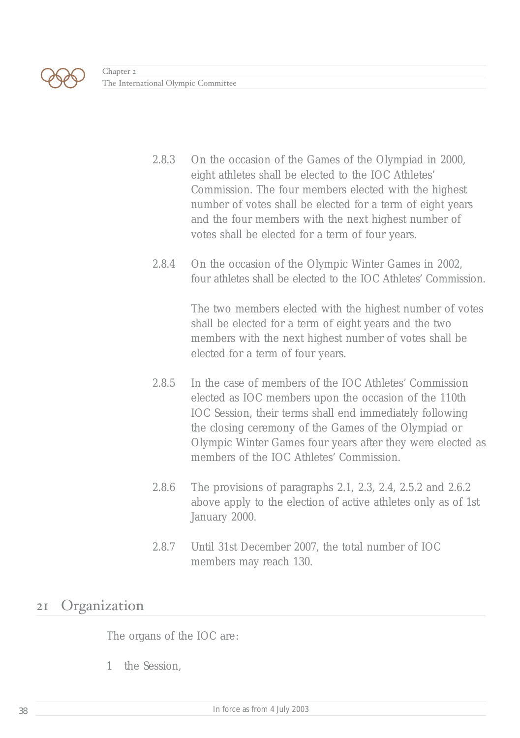

- 2.8.3 On the occasion of the Games of the Olympiad in 2000, eight athletes shall be elected to the IOC Athletes' Commission. The four members elected with the highest number of votes shall be elected for a term of eight years and the four members with the next highest number of votes shall be elected for a term of four years.
- 2.8.4 On the occasion of the Olympic Winter Games in 2002, four athletes shall be elected to the IOC Athletes' Commission.

The two members elected with the highest number of votes shall be elected for a term of eight years and the two members with the next highest number of votes shall be elected for a term of four years.

- 2.8.5 In the case of members of the IOC Athletes' Commission elected as IOC members upon the occasion of the 110th IOC Session, their terms shall end immediately following the closing ceremony of the Games of the Olympiad or Olympic Winter Games four years after they were elected as members of the IOC Athletes' Commission.
- 2.8.6 The provisions of paragraphs 2.1, 2.3, 2.4, 2.5.2 and 2.6.2 above apply to the election of active athletes only as of 1st January 2000.
- 2.8.7 Until 31st December 2007, the total number of IOC members may reach 130.

#### 21 Organization

The organs of the IOC are:

1 the Session,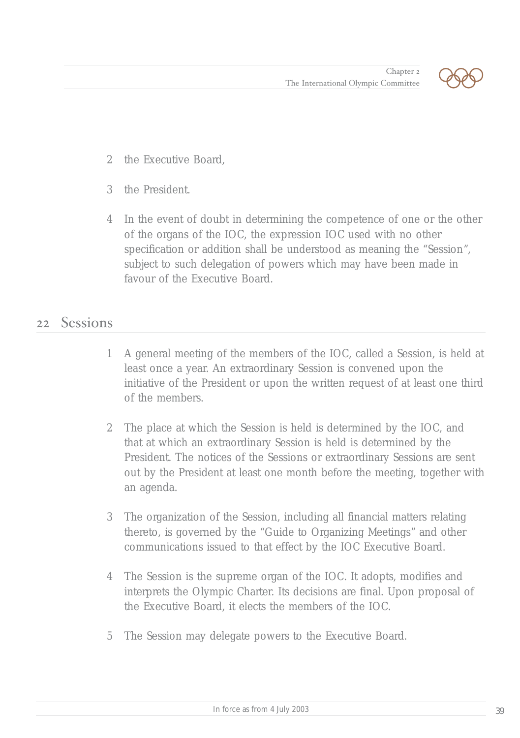

- 2 the Executive Board,
- 3 the President.
- 4 In the event of doubt in determining the competence of one or the other of the organs of the IOC, the expression IOC used with no other specification or addition shall be understood as meaning the "Session", subject to such delegation of powers which may have been made in favour of the Executive Board.

#### 22 Sessions

- 1 A general meeting of the members of the IOC, called a Session, is held at least once a year. An extraordinary Session is convened upon the initiative of the President or upon the written request of at least one third of the members.
- 2 The place at which the Session is held is determined by the IOC, and that at which an extraordinary Session is held is determined by the President. The notices of the Sessions or extraordinary Sessions are sent out by the President at least one month before the meeting, together with an agenda.
- 3 The organization of the Session, including all financial matters relating thereto, is governed by the "Guide to Organizing Meetings" and other communications issued to that effect by the IOC Executive Board.
- 4 The Session is the supreme organ of the IOC. It adopts, modifies and interprets the Olympic Charter. Its decisions are final. Upon proposal of the Executive Board, it elects the members of the IOC.
- 5 The Session may delegate powers to the Executive Board.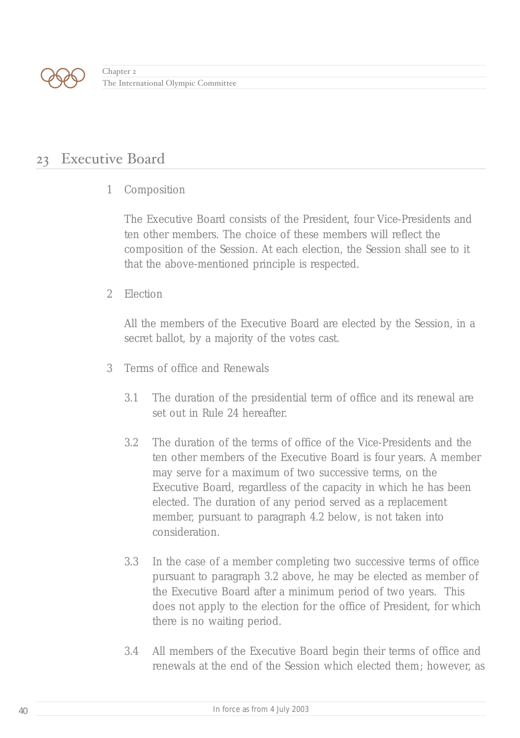# 23 Executive Board

1 Composition

The Executive Board consists of the President, four Vice-Presidents and ten other members. The choice of these members will reflect the composition of the Session. At each election, the Session shall see to it that the above-mentioned principle is respected.

2 Election

All the members of the Executive Board are elected by the Session, in a secret ballot, by a majority of the votes cast.

- 3 Terms of office and Renewals
	- 3.1 The duration of the presidential term of office and its renewal are set out in Rule 24 hereafter.
	- 3.2 The duration of the terms of office of the Vice-Presidents and the ten other members of the Executive Board is four years. A member may serve for a maximum of two successive terms, on the Executive Board, regardless of the capacity in which he has been elected. The duration of any period served as a replacement member, pursuant to paragraph 4.2 below, is not taken into consideration.
	- 3.3 In the case of a member completing two successive terms of office pursuant to paragraph 3.2 above, he may be elected as member of the Executive Board after a minimum period of two years. This does not apply to the election for the office of President, for which there is no waiting period.
	- 3.4 All members of the Executive Board begin their terms of office and renewals at the end of the Session which elected them; however, as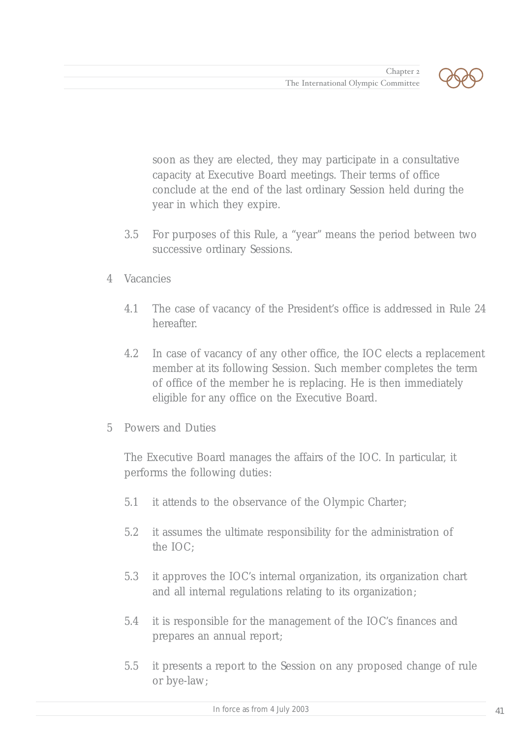

soon as they are elected, they may participate in a consultative capacity at Executive Board meetings. Their terms of office conclude at the end of the last ordinary Session held during the year in which they expire.

- 3.5 For purposes of this Rule, a "year" means the period between two successive ordinary Sessions.
- 4 Vacancies
	- 4.1 The case of vacancy of the President's office is addressed in Rule 24 hereafter.
	- 4.2 In case of vacancy of any other office, the IOC elects a replacement member at its following Session. Such member completes the term of office of the member he is replacing. He is then immediately eligible for any office on the Executive Board.
- 5 Powers and Duties

The Executive Board manages the affairs of the IOC. In particular, it performs the following duties:

- 5.1 it attends to the observance of the Olympic Charter;
- 5.2 it assumes the ultimate responsibility for the administration of the IOC;
- 5.3 it approves the IOC's internal organization, its organization chart and all internal regulations relating to its organization;
- 5.4 it is responsible for the management of the IOC's finances and prepares an annual report;
- 5.5 it presents a report to the Session on any proposed change of rule or bye-law;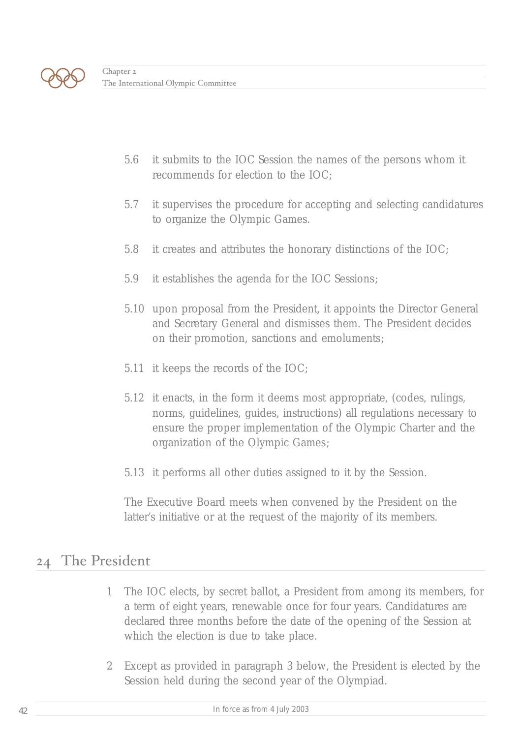- 5.6 it submits to the IOC Session the names of the persons whom it recommends for election to the IOC;
- 5.7 it supervises the procedure for accepting and selecting candidatures to organize the Olympic Games.
- 5.8 it creates and attributes the honorary distinctions of the IOC;
- 5.9 it establishes the agenda for the IOC Sessions;
- 5.10 upon proposal from the President, it appoints the Director General and Secretary General and dismisses them. The President decides on their promotion, sanctions and emoluments;
- 5.11 it keeps the records of the IOC;
- 5.12 it enacts, in the form it deems most appropriate, (codes, rulings, norms, guidelines, guides, instructions) all regulations necessary to ensure the proper implementation of the Olympic Charter and the organization of the Olympic Games;
- 5.13 it performs all other duties assigned to it by the Session.

The Executive Board meets when convened by the President on the latter's initiative or at the request of the majority of its members.

## 24 The President

- 1 The IOC elects, by secret ballot, a President from among its members, for a term of eight years, renewable once for four years. Candidatures are declared three months before the date of the opening of the Session at which the election is due to take place.
- 2 Except as provided in paragraph 3 below, the President is elected by the Session held during the second year of the Olympiad.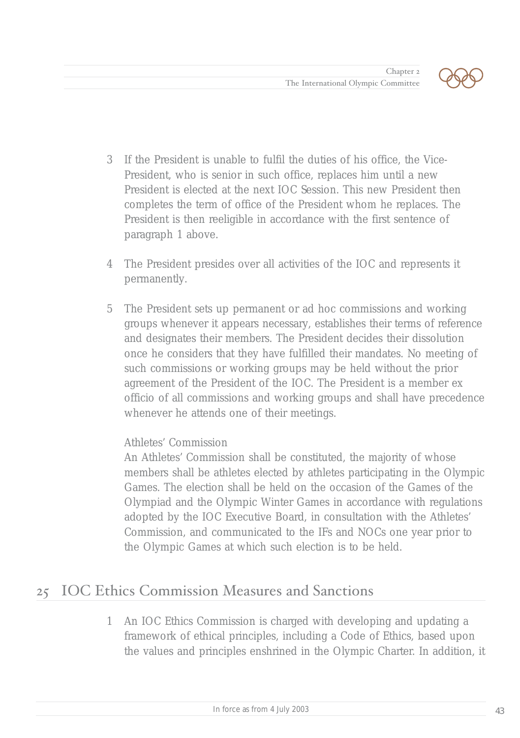

- 3 If the President is unable to fulfil the duties of his office, the Vice-President, who is senior in such office, replaces him until a new President is elected at the next IOC Session. This new President then completes the term of office of the President whom he replaces. The President is then reeligible in accordance with the first sentence of paragraph 1 above.
- 4 The President presides over all activities of the IOC and represents it permanently.
- 5 The President sets up permanent or ad hoc commissions and working groups whenever it appears necessary, establishes their terms of reference and designates their members. The President decides their dissolution once he considers that they have fulfilled their mandates. No meeting of such commissions or working groups may be held without the prior agreement of the President of the IOC. The President is a member ex officio of all commissions and working groups and shall have precedence whenever he attends one of their meetings.

#### Athletes' Commission

An Athletes' Commission shall be constituted, the majority of whose members shall be athletes elected by athletes participating in the Olympic Games. The election shall be held on the occasion of the Games of the Olympiad and the Olympic Winter Games in accordance with regulations adopted by the IOC Executive Board, in consultation with the Athletes' Commission, and communicated to the IFs and NOCs one year prior to the Olympic Games at which such election is to be held.

## 25 IOC Ethics Commission Measures and Sanctions

1 An IOC Ethics Commission is charged with developing and updating a framework of ethical principles, including a Code of Ethics, based upon the values and principles enshrined in the Olympic Charter. In addition, it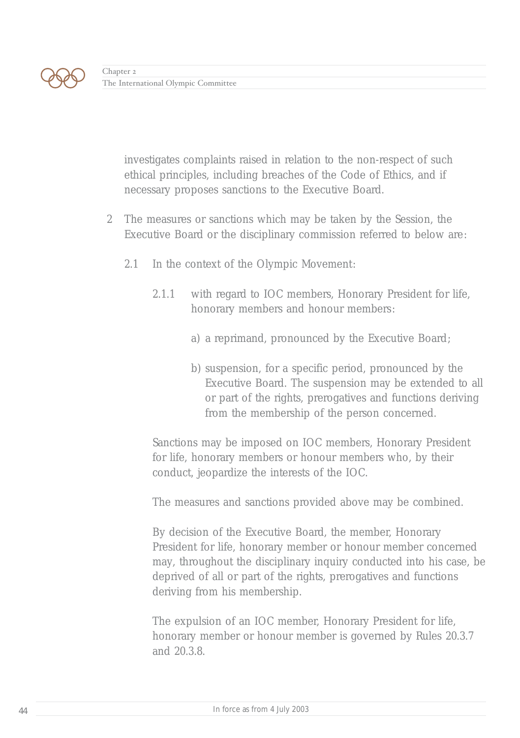investigates complaints raised in relation to the non-respect of such ethical principles, including breaches of the Code of Ethics, and if necessary proposes sanctions to the Executive Board.

- 2 The measures or sanctions which may be taken by the Session, the Executive Board or the disciplinary commission referred to below are:
	- 2.1 In the context of the Olympic Movement:
		- 2.1.1 with regard to IOC members, Honorary President for life, honorary members and honour members:
			- a) a reprimand, pronounced by the Executive Board;
			- b) suspension, for a specific period, pronounced by the Executive Board. The suspension may be extended to all or part of the rights, prerogatives and functions deriving from the membership of the person concerned.

Sanctions may be imposed on IOC members, Honorary President for life, honorary members or honour members who, by their conduct, jeopardize the interests of the IOC.

The measures and sanctions provided above may be combined.

By decision of the Executive Board, the member, Honorary President for life, honorary member or honour member concerned may, throughout the disciplinary inquiry conducted into his case, be deprived of all or part of the rights, prerogatives and functions deriving from his membership.

The expulsion of an IOC member, Honorary President for life, honorary member or honour member is governed by Rules 20.3.7 and 20.3.8.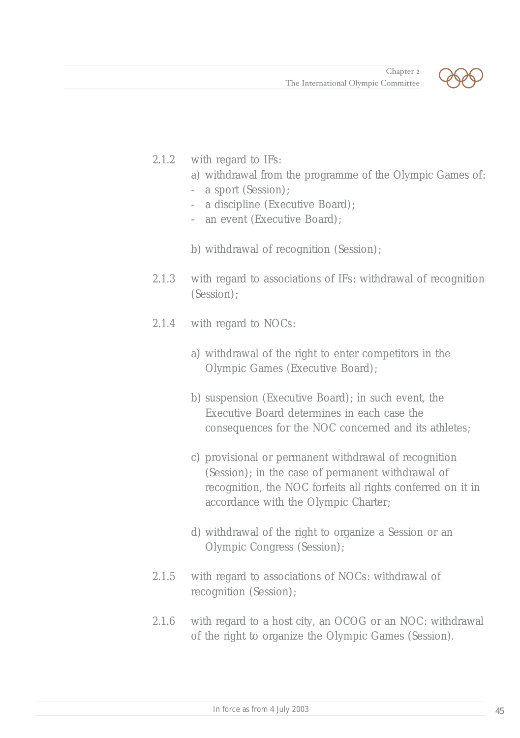

- 2.1.2 with regard to IFs:
	- a) withdrawal from the programme of the Olympic Games of:
	- a sport (Session);
	- a discipline (Executive Board);
	- an event (Executive Board):
	- b) withdrawal of recognition (Session);
- 2.1.3 with regard to associations of IFs: withdrawal of recognition (Session);
- 2.1.4 with regard to NOCs:
	- a) withdrawal of the right to enter competitors in the Olympic Games (Executive Board);
	- b) suspension (Executive Board); in such event, the Executive Board determines in each case the consequences for the NOC concerned and its athletes;
	- c) provisional or permanent withdrawal of recognition (Session); in the case of permanent withdrawal of recognition, the NOC forfeits all rights conferred on it in accordance with the Olympic Charter;
	- d) withdrawal of the right to organize a Session or an Olympic Congress (Session);
- 2.1.5 with regard to associations of NOCs: withdrawal of recognition (Session);
- 2.1.6 with regard to a host city, an OCOG or an NOC: withdrawal of the right to organize the Olympic Games (Session).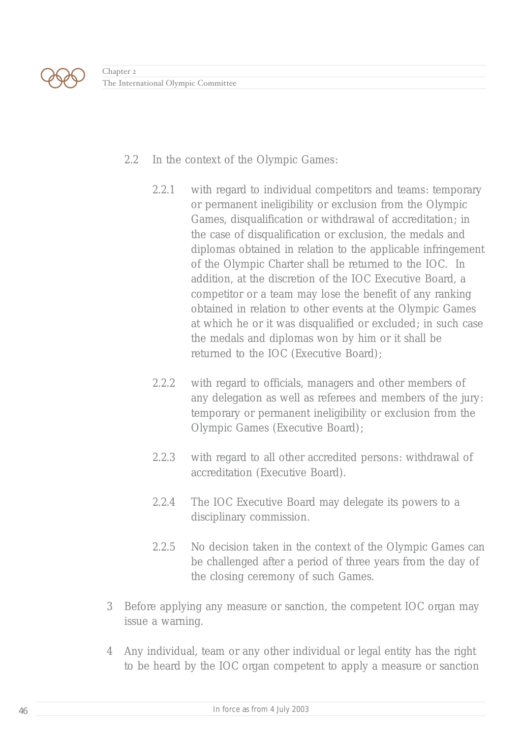#### 2.2 In the context of the Olympic Games:

- 2.2.1 with regard to individual competitors and teams: temporary or permanent ineligibility or exclusion from the Olympic Games, disqualification or withdrawal of accreditation; in the case of disqualification or exclusion, the medals and diplomas obtained in relation to the applicable infringement of the Olympic Charter shall be returned to the IOC. In addition, at the discretion of the IOC Executive Board, a competitor or a team may lose the benefit of any ranking obtained in relation to other events at the Olympic Games at which he or it was disqualified or excluded; in such case the medals and diplomas won by him or it shall be returned to the IOC (Executive Board);
- 2.2.2 with regard to officials, managers and other members of any delegation as well as referees and members of the jury: temporary or permanent ineligibility or exclusion from the Olympic Games (Executive Board);
- 2.2.3 with regard to all other accredited persons: withdrawal of accreditation (Executive Board).
- 2.2.4 The IOC Executive Board may delegate its powers to a disciplinary commission.
- 2.2.5 No decision taken in the context of the Olympic Games can be challenged after a period of three years from the day of the closing ceremony of such Games.
- 3 Before applying any measure or sanction, the competent IOC organ may issue a warning.
- 4 Any individual, team or any other individual or legal entity has the right to be heard by the IOC organ competent to apply a measure or sanction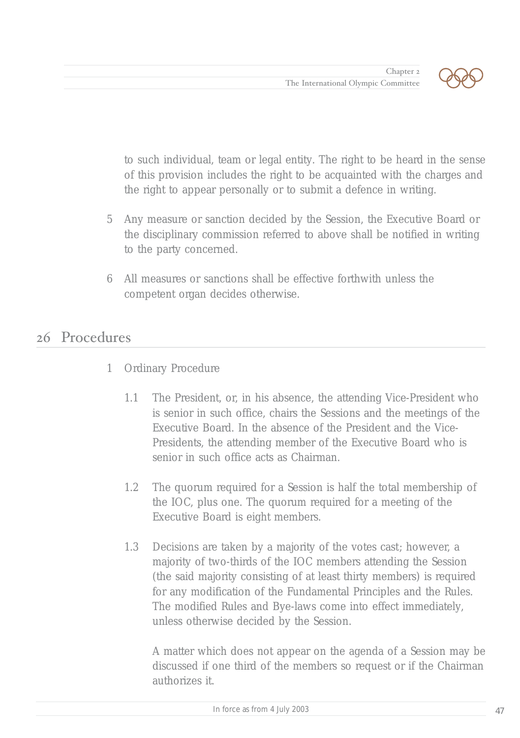

to such individual, team or legal entity. The right to be heard in the sense of this provision includes the right to be acquainted with the charges and the right to appear personally or to submit a defence in writing.

- 5 Any measure or sanction decided by the Session, the Executive Board or the disciplinary commission referred to above shall be notified in writing to the party concerned.
- 6 All measures or sanctions shall be effective forthwith unless the competent organ decides otherwise.

## 26 Procedures

- 1 Ordinary Procedure
	- 1.1 The President, or, in his absence, the attending Vice-President who is senior in such office, chairs the Sessions and the meetings of the Executive Board. In the absence of the President and the Vice-Presidents, the attending member of the Executive Board who is senior in such office acts as Chairman.
	- 1.2 The quorum required for a Session is half the total membership of the IOC, plus one. The quorum required for a meeting of the Executive Board is eight members.
	- 1.3 Decisions are taken by a majority of the votes cast; however, a majority of two-thirds of the IOC members attending the Session (the said majority consisting of at least thirty members) is required for any modification of the Fundamental Principles and the Rules. The modified Rules and Bye-laws come into effect immediately, unless otherwise decided by the Session.

A matter which does not appear on the agenda of a Session may be discussed if one third of the members so request or if the Chairman authorizes it.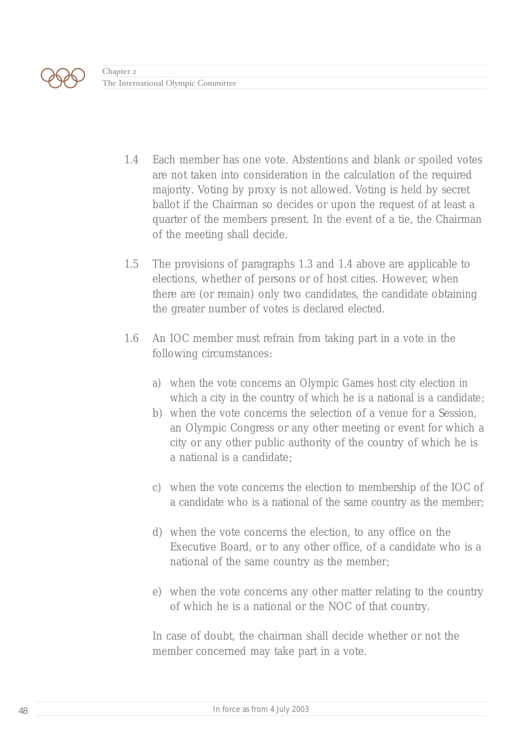- 1.4 Each member has one vote. Abstentions and blank or spoiled votes are not taken into consideration in the calculation of the required majority. Voting by proxy is not allowed. Voting is held by secret ballot if the Chairman so decides or upon the request of at least a quarter of the members present. In the event of a tie, the Chairman of the meeting shall decide.
- 1.5 The provisions of paragraphs 1.3 and 1.4 above are applicable to elections, whether of persons or of host cities. However, when there are (or remain) only two candidates, the candidate obtaining the greater number of votes is declared elected.
- 1.6 An IOC member must refrain from taking part in a vote in the following circumstances:
	- a) when the vote concerns an Olympic Games host city election in which a city in the country of which he is a national is a candidate;
	- b) when the vote concerns the selection of a venue for a Session, an Olympic Congress or any other meeting or event for which a city or any other public authority of the country of which he is a national is a candidate;
	- c) when the vote concerns the election to membership of the IOC of a candidate who is a national of the same country as the member;
	- d) when the vote concerns the election, to any office on the Executive Board, or to any other office, of a candidate who is a national of the same country as the member;
	- e) when the vote concerns any other matter relating to the country of which he is a national or the NOC of that country.

In case of doubt, the chairman shall decide whether or not the member concerned may take part in a vote.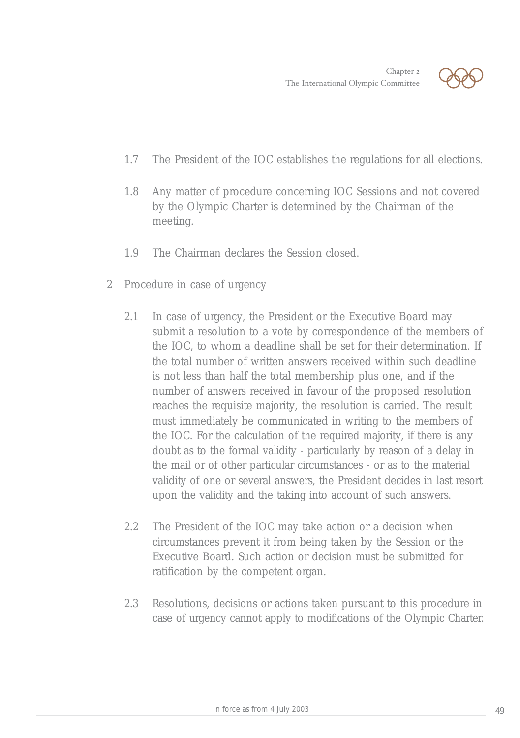

- 1.7 The President of the IOC establishes the regulations for all elections.
- 1.8 Any matter of procedure concerning IOC Sessions and not covered by the Olympic Charter is determined by the Chairman of the meeting.
- 1.9 The Chairman declares the Session closed.
- 2 Procedure in case of urgency
	- 2.1 In case of urgency, the President or the Executive Board may submit a resolution to a vote by correspondence of the members of the IOC, to whom a deadline shall be set for their determination. If the total number of written answers received within such deadline is not less than half the total membership plus one, and if the number of answers received in favour of the proposed resolution reaches the requisite majority, the resolution is carried. The result must immediately be communicated in writing to the members of the IOC. For the calculation of the required majority, if there is any doubt as to the formal validity - particularly by reason of a delay in the mail or of other particular circumstances - or as to the material validity of one or several answers, the President decides in last resort upon the validity and the taking into account of such answers.
	- 2.2 The President of the IOC may take action or a decision when circumstances prevent it from being taken by the Session or the Executive Board. Such action or decision must be submitted for ratification by the competent organ.
	- 2.3 Resolutions, decisions or actions taken pursuant to this procedure in case of urgency cannot apply to modifications of the Olympic Charter.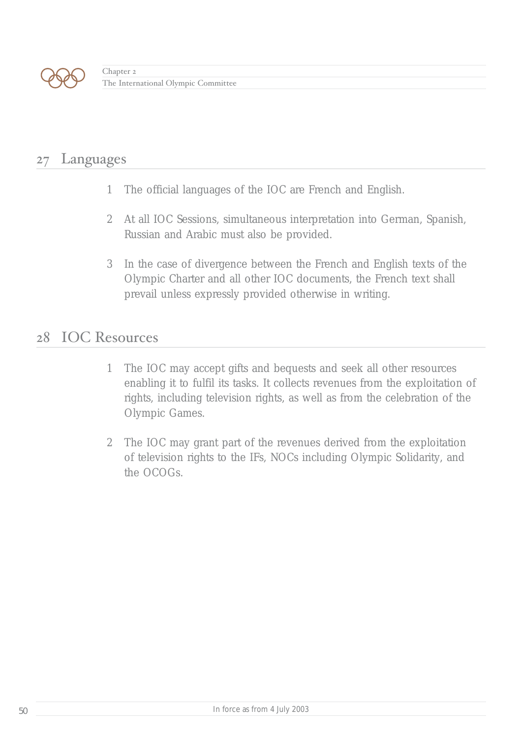## 27 Languages

- 1 The official languages of the IOC are French and English.
- 2 At all IOC Sessions, simultaneous interpretation into German, Spanish, Russian and Arabic must also be provided.
- 3 In the case of divergence between the French and English texts of the Olympic Charter and all other IOC documents, the French text shall prevail unless expressly provided otherwise in writing.

## 28 IOC Resources

- 1 The IOC may accept gifts and bequests and seek all other resources enabling it to fulfil its tasks. It collects revenues from the exploitation of rights, including television rights, as well as from the celebration of the Olympic Games.
- 2 The IOC may grant part of the revenues derived from the exploitation of television rights to the IFs, NOCs including Olympic Solidarity, and the OCOGs.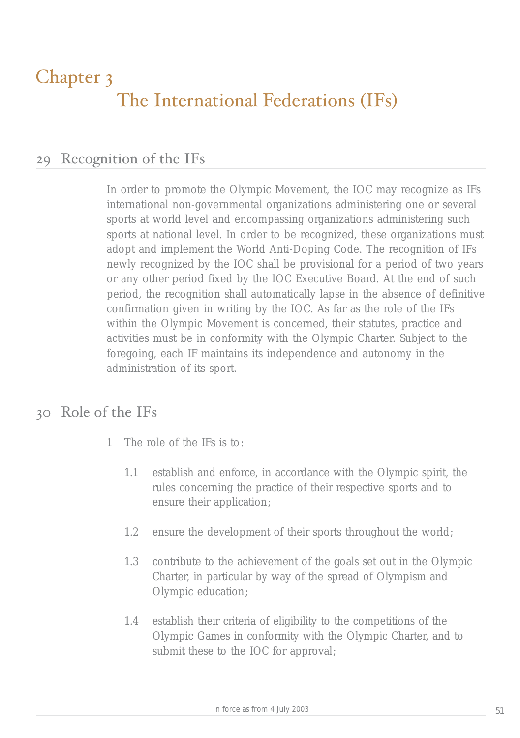# Chapter 3

# The International Federations (IFs)

## 29 Recognition of the IFs

In order to promote the Olympic Movement, the IOC may recognize as IFs international non-governmental organizations administering one or several sports at world level and encompassing organizations administering such sports at national level. In order to be recognized, these organizations must adopt and implement the World Anti-Doping Code. The recognition of IFs newly recognized by the IOC shall be provisional for a period of two years or any other period fixed by the IOC Executive Board. At the end of such period, the recognition shall automatically lapse in the absence of definitive confirmation given in writing by the IOC. As far as the role of the IFs within the Olympic Movement is concerned, their statutes, practice and activities must be in conformity with the Olympic Charter. Subject to the foregoing, each IF maintains its independence and autonomy in the administration of its sport.

#### 30 Role of the IFs

- 1 The role of the IFs is to:
	- 1.1 establish and enforce, in accordance with the Olympic spirit, the rules concerning the practice of their respective sports and to ensure their application;
	- 1.2 ensure the development of their sports throughout the world;
	- 1.3 contribute to the achievement of the goals set out in the Olympic Charter, in particular by way of the spread of Olympism and Olympic education;
	- 1.4 establish their criteria of eligibility to the competitions of the Olympic Games in conformity with the Olympic Charter, and to submit these to the IOC for approval;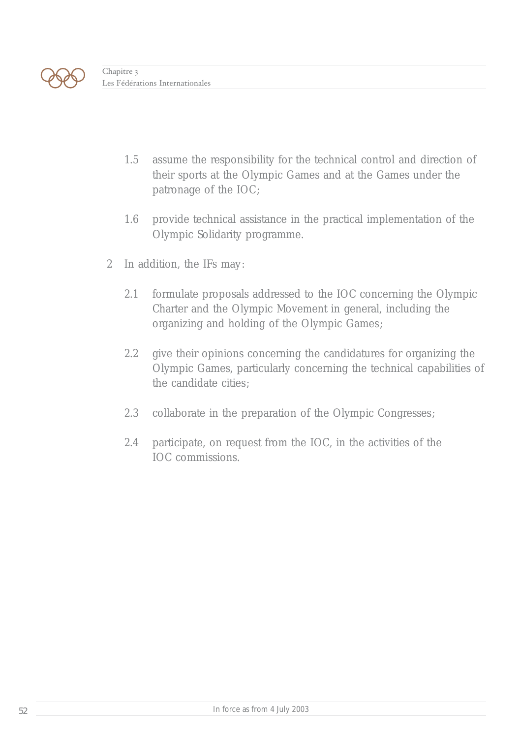- 1.5 assume the responsibility for the technical control and direction of their sports at the Olympic Games and at the Games under the patronage of the IOC;
- 1.6 provide technical assistance in the practical implementation of the Olympic Solidarity programme.
- 2 In addition, the IFs may:
	- 2.1 formulate proposals addressed to the IOC concerning the Olympic Charter and the Olympic Movement in general, including the organizing and holding of the Olympic Games;
	- 2.2 give their opinions concerning the candidatures for organizing the Olympic Games, particularly concerning the technical capabilities of the candidate cities;
	- 2.3 collaborate in the preparation of the Olympic Congresses;
	- 2.4 participate, on request from the IOC, in the activities of the IOC commissions.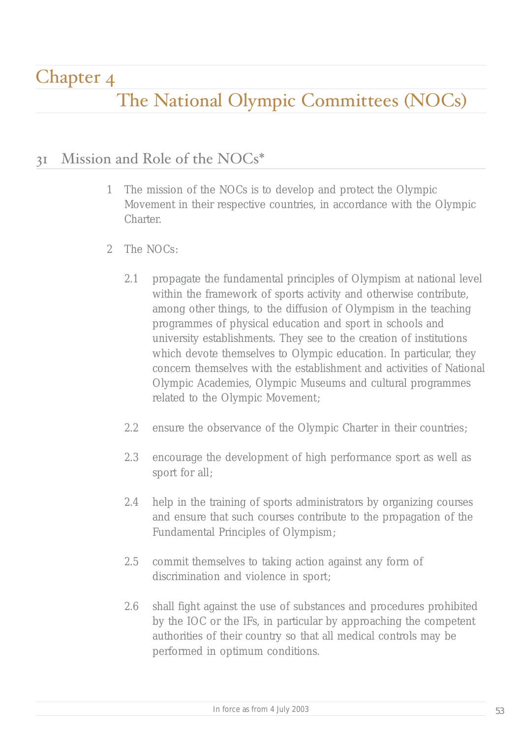# Chapter 4

# The National Olympic Committees (NOCs)

# 31 Mission and Role of the NOCs\*

- 1 The mission of the NOCs is to develop and protect the Olympic Movement in their respective countries, in accordance with the Olympic Charter.
- 2 The NOCs<sup>-</sup>
	- 2.1 propagate the fundamental principles of Olympism at national level within the framework of sports activity and otherwise contribute, among other things, to the diffusion of Olympism in the teaching programmes of physical education and sport in schools and university establishments. They see to the creation of institutions which devote themselves to Olympic education. In particular, they concern themselves with the establishment and activities of National Olympic Academies, Olympic Museums and cultural programmes related to the Olympic Movement;
	- 2.2 ensure the observance of the Olympic Charter in their countries;
	- 2.3 encourage the development of high performance sport as well as sport for all;
	- 2.4 help in the training of sports administrators by organizing courses and ensure that such courses contribute to the propagation of the Fundamental Principles of Olympism;
	- 2.5 commit themselves to taking action against any form of discrimination and violence in sport;
	- 2.6 shall fight against the use of substances and procedures prohibited by the IOC or the IFs, in particular by approaching the competent authorities of their country so that all medical controls may be performed in optimum conditions.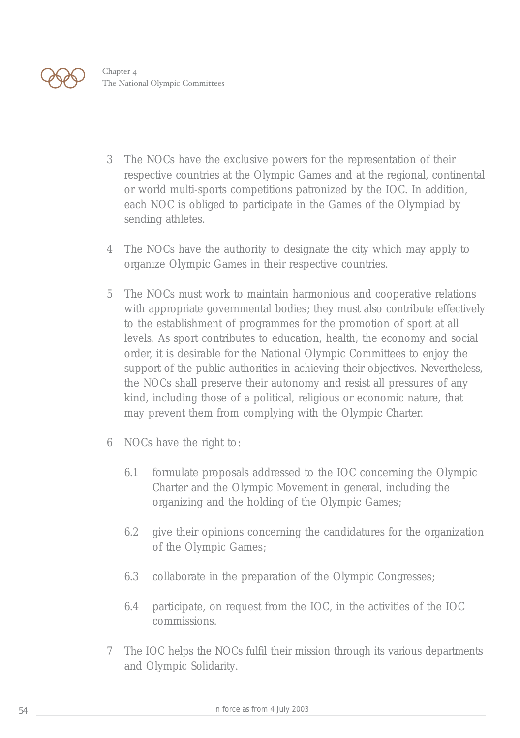- 3 The NOCs have the exclusive powers for the representation of their respective countries at the Olympic Games and at the regional, continental or world multi-sports competitions patronized by the IOC. In addition, each NOC is obliged to participate in the Games of the Olympiad by sending athletes.
- 4 The NOCs have the authority to designate the city which may apply to organize Olympic Games in their respective countries.
- 5 The NOCs must work to maintain harmonious and cooperative relations with appropriate governmental bodies; they must also contribute effectively to the establishment of programmes for the promotion of sport at all levels. As sport contributes to education, health, the economy and social order, it is desirable for the National Olympic Committees to enjoy the support of the public authorities in achieving their objectives. Nevertheless, the NOCs shall preserve their autonomy and resist all pressures of any kind, including those of a political, religious or economic nature, that may prevent them from complying with the Olympic Charter.
- 6 NOCs have the right to:
	- 6.1 formulate proposals addressed to the IOC concerning the Olympic Charter and the Olympic Movement in general, including the organizing and the holding of the Olympic Games;
	- 6.2 give their opinions concerning the candidatures for the organization of the Olympic Games;
	- 6.3 collaborate in the preparation of the Olympic Congresses;
	- 6.4 participate, on request from the IOC, in the activities of the IOC commissions.
- 7 The IOC helps the NOCs fulfil their mission through its various departments and Olympic Solidarity.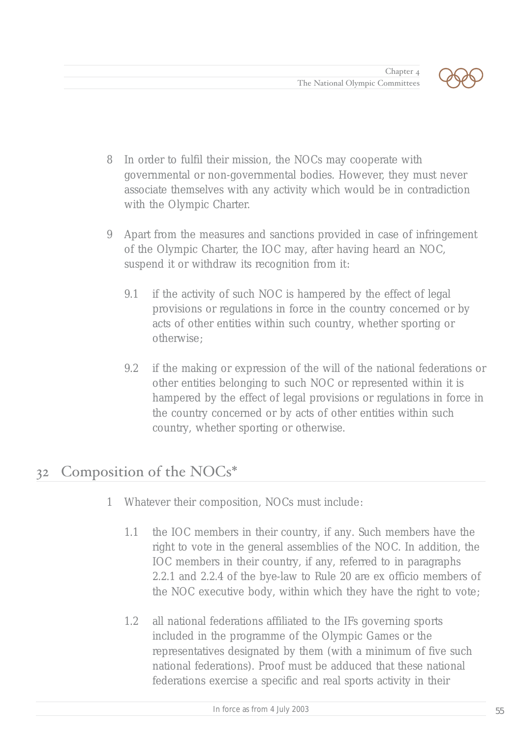

- 8 In order to fulfil their mission, the NOCs may cooperate with governmental or non-governmental bodies. However, they must never associate themselves with any activity which would be in contradiction with the Olympic Charter.
- 9 Apart from the measures and sanctions provided in case of infringement of the Olympic Charter, the IOC may, after having heard an NOC, suspend it or withdraw its recognition from it:
	- 9.1 if the activity of such NOC is hampered by the effect of legal provisions or regulations in force in the country concerned or by acts of other entities within such country, whether sporting or otherwise;
	- 9.2 if the making or expression of the will of the national federations or other entities belonging to such NOC or represented within it is hampered by the effect of legal provisions or regulations in force in the country concerned or by acts of other entities within such country, whether sporting or otherwise.

# 32 Composition of the NOCs\*

- 1 Whatever their composition, NOCs must include:
	- 1.1 the IOC members in their country, if any. Such members have the right to vote in the general assemblies of the NOC. In addition, the IOC members in their country, if any, referred to in paragraphs 2.2.1 and 2.2.4 of the bye-law to Rule 20 are ex officio members of the NOC executive body, within which they have the right to vote;
	- 1.2 all national federations affiliated to the IFs governing sports included in the programme of the Olympic Games or the representatives designated by them (with a minimum of five such national federations). Proof must be adduced that these national federations exercise a specific and real sports activity in their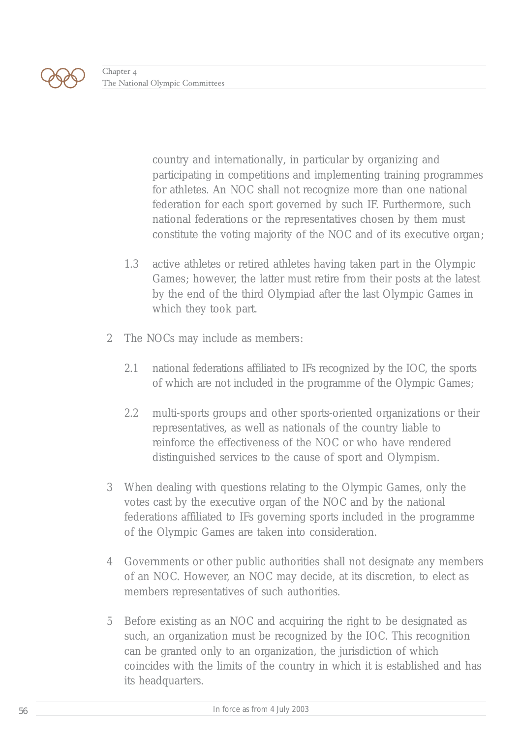

country and internationally, in particular by organizing and participating in competitions and implementing training programmes for athletes. An NOC shall not recognize more than one national federation for each sport governed by such IF. Furthermore, such national federations or the representatives chosen by them must constitute the voting majority of the NOC and of its executive organ;

- 1.3 active athletes or retired athletes having taken part in the Olympic Games; however, the latter must retire from their posts at the latest by the end of the third Olympiad after the last Olympic Games in which they took part.
- 2 The NOCs may include as members:
	- 2.1 national federations affiliated to IFs recognized by the IOC, the sports of which are not included in the programme of the Olympic Games;
	- 2.2 multi-sports groups and other sports-oriented organizations or their representatives, as well as nationals of the country liable to reinforce the effectiveness of the NOC or who have rendered distinguished services to the cause of sport and Olympism.
- 3 When dealing with questions relating to the Olympic Games, only the votes cast by the executive organ of the NOC and by the national federations affiliated to IFs governing sports included in the programme of the Olympic Games are taken into consideration.
- 4 Governments or other public authorities shall not designate any members of an NOC. However, an NOC may decide, at its discretion, to elect as members representatives of such authorities.
- 5 Before existing as an NOC and acquiring the right to be designated as such, an organization must be recognized by the IOC. This recognition can be granted only to an organization, the jurisdiction of which coincides with the limits of the country in which it is established and has its headquarters.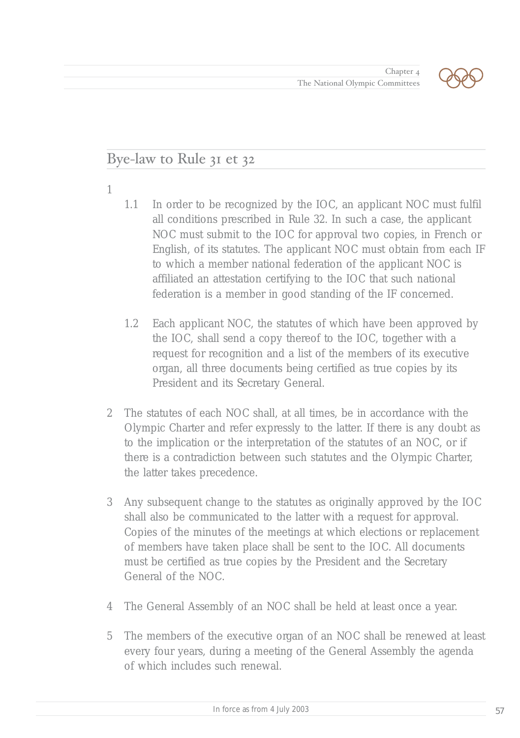

# Bye-law to Rule 31 et 32

- 1
- 1.1 In order to be recognized by the IOC, an applicant NOC must fulfil all conditions prescribed in Rule 32. In such a case, the applicant NOC must submit to the IOC for approval two copies, in French or English, of its statutes. The applicant NOC must obtain from each IF to which a member national federation of the applicant NOC is affiliated an attestation certifying to the IOC that such national federation is a member in good standing of the IF concerned.
- 1.2 Each applicant NOC, the statutes of which have been approved by the IOC, shall send a copy thereof to the IOC, together with a request for recognition and a list of the members of its executive organ, all three documents being certified as true copies by its President and its Secretary General.
- 2 The statutes of each NOC shall, at all times, be in accordance with the Olympic Charter and refer expressly to the latter. If there is any doubt as to the implication or the interpretation of the statutes of an NOC, or if there is a contradiction between such statutes and the Olympic Charter, the latter takes precedence.
- 3 Any subsequent change to the statutes as originally approved by the IOC shall also be communicated to the latter with a request for approval. Copies of the minutes of the meetings at which elections or replacement of members have taken place shall be sent to the IOC. All documents must be certified as true copies by the President and the Secretary General of the NOC.
- 4 The General Assembly of an NOC shall be held at least once a year.
- 5 The members of the executive organ of an NOC shall be renewed at least every four years, during a meeting of the General Assembly the agenda of which includes such renewal.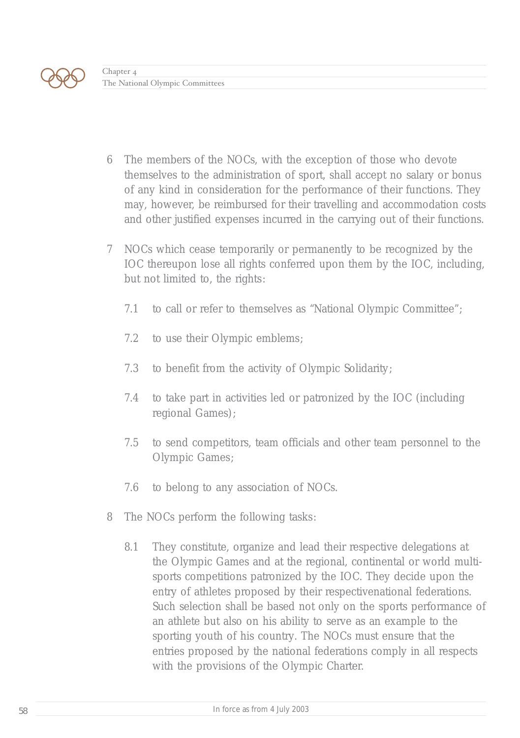- 6 The members of the NOCs, with the exception of those who devote themselves to the administration of sport, shall accept no salary or bonus of any kind in consideration for the performance of their functions. They may, however, be reimbursed for their travelling and accommodation costs and other justified expenses incurred in the carrying out of their functions.
- 7 NOCs which cease temporarily or permanently to be recognized by the IOC thereupon lose all rights conferred upon them by the IOC, including, but not limited to, the rights:
	- 7.1 to call or refer to themselves as "National Olympic Committee";
	- 7.2 to use their Olympic emblems;
	- 7.3 to benefit from the activity of Olympic Solidarity;
	- 7.4 to take part in activities led or patronized by the IOC (including regional Games);
	- 7.5 to send competitors, team officials and other team personnel to the Olympic Games;
	- 7.6 to belong to any association of NOCs.
- 8 The NOCs perform the following tasks:
	- 8.1 They constitute, organize and lead their respective delegations at the Olympic Games and at the regional, continental or world multisports competitions patronized by the IOC. They decide upon the entry of athletes proposed by their respectivenational federations. Such selection shall be based not only on the sports performance of an athlete but also on his ability to serve as an example to the sporting youth of his country. The NOCs must ensure that the entries proposed by the national federations comply in all respects with the provisions of the Olympic Charter.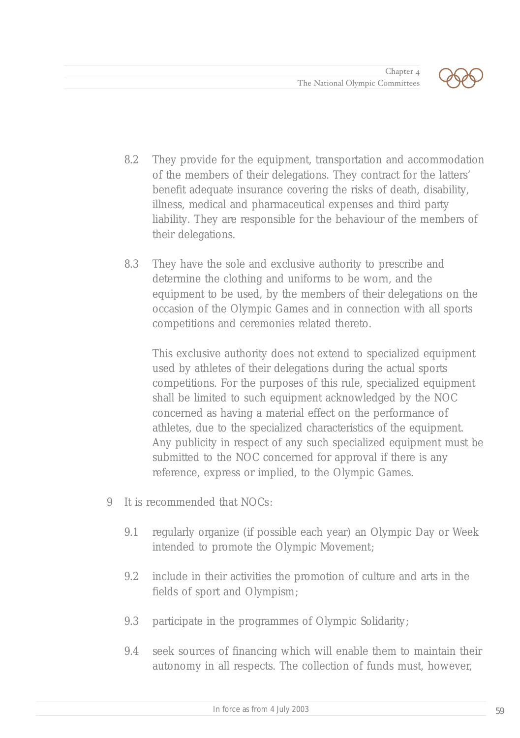

- 8.2 They provide for the equipment, transportation and accommodation of the members of their delegations. They contract for the latters' benefit adequate insurance covering the risks of death, disability, illness, medical and pharmaceutical expenses and third party liability. They are responsible for the behaviour of the members of their delegations.
- 8.3 They have the sole and exclusive authority to prescribe and determine the clothing and uniforms to be worn, and the equipment to be used, by the members of their delegations on the occasion of the Olympic Games and in connection with all sports competitions and ceremonies related thereto.

This exclusive authority does not extend to specialized equipment used by athletes of their delegations during the actual sports competitions. For the purposes of this rule, specialized equipment shall be limited to such equipment acknowledged by the NOC concerned as having a material effect on the performance of athletes, due to the specialized characteristics of the equipment. Any publicity in respect of any such specialized equipment must be submitted to the NOC concerned for approval if there is any reference, express or implied, to the Olympic Games.

- 9 It is recommended that NOCs:
	- 9.1 regularly organize (if possible each year) an Olympic Day or Week intended to promote the Olympic Movement;
	- 9.2 include in their activities the promotion of culture and arts in the fields of sport and Olympism;
	- 9.3 participate in the programmes of Olympic Solidarity;
	- 9.4 seek sources of financing which will enable them to maintain their autonomy in all respects. The collection of funds must, however,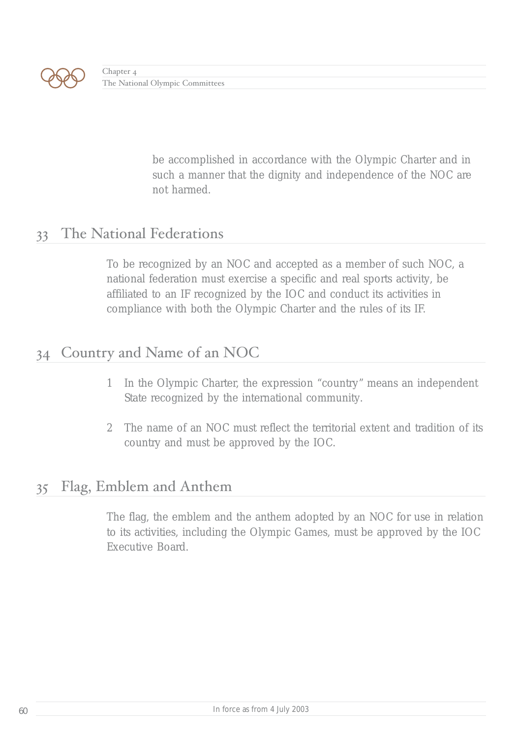

be accomplished in accordance with the Olympic Charter and in such a manner that the dignity and independence of the NOC are not harmed.

## 33 The National Federations

To be recognized by an NOC and accepted as a member of such NOC, a national federation must exercise a specific and real sports activity, be affiliated to an IF recognized by the IOC and conduct its activities in compliance with both the Olympic Charter and the rules of its IF.

## 34 Country and Name of an NOC

- 1 In the Olympic Charter, the expression "country" means an independent State recognized by the international community.
- 2 The name of an NOC must reflect the territorial extent and tradition of its country and must be approved by the IOC.

#### 35 Flag, Emblem and Anthem

The flag, the emblem and the anthem adopted by an NOC for use in relation to its activities, including the Olympic Games, must be approved by the IOC Executive Board.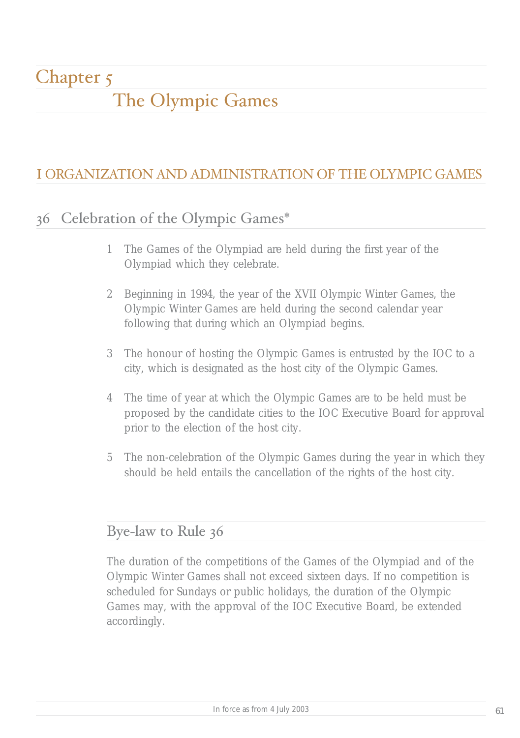Chapter<sub>5</sub>

# The Olympic Games

## I ORGANIZATION AND ADMINISTRATION OF THE OLYMPIC GAMES

### 36 Celebration of the Olympic Games\*

- 1 The Games of the Olympiad are held during the first year of the Olympiad which they celebrate.
- 2 Beginning in 1994, the year of the XVII Olympic Winter Games, the Olympic Winter Games are held during the second calendar year following that during which an Olympiad begins.
- 3 The honour of hosting the Olympic Games is entrusted by the IOC to a city, which is designated as the host city of the Olympic Games.
- 4 The time of year at which the Olympic Games are to be held must be proposed by the candidate cities to the IOC Executive Board for approval prior to the election of the host city.
- 5 The non-celebration of the Olympic Games during the year in which they should be held entails the cancellation of the rights of the host city.

#### Bye-law to Rule 36

The duration of the competitions of the Games of the Olympiad and of the Olympic Winter Games shall not exceed sixteen days. If no competition is scheduled for Sundays or public holidays, the duration of the Olympic Games may, with the approval of the IOC Executive Board, be extended accordingly.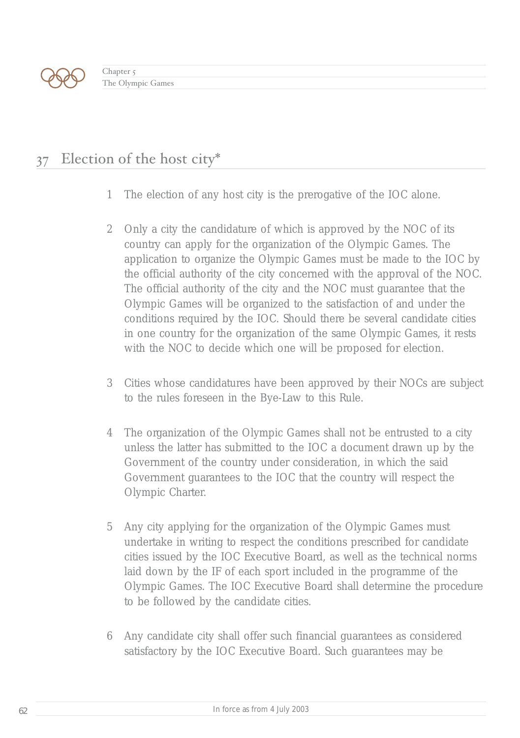# 37 Election of the host city\*

- 1 The election of any host city is the prerogative of the IOC alone.
- 2 Only a city the candidature of which is approved by the NOC of its country can apply for the organization of the Olympic Games. The application to organize the Olympic Games must be made to the IOC by the official authority of the city concerned with the approval of the NOC. The official authority of the city and the NOC must guarantee that the Olympic Games will be organized to the satisfaction of and under the conditions required by the IOC. Should there be several candidate cities in one country for the organization of the same Olympic Games, it rests with the NOC to decide which one will be proposed for election.
- 3 Cities whose candidatures have been approved by their NOCs are subject to the rules foreseen in the Bye-Law to this Rule.
- 4 The organization of the Olympic Games shall not be entrusted to a city unless the latter has submitted to the IOC a document drawn up by the Government of the country under consideration, in which the said Government guarantees to the IOC that the country will respect the Olympic Charter.
- 5 Any city applying for the organization of the Olympic Games must undertake in writing to respect the conditions prescribed for candidate cities issued by the IOC Executive Board, as well as the technical norms laid down by the IF of each sport included in the programme of the Olympic Games. The IOC Executive Board shall determine the procedure to be followed by the candidate cities.
- 6 Any candidate city shall offer such financial guarantees as considered satisfactory by the IOC Executive Board. Such guarantees may be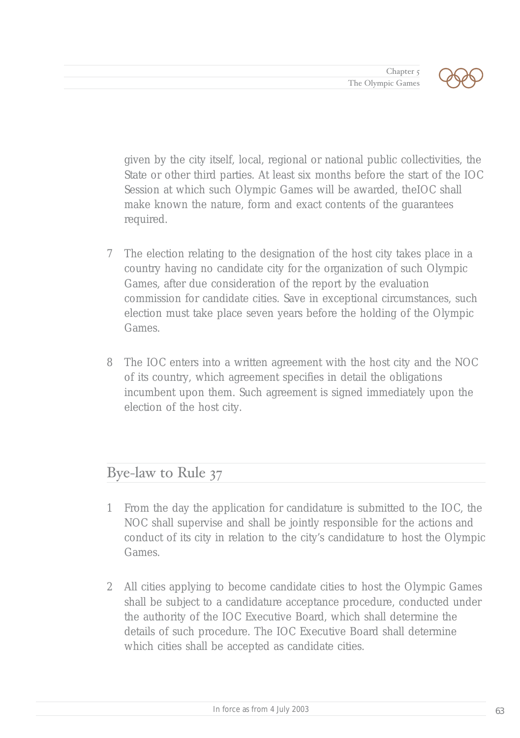Chapter 5 The Olympic Games



given by the city itself, local, regional or national public collectivities, the State or other third parties. At least six months before the start of the IOC Session at which such Olympic Games will be awarded, theIOC shall make known the nature, form and exact contents of the guarantees required.

- 7 The election relating to the designation of the host city takes place in a country having no candidate city for the organization of such Olympic Games, after due consideration of the report by the evaluation commission for candidate cities. Save in exceptional circumstances, such election must take place seven years before the holding of the Olympic Games.
- 8 The IOC enters into a written agreement with the host city and the NOC of its country, which agreement specifies in detail the obligations incumbent upon them. Such agreement is signed immediately upon the election of the host city.

#### Bye-law to Rule 37

- 1 From the day the application for candidature is submitted to the IOC, the NOC shall supervise and shall be jointly responsible for the actions and conduct of its city in relation to the city's candidature to host the Olympic Games.
- 2 All cities applying to become candidate cities to host the Olympic Games shall be subject to a candidature acceptance procedure, conducted under the authority of the IOC Executive Board, which shall determine the details of such procedure. The IOC Executive Board shall determine which cities shall be accepted as candidate cities.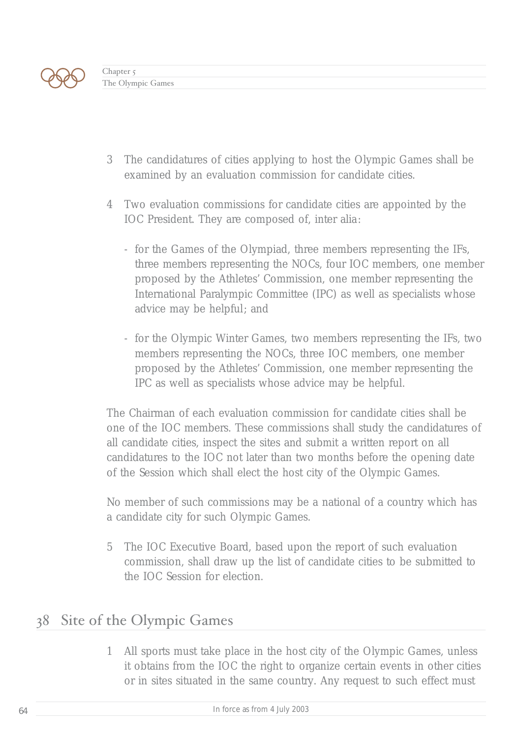- 3 The candidatures of cities applying to host the Olympic Games shall be examined by an evaluation commission for candidate cities.
- 4 Two evaluation commissions for candidate cities are appointed by the IOC President. They are composed of, inter alia:
	- for the Games of the Olympiad, three members representing the IFs, three members representing the NOCs, four IOC members, one member proposed by the Athletes' Commission, one member representing the International Paralympic Committee (IPC) as well as specialists whose advice may be helpful; and
	- for the Olympic Winter Games, two members representing the IFs, two members representing the NOCs, three IOC members, one member proposed by the Athletes' Commission, one member representing the IPC as well as specialists whose advice may be helpful.

The Chairman of each evaluation commission for candidate cities shall be one of the IOC members. These commissions shall study the candidatures of all candidate cities, inspect the sites and submit a written report on all candidatures to the IOC not later than two months before the opening date of the Session which shall elect the host city of the Olympic Games.

No member of such commissions may be a national of a country which has a candidate city for such Olympic Games.

5 The IOC Executive Board, based upon the report of such evaluation commission, shall draw up the list of candidate cities to be submitted to the IOC Session for election.

## 38 Site of the Olympic Games

1 All sports must take place in the host city of the Olympic Games, unless it obtains from the IOC the right to organize certain events in other cities or in sites situated in the same country. Any request to such effect must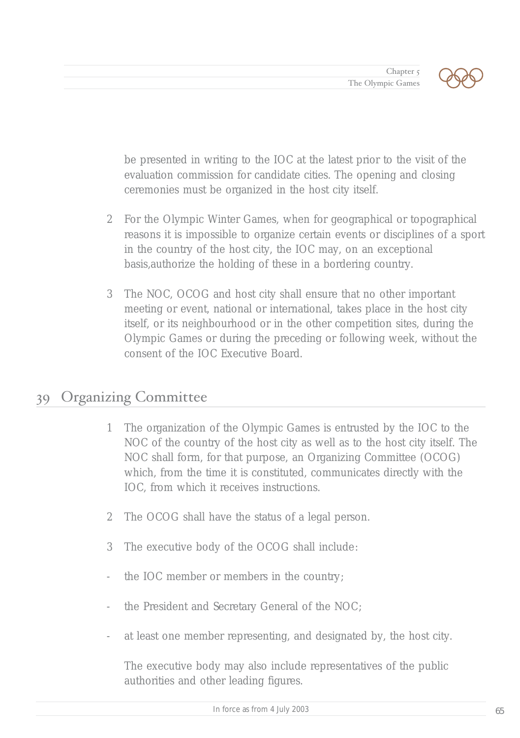

be presented in writing to the IOC at the latest prior to the visit of the evaluation commission for candidate cities. The opening and closing ceremonies must be organized in the host city itself.

- 2 For the Olympic Winter Games, when for geographical or topographical reasons it is impossible to organize certain events or disciplines of a sport in the country of the host city, the IOC may, on an exceptional basis,authorize the holding of these in a bordering country.
- 3 The NOC, OCOG and host city shall ensure that no other important meeting or event, national or international, takes place in the host city itself, or its neighbourhood or in the other competition sites, during the Olympic Games or during the preceding or following week, without the consent of the IOC Executive Board.

# 39 Organizing Committee

- 1 The organization of the Olympic Games is entrusted by the IOC to the NOC of the country of the host city as well as to the host city itself. The NOC shall form, for that purpose, an Organizing Committee (OCOG) which, from the time it is constituted, communicates directly with the IOC, from which it receives instructions.
- 2 The OCOG shall have the status of a legal person.
- 3 The executive body of the OCOG shall include:
- the IOC member or members in the country;
- the President and Secretary General of the NOC;
- at least one member representing, and designated by, the host city.

The executive body may also include representatives of the public authorities and other leading figures.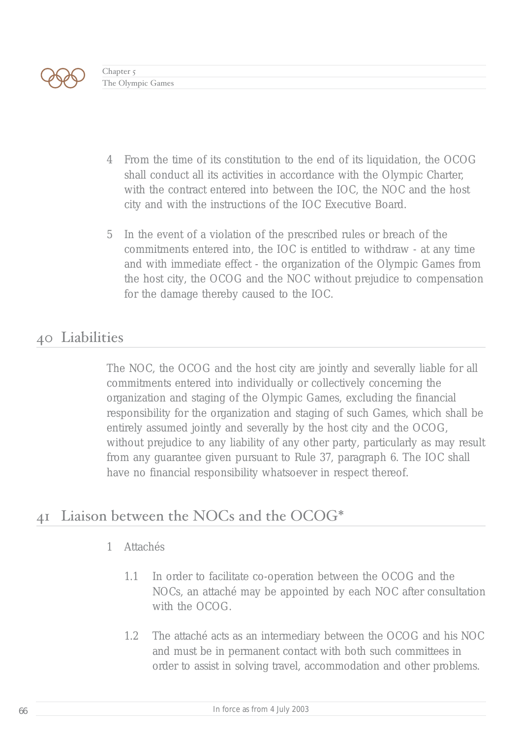

Chapter<sub>5</sub> The Olympic Games

- 4 From the time of its constitution to the end of its liquidation, the OCOG shall conduct all its activities in accordance with the Olympic Charter, with the contract entered into between the IOC, the NOC and the host city and with the instructions of the IOC Executive Board.
- 5 In the event of a violation of the prescribed rules or breach of the commitments entered into, the IOC is entitled to withdraw - at any time and with immediate effect - the organization of the Olympic Games from the host city, the OCOG and the NOC without prejudice to compensation for the damage thereby caused to the IOC.

## 40 Liabilities

The NOC, the OCOG and the host city are jointly and severally liable for all commitments entered into individually or collectively concerning the organization and staging of the Olympic Games, excluding the financial responsibility for the organization and staging of such Games, which shall be entirely assumed jointly and severally by the host city and the OCOG, without prejudice to any liability of any other party, particularly as may result from any guarantee given pursuant to Rule 37, paragraph 6. The IOC shall have no financial responsibility whatsoever in respect thereof.

## 41 Liaison between the NOCs and the OCOG\*

- 1 Attachés
	- 1.1 In order to facilitate co-operation between the OCOG and the NOCs, an attaché may be appointed by each NOC after consultation with the OCOG.
	- 1.2 The attaché acts as an intermediary between the OCOG and his NOC and must be in permanent contact with both such committees in order to assist in solving travel, accommodation and other problems.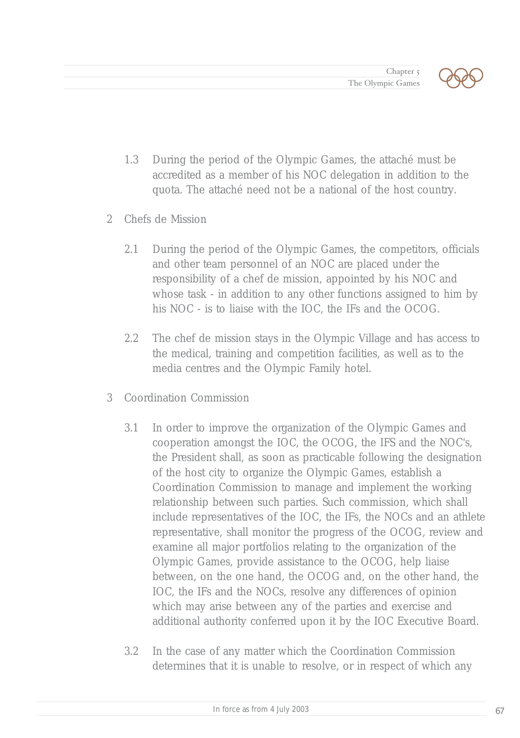

- 1.3 During the period of the Olympic Games, the attaché must be accredited as a member of his NOC delegation in addition to the quota. The attaché need not be a national of the host country.
- 2 Chefs de Mission
	- 2.1 During the period of the Olympic Games, the competitors, officials and other team personnel of an NOC are placed under the responsibility of a chef de mission, appointed by his NOC and whose task - in addition to any other functions assigned to him by his NOC - is to liaise with the IOC, the IFs and the OCOG.
	- 2.2 The chef de mission stays in the Olympic Village and has access to the medical, training and competition facilities, as well as to the media centres and the Olympic Family hotel.
- 3 Coordination Commission
	- 3.1 In order to improve the organization of the Olympic Games and cooperation amongst the IOC, the OCOG, the IFS and the NOC's, the President shall, as soon as practicable following the designation of the host city to organize the Olympic Games, establish a Coordination Commission to manage and implement the working relationship between such parties. Such commission, which shall include representatives of the IOC, the IFs, the NOCs and an athlete representative, shall monitor the progress of the OCOG, review and examine all major portfolios relating to the organization of the Olympic Games, provide assistance to the OCOG, help liaise between, on the one hand, the OCOG and, on the other hand, the IOC, the IFs and the NOCs, resolve any differences of opinion which may arise between any of the parties and exercise and additional authority conferred upon it by the IOC Executive Board.
	- 3.2 In the case of any matter which the Coordination Commission determines that it is unable to resolve, or in respect of which any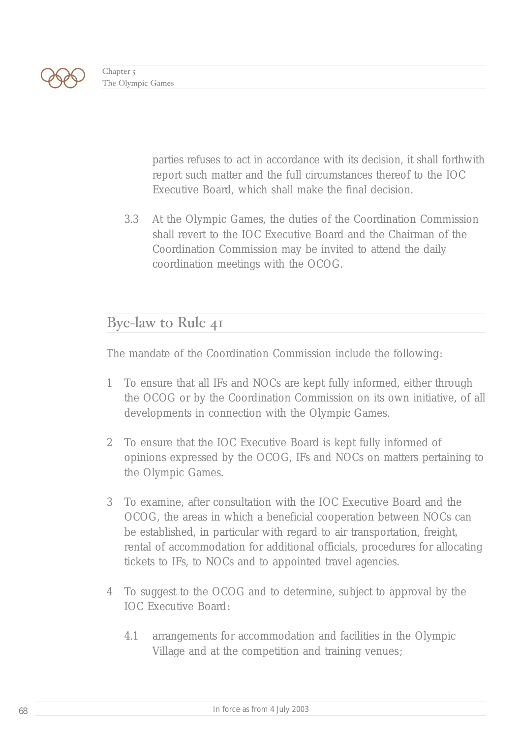



parties refuses to act in accordance with its decision, it shall forthwith report such matter and the full circumstances thereof to the IOC Executive Board, which shall make the final decision.

3.3 At the Olympic Games, the duties of the Coordination Commission shall revert to the IOC Executive Board and the Chairman of the Coordination Commission may be invited to attend the daily coordination meetings with the OCOG.

## Bye-law to Rule 41

The mandate of the Coordination Commission include the following:

- 1 To ensure that all IFs and NOCs are kept fully informed, either through the OCOG or by the Coordination Commission on its own initiative, of all developments in connection with the Olympic Games.
- 2 To ensure that the IOC Executive Board is kept fully informed of opinions expressed by the OCOG, IFs and NOCs on matters pertaining to the Olympic Games.
- 3 To examine, after consultation with the IOC Executive Board and the OCOG, the areas in which a beneficial cooperation between NOCs can be established, in particular with regard to air transportation, freight, rental of accommodation for additional officials, procedures for allocating tickets to IFs, to NOCs and to appointed travel agencies.
- 4 To suggest to the OCOG and to determine, subject to approval by the IOC Executive Board:
	- 4.1 arrangements for accommodation and facilities in the Olympic Village and at the competition and training venues;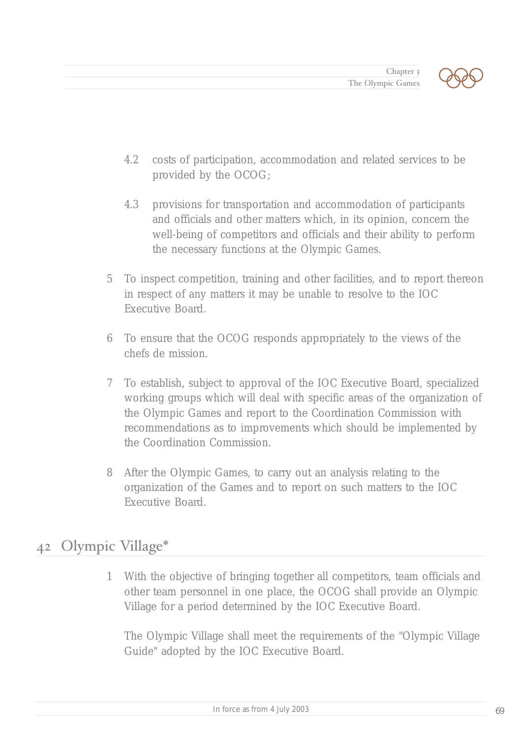

- 4.2 costs of participation, accommodation and related services to be provided by the OCOG;
- 4.3 provisions for transportation and accommodation of participants and officials and other matters which, in its opinion, concern the well-being of competitors and officials and their ability to perform the necessary functions at the Olympic Games.
- 5 To inspect competition, training and other facilities, and to report thereon in respect of any matters it may be unable to resolve to the IOC Executive Board.
- 6 To ensure that the OCOG responds appropriately to the views of the chefs de mission.
- 7 To establish, subject to approval of the IOC Executive Board, specialized working groups which will deal with specific areas of the organization of the Olympic Games and report to the Coordination Commission with recommendations as to improvements which should be implemented by the Coordination Commission.
- 8 After the Olympic Games, to carry out an analysis relating to the organization of the Games and to report on such matters to the IOC Executive Board.

# 42 Olympic Village\*

1 With the objective of bringing together all competitors, team officials and other team personnel in one place, the OCOG shall provide an Olympic Village for a period determined by the IOC Executive Board.

The Olympic Village shall meet the requirements of the "Olympic Village Guide" adopted by the IOC Executive Board.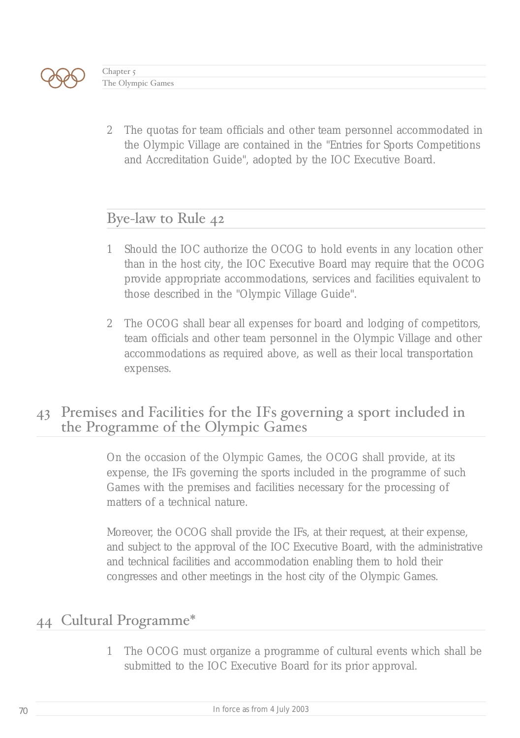

Chapter 5 The Olympic Games

2 The quotas for team officials and other team personnel accommodated in the Olympic Village are contained in the "Entries for Sports Competitions and Accreditation Guide", adopted by the IOC Executive Board.

#### Bye-law to Rule 42

- 1 Should the IOC authorize the OCOG to hold events in any location other than in the host city, the IOC Executive Board may require that the OCOG provide appropriate accommodations, services and facilities equivalent to those described in the "Olympic Village Guide".
- 2 The OCOG shall bear all expenses for board and lodging of competitors, team officials and other team personnel in the Olympic Village and other accommodations as required above, as well as their local transportation expenses.

#### 43 Premises and Facilities for the IFs governing a sport included in the Programme of the Olympic Games

On the occasion of the Olympic Games, the OCOG shall provide, at its expense, the IFs governing the sports included in the programme of such Games with the premises and facilities necessary for the processing of matters of a technical nature.

Moreover, the OCOG shall provide the IFs, at their request, at their expense, and subject to the approval of the IOC Executive Board, with the administrative and technical facilities and accommodation enabling them to hold their congresses and other meetings in the host city of the Olympic Games.

#### 44 Cultural Programme\*

1 The OCOG must organize a programme of cultural events which shall be submitted to the IOC Executive Board for its prior approval.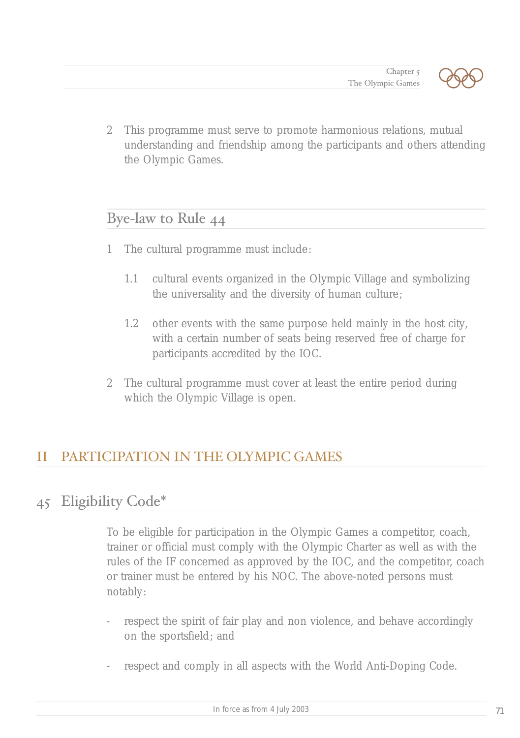

2 This programme must serve to promote harmonious relations, mutual understanding and friendship among the participants and others attending the Olympic Games.

#### Bye-law to Rule 44

- 1 The cultural programme must include:
	- 1.1 cultural events organized in the Olympic Village and symbolizing the universality and the diversity of human culture;
	- 1.2 other events with the same purpose held mainly in the host city, with a certain number of seats being reserved free of charge for participants accredited by the IOC.
- 2 The cultural programme must cover at least the entire period during which the Olympic Village is open.

# II PARTICIPATION IN THE OLYMPIC GAMES

# 45 Eligibility Code\*

To be eligible for participation in the Olympic Games a competitor, coach, trainer or official must comply with the Olympic Charter as well as with the rules of the IF concerned as approved by the IOC, and the competitor, coach or trainer must be entered by his NOC. The above-noted persons must notably:

- respect the spirit of fair play and non violence, and behave accordingly on the sportsfield; and
- respect and comply in all aspects with the World Anti-Doping Code.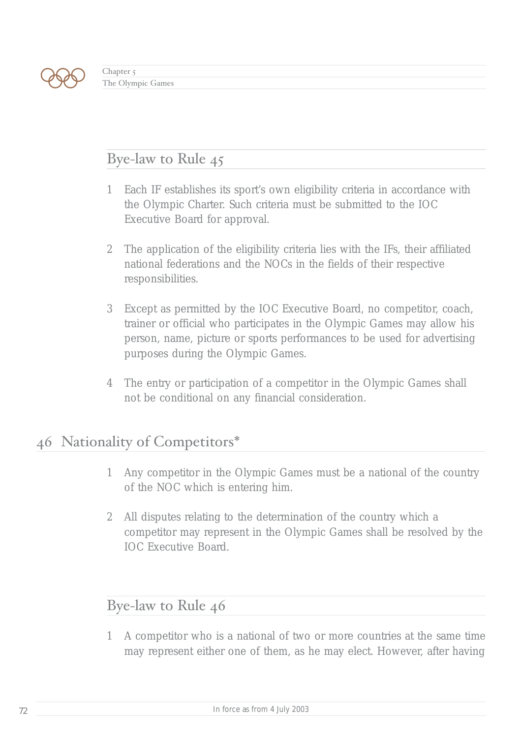# Bye-law to Rule 45

- 1 Each IF establishes its sport's own eligibility criteria in accordance with the Olympic Charter. Such criteria must be submitted to the IOC Executive Board for approval.
- 2 The application of the eligibility criteria lies with the IFs, their affiliated national federations and the NOCs in the fields of their respective responsibilities.
- 3 Except as permitted by the IOC Executive Board, no competitor, coach, trainer or official who participates in the Olympic Games may allow his person, name, picture or sports performances to be used for advertising purposes during the Olympic Games.
- 4 The entry or participation of a competitor in the Olympic Games shall not be conditional on any financial consideration.

# 46 Nationality of Competitors\*

- 1 Any competitor in the Olympic Games must be a national of the country of the NOC which is entering him.
- 2 All disputes relating to the determination of the country which a competitor may represent in the Olympic Games shall be resolved by the IOC Executive Board.

## Bye-law to Rule 46

1 A competitor who is a national of two or more countries at the same time may represent either one of them, as he may elect. However, after having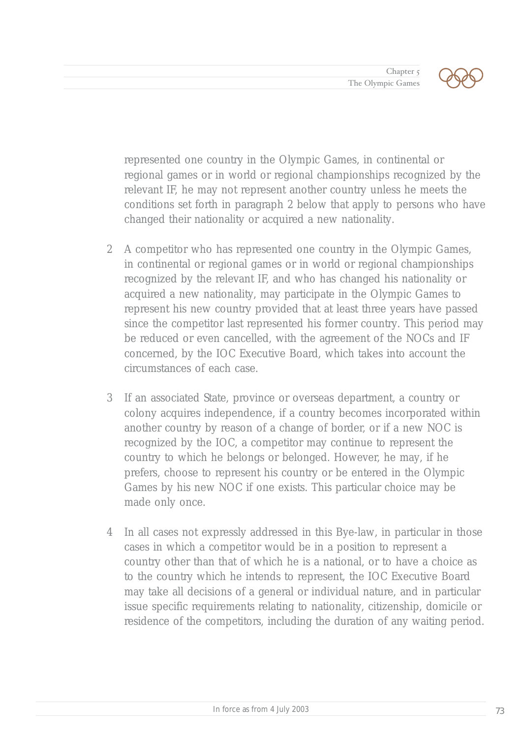Chapter 5 The Olympic Games



represented one country in the Olympic Games, in continental or regional games or in world or regional championships recognized by the relevant IF, he may not represent another country unless he meets the conditions set forth in paragraph 2 below that apply to persons who have changed their nationality or acquired a new nationality.

- 2 A competitor who has represented one country in the Olympic Games, in continental or regional games or in world or regional championships recognized by the relevant IF, and who has changed his nationality or acquired a new nationality, may participate in the Olympic Games to represent his new country provided that at least three years have passed since the competitor last represented his former country. This period may be reduced or even cancelled, with the agreement of the NOCs and IF concerned, by the IOC Executive Board, which takes into account the circumstances of each case.
- 3 If an associated State, province or overseas department, a country or colony acquires independence, if a country becomes incorporated within another country by reason of a change of border, or if a new NOC is recognized by the IOC, a competitor may continue to represent the country to which he belongs or belonged. However, he may, if he prefers, choose to represent his country or be entered in the Olympic Games by his new NOC if one exists. This particular choice may be made only once.
- 4 In all cases not expressly addressed in this Bye-law, in particular in those cases in which a competitor would be in a position to represent a country other than that of which he is a national, or to have a choice as to the country which he intends to represent, the IOC Executive Board may take all decisions of a general or individual nature, and in particular issue specific requirements relating to nationality, citizenship, domicile or residence of the competitors, including the duration of any waiting period.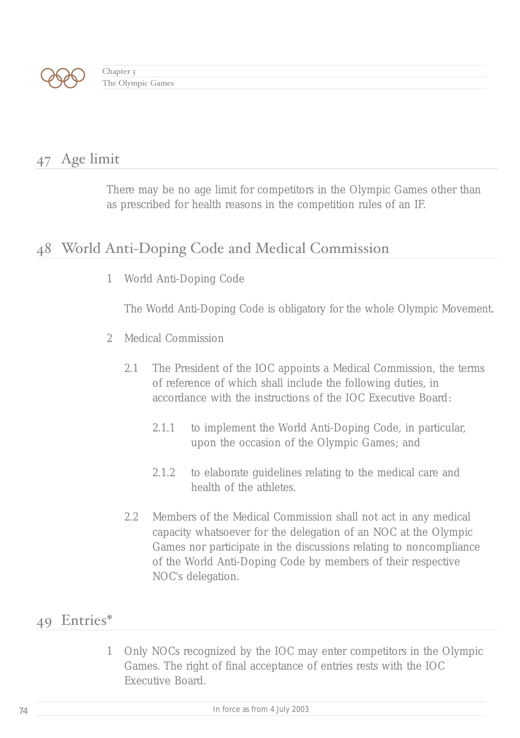# 47 Age limit

There may be no age limit for competitors in the Olympic Games other than as prescribed for health reasons in the competition rules of an IF.

# 48 World Anti-Doping Code and Medical Commission

1 World Anti-Doping Code

The World Anti-Doping Code is obligatory for the whole Olympic Movement.

- 2 Medical Commission
	- 2.1 The President of the IOC appoints a Medical Commission, the terms of reference of which shall include the following duties, in accordance with the instructions of the IOC Executive Board:
		- 2.1.1 to implement the World Anti-Doping Code, in particular, upon the occasion of the Olympic Games; and
		- 2.1.2 to elaborate guidelines relating to the medical care and health of the athletes.
	- 2.2 Members of the Medical Commission shall not act in any medical capacity whatsoever for the delegation of an NOC at the Olympic Games nor participate in the discussions relating to noncompliance of the World Anti-Doping Code by members of their respective NOC's delegation.

## 49 Entries\*

1 Only NOCs recognized by the IOC may enter competitors in the Olympic Games. The right of final acceptance of entries rests with the IOC Executive Board.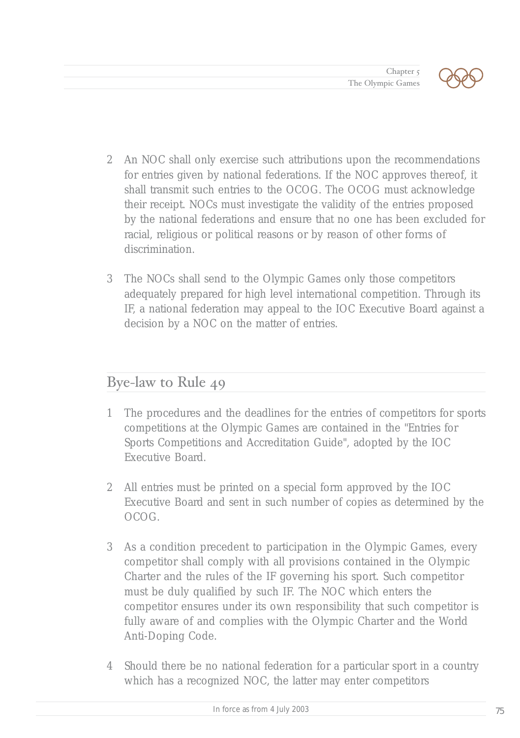

- 2 An NOC shall only exercise such attributions upon the recommendations for entries given by national federations. If the NOC approves thereof, it shall transmit such entries to the OCOG. The OCOG must acknowledge their receipt. NOCs must investigate the validity of the entries proposed by the national federations and ensure that no one has been excluded for racial, religious or political reasons or by reason of other forms of discrimination.
- 3 The NOCs shall send to the Olympic Games only those competitors adequately prepared for high level international competition. Through its IF, a national federation may appeal to the IOC Executive Board against a decision by a NOC on the matter of entries.

- 1 The procedures and the deadlines for the entries of competitors for sports competitions at the Olympic Games are contained in the "Entries for Sports Competitions and Accreditation Guide", adopted by the IOC Executive Board.
- 2 All entries must be printed on a special form approved by the IOC Executive Board and sent in such number of copies as determined by the OCOG.
- 3 As a condition precedent to participation in the Olympic Games, every competitor shall comply with all provisions contained in the Olympic Charter and the rules of the IF governing his sport. Such competitor must be duly qualified by such IF. The NOC which enters the competitor ensures under its own responsibility that such competitor is fully aware of and complies with the Olympic Charter and the World Anti-Doping Code.
- 4 Should there be no national federation for a particular sport in a country which has a recognized NOC, the latter may enter competitors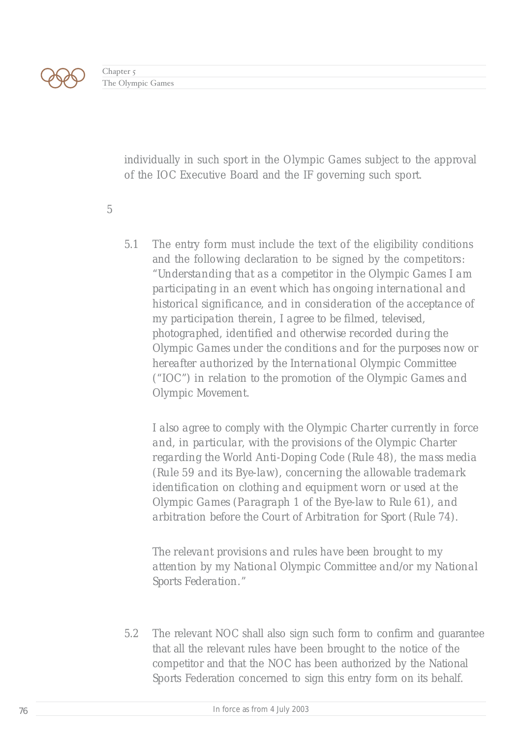

individually in such sport in the Olympic Games subject to the approval of the IOC Executive Board and the IF governing such sport.

5

5.1 The entry form must include the text of the eligibility conditions and the following declaration to be signed by the competitors: *"Understanding that as a competitor in the Olympic Games I am participating in an event which has ongoing international and historical significance, and in consideration of the acceptance of my participation therein, I agree to be filmed, televised, photographed, identified and otherwise recorded during the Olympic Games under the conditions and for the purposes now or hereafter authorized by the International Olympic Committee ("IOC") in relation to the promotion of the Olympic Games and Olympic Movement.* 

*I also agree to comply with the Olympic Charter currently in force and, in particular, with the provisions of the Olympic Charter regarding the World Anti-Doping Code (Rule 48), the mass media (Rule 59 and its Bye-law), concerning the allowable trademark identification on clothing and equipment worn or used at the Olympic Games (Paragraph 1 of the Bye-law to Rule 61), and arbitration before the Court of Arbitration for Sport (Rule 74).*

*The relevant provisions and rules have been brought to my attention by my National Olympic Committee and/or my National Sports Federation."*

5.2 The relevant NOC shall also sign such form to confirm and guarantee that all the relevant rules have been brought to the notice of the competitor and that the NOC has been authorized by the National Sports Federation concerned to sign this entry form on its behalf.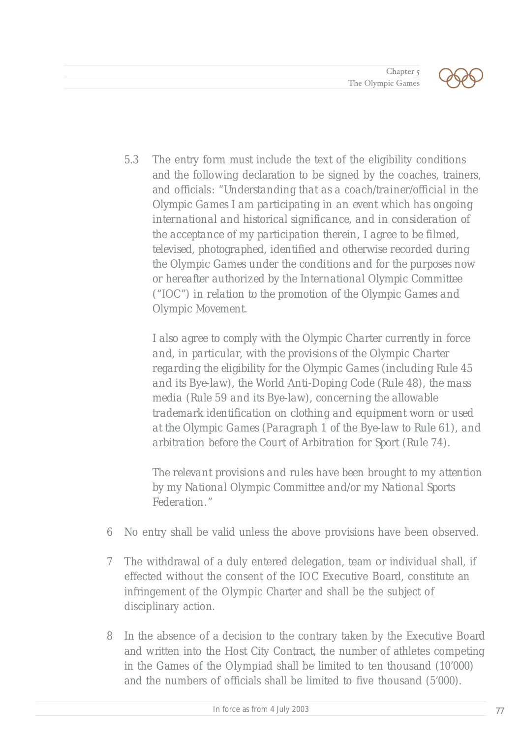Chapter 5 The Olympic Games



5.3 The entry form must include the text of the eligibility conditions and the following declaration to be signed by the coaches, trainers, and officials: *"Understanding that as a coach/trainer/official in the Olympic Games I am participating in an event which has ongoing international and historical significance, and in consideration of the acceptance of my participation therein, I agree to be filmed, televised, photographed, identified and otherwise recorded during the Olympic Games under the conditions and for the purposes now or hereafter authorized by the International Olympic Committee ("IOC") in relation to the promotion of the Olympic Games and Olympic Movement.*

*I also agree to comply with the Olympic Charter currently in force and, in particular, with the provisions of the Olympic Charter regarding the eligibility for the Olympic Games (including Rule 45 and its Bye-law), the World Anti-Doping Code (Rule 48), the mass media (Rule 59 and its Bye-law), concerning the allowable trademark identification on clothing and equipment worn or used at the Olympic Games (Paragraph 1 of the Bye-law to Rule 61), and arbitration before the Court of Arbitration for Sport (Rule 74).* 

*The relevant provisions and rules have been brought to my attention by my National Olympic Committee and/or my National Sports Federation."*

- 6 No entry shall be valid unless the above provisions have been observed.
- 7 The withdrawal of a duly entered delegation, team or individual shall, if effected without the consent of the IOC Executive Board, constitute an infringement of the Olympic Charter and shall be the subject of disciplinary action.
- 8 In the absence of a decision to the contrary taken by the Executive Board and written into the Host City Contract, the number of athletes competing in the Games of the Olympiad shall be limited to ten thousand (10'000) and the numbers of officials shall be limited to five thousand (5'000).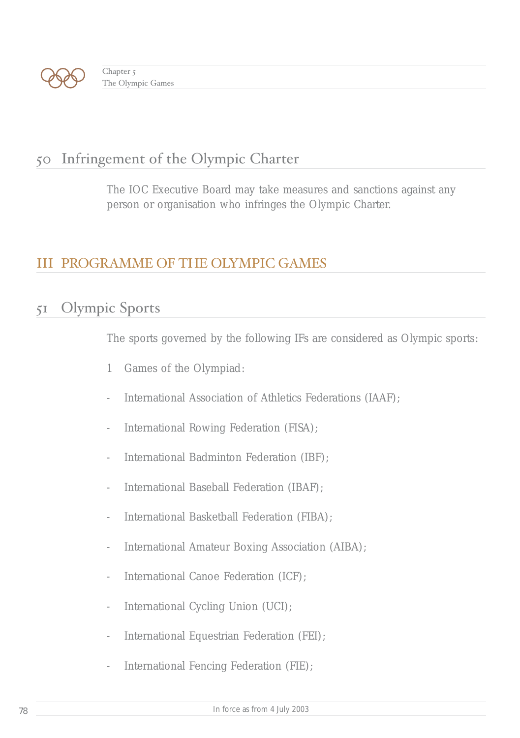# 50 Infringement of the Olympic Charter

The IOC Executive Board may take measures and sanctions against any person or organisation who infringes the Olympic Charter.

# III PROGRAMME OF THE OLYMPIC GAMES

# 51 Olympic Sports

The sports governed by the following IFs are considered as Olympic sports:

- 1 Games of the Olympiad:
- International Association of Athletics Federations (IAAF):
- International Rowing Federation (FISA);
- International Badminton Federation (IBF);
- International Baseball Federation (IBAF);
- International Basketball Federation (FIBA);
- International Amateur Boxing Association (AIBA);
- International Canoe Federation (ICF);
- International Cycling Union (UCI);
- International Equestrian Federation (FEI);
- International Fencing Federation (FIE);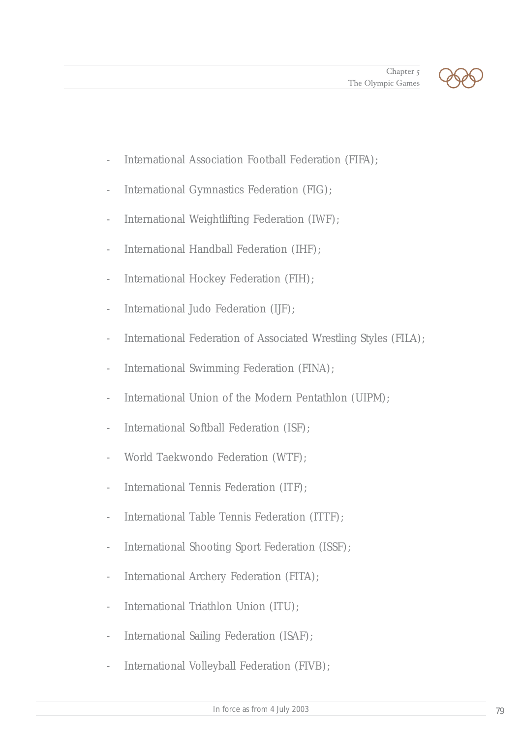

- International Association Football Federation (FIFA):
- International Gymnastics Federation (FIG);
- International Weightlifting Federation (IWF);
- International Handball Federation (IHF):
- International Hockey Federation (FIH);
- International Judo Federation (IJF):
- International Federation of Associated Wrestling Styles (FILA);
- International Swimming Federation (FINA);
- International Union of the Modern Pentathlon (UIPM);
- International Softball Federation (ISF);
- World Taekwondo Federation (WTF);
- International Tennis Federation (ITF);
- International Table Tennis Federation (ITTF);
- International Shooting Sport Federation (ISSF);
- International Archery Federation (FITA);
- International Triathlon Union (ITU);
- International Sailing Federation (ISAF);
- International Volleyball Federation (FIVB);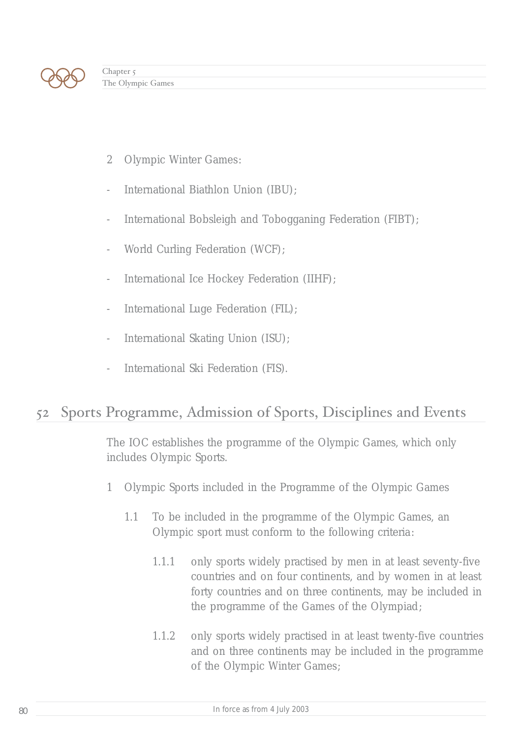- 2 Olympic Winter Games:
- International Biathlon Union (IBU):
- International Bobsleigh and Tobogganing Federation (FIBT);
- World Curling Federation (WCF);
- International Ice Hockey Federation (IIHF);
- International Luge Federation (FIL);
- International Skating Union (ISU);
- International Ski Federation (FIS).

#### 52 Sports Programme, Admission of Sports, Disciplines and Events

The IOC establishes the programme of the Olympic Games, which only includes Olympic Sports.

- 1 Olympic Sports included in the Programme of the Olympic Games
	- 1.1 To be included in the programme of the Olympic Games, an Olympic sport must conform to the following criteria:
		- 1.1.1 only sports widely practised by men in at least seventy-five countries and on four continents, and by women in at least forty countries and on three continents, may be included in the programme of the Games of the Olympiad;
		- 1.1.2 only sports widely practised in at least twenty-five countries and on three continents may be included in the programme of the Olympic Winter Games;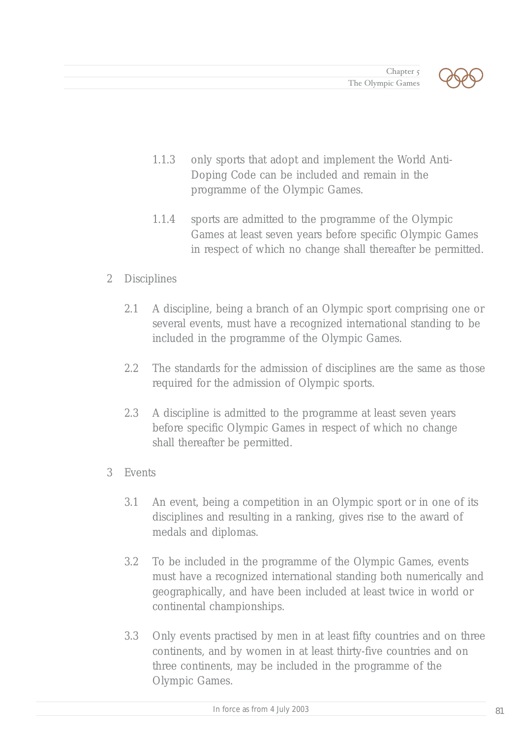

- 1.1.3 only sports that adopt and implement the World Anti-Doping Code can be included and remain in the programme of the Olympic Games.
- 1.1.4 sports are admitted to the programme of the Olympic Games at least seven years before specific Olympic Games in respect of which no change shall thereafter be permitted.

#### 2 Disciplines

- 2.1 A discipline, being a branch of an Olympic sport comprising one or several events, must have a recognized international standing to be included in the programme of the Olympic Games.
- 2.2 The standards for the admission of disciplines are the same as those required for the admission of Olympic sports.
- 2.3 A discipline is admitted to the programme at least seven years before specific Olympic Games in respect of which no change shall thereafter be permitted.
- 3 Events
	- 3.1 An event, being a competition in an Olympic sport or in one of its disciplines and resulting in a ranking, gives rise to the award of medals and diplomas.
	- 3.2 To be included in the programme of the Olympic Games, events must have a recognized international standing both numerically and geographically, and have been included at least twice in world or continental championships.
	- 3.3 Only events practised by men in at least fifty countries and on three continents, and by women in at least thirty-five countries and on three continents, may be included in the programme of the Olympic Games.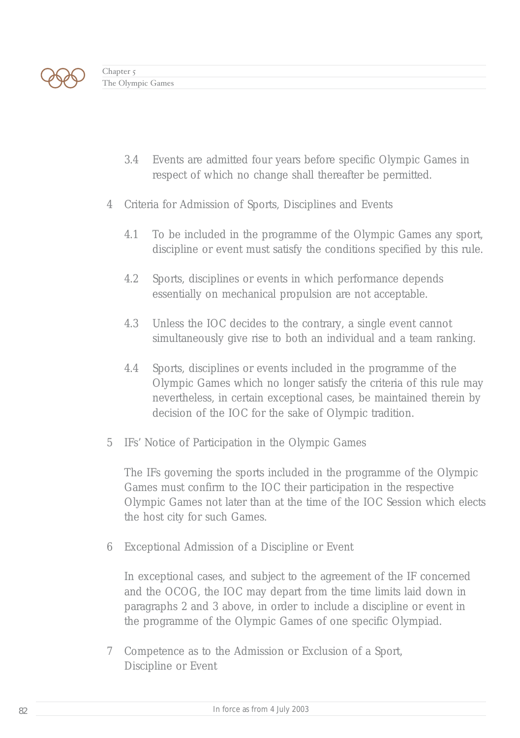- 3.4 Events are admitted four years before specific Olympic Games in respect of which no change shall thereafter be permitted.
- 4 Criteria for Admission of Sports, Disciplines and Events
	- 4.1 To be included in the programme of the Olympic Games any sport, discipline or event must satisfy the conditions specified by this rule.
	- 4.2 Sports, disciplines or events in which performance depends essentially on mechanical propulsion are not acceptable.
	- 4.3 Unless the IOC decides to the contrary, a single event cannot simultaneously give rise to both an individual and a team ranking.
	- 4.4 Sports, disciplines or events included in the programme of the Olympic Games which no longer satisfy the criteria of this rule may nevertheless, in certain exceptional cases, be maintained therein by decision of the IOC for the sake of Olympic tradition.
- 5 IFs' Notice of Participation in the Olympic Games

The IFs governing the sports included in the programme of the Olympic Games must confirm to the IOC their participation in the respective Olympic Games not later than at the time of the IOC Session which elects the host city for such Games.

6 Exceptional Admission of a Discipline or Event

In exceptional cases, and subject to the agreement of the IF concerned and the OCOG, the IOC may depart from the time limits laid down in paragraphs 2 and 3 above, in order to include a discipline or event in the programme of the Olympic Games of one specific Olympiad.

7 Competence as to the Admission or Exclusion of a Sport, Discipline or Event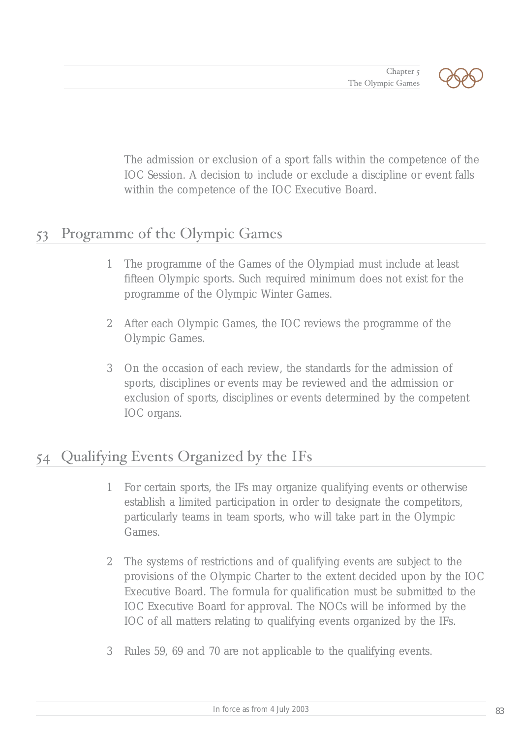

The admission or exclusion of a sport falls within the competence of the IOC Session. A decision to include or exclude a discipline or event falls within the competence of the IOC Executive Board.

# 53 Programme of the Olympic Games

- 1 The programme of the Games of the Olympiad must include at least fifteen Olympic sports. Such required minimum does not exist for the programme of the Olympic Winter Games.
- 2 After each Olympic Games, the IOC reviews the programme of the Olympic Games.
- 3 On the occasion of each review, the standards for the admission of sports, disciplines or events may be reviewed and the admission or exclusion of sports, disciplines or events determined by the competent IOC organs.

# 54 Qualifying Events Organized by the IFs

- 1 For certain sports, the IFs may organize qualifying events or otherwise establish a limited participation in order to designate the competitors, particularly teams in team sports, who will take part in the Olympic Games.
- 2 The systems of restrictions and of qualifying events are subject to the provisions of the Olympic Charter to the extent decided upon by the IOC Executive Board. The formula for qualification must be submitted to the IOC Executive Board for approval. The NOCs will be informed by the IOC of all matters relating to qualifying events organized by the IFs.
- 3 Rules 59, 69 and 70 are not applicable to the qualifying events.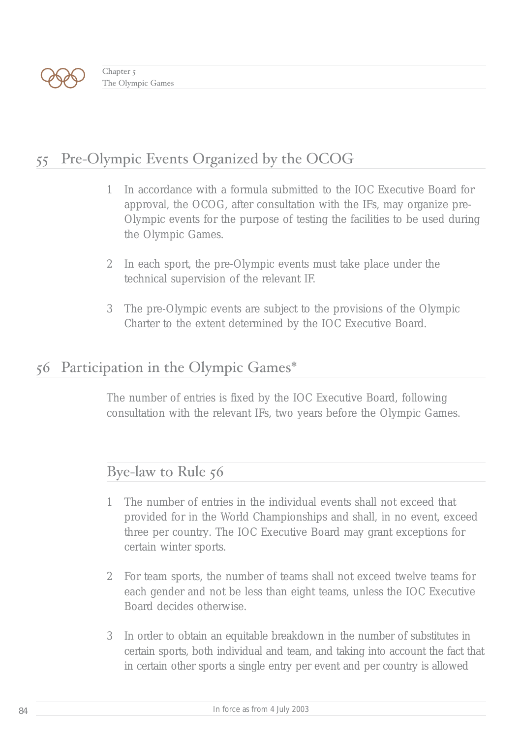# 55 Pre-Olympic Events Organized by the OCOG

- 1 In accordance with a formula submitted to the IOC Executive Board for approval, the OCOG, after consultation with the IFs, may organize pre-Olympic events for the purpose of testing the facilities to be used during the Olympic Games.
- 2 In each sport, the pre-Olympic events must take place under the technical supervision of the relevant IF.
- 3 The pre-Olympic events are subject to the provisions of the Olympic Charter to the extent determined by the IOC Executive Board.

#### 56 Participation in the Olympic Games\*

The number of entries is fixed by the IOC Executive Board, following consultation with the relevant IFs, two years before the Olympic Games.

- 1 The number of entries in the individual events shall not exceed that provided for in the World Championships and shall, in no event, exceed three per country. The IOC Executive Board may grant exceptions for certain winter sports.
- 2 For team sports, the number of teams shall not exceed twelve teams for each gender and not be less than eight teams, unless the IOC Executive Board decides otherwise.
- 3 In order to obtain an equitable breakdown in the number of substitutes in certain sports, both individual and team, and taking into account the fact that in certain other sports a single entry per event and per country is allowed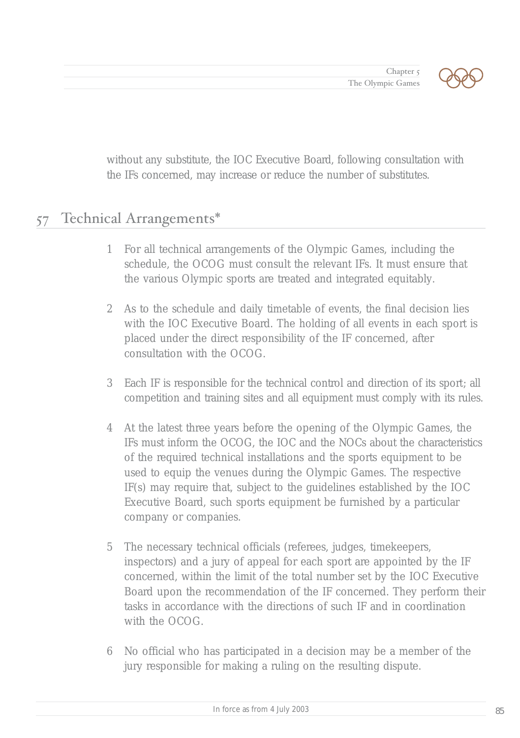

without any substitute, the IOC Executive Board, following consultation with the IFs concerned, may increase or reduce the number of substitutes.

# 57 Technical Arrangements\*

- 1 For all technical arrangements of the Olympic Games, including the schedule, the OCOG must consult the relevant IFs. It must ensure that the various Olympic sports are treated and integrated equitably.
- 2 As to the schedule and daily timetable of events, the final decision lies with the IOC Executive Board. The holding of all events in each sport is placed under the direct responsibility of the IF concerned, after consultation with the OCOG.
- 3 Each IF is responsible for the technical control and direction of its sport; all competition and training sites and all equipment must comply with its rules.
- 4 At the latest three years before the opening of the Olympic Games, the IFs must inform the OCOG, the IOC and the NOCs about the characteristics of the required technical installations and the sports equipment to be used to equip the venues during the Olympic Games. The respective IF(s) may require that, subject to the guidelines established by the IOC Executive Board, such sports equipment be furnished by a particular company or companies.
- 5 The necessary technical officials (referees, judges, timekeepers, inspectors) and a jury of appeal for each sport are appointed by the IF concerned, within the limit of the total number set by the IOC Executive Board upon the recommendation of the IF concerned. They perform their tasks in accordance with the directions of such IF and in coordination with the OCOG.
- 6 No official who has participated in a decision may be a member of the jury responsible for making a ruling on the resulting dispute.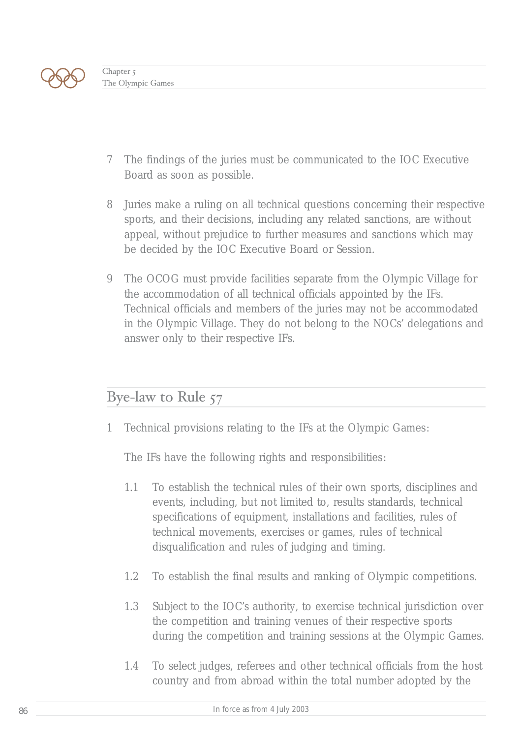- 7 The findings of the juries must be communicated to the IOC Executive Board as soon as possible.
- 8 Juries make a ruling on all technical questions concerning their respective sports, and their decisions, including any related sanctions, are without appeal, without prejudice to further measures and sanctions which may be decided by the IOC Executive Board or Session.
- 9 The OCOG must provide facilities separate from the Olympic Village for the accommodation of all technical officials appointed by the IFs. Technical officials and members of the juries may not be accommodated in the Olympic Village. They do not belong to the NOCs' delegations and answer only to their respective IFs.

### Bye-law to Rule 57

1 Technical provisions relating to the IFs at the Olympic Games:

The IFs have the following rights and responsibilities:

- 1.1 To establish the technical rules of their own sports, disciplines and events, including, but not limited to, results standards, technical specifications of equipment, installations and facilities, rules of technical movements, exercises or games, rules of technical disqualification and rules of judging and timing.
- 1.2 To establish the final results and ranking of Olympic competitions.
- 1.3 Subject to the IOC's authority, to exercise technical jurisdiction over the competition and training venues of their respective sports during the competition and training sessions at the Olympic Games.
- 1.4 To select judges, referees and other technical officials from the host country and from abroad within the total number adopted by the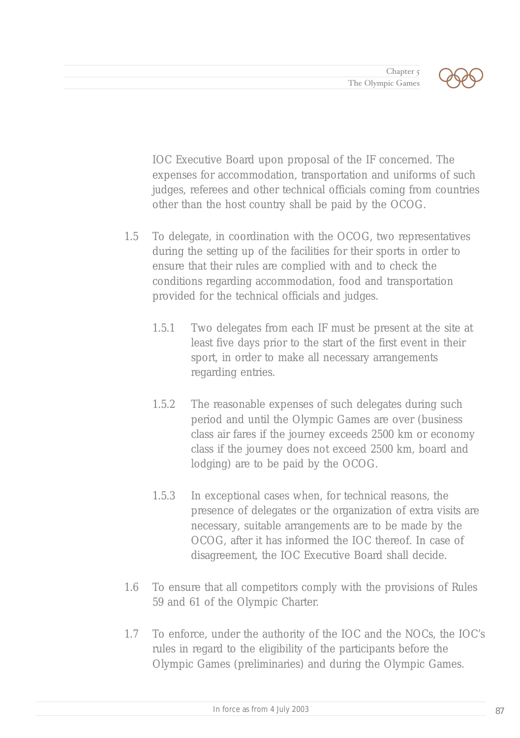Chapter 5 The Olympic Games



IOC Executive Board upon proposal of the IF concerned. The expenses for accommodation, transportation and uniforms of such judges, referees and other technical officials coming from countries other than the host country shall be paid by the OCOG.

- 1.5 To delegate, in coordination with the OCOG, two representatives during the setting up of the facilities for their sports in order to ensure that their rules are complied with and to check the conditions regarding accommodation, food and transportation provided for the technical officials and judges.
	- 1.5.1 Two delegates from each IF must be present at the site at least five days prior to the start of the first event in their sport, in order to make all necessary arrangements regarding entries.
	- 1.5.2 The reasonable expenses of such delegates during such period and until the Olympic Games are over (business class air fares if the journey exceeds 2500 km or economy class if the journey does not exceed 2500 km, board and lodging) are to be paid by the OCOG.
	- 1.5.3 In exceptional cases when, for technical reasons, the presence of delegates or the organization of extra visits are necessary, suitable arrangements are to be made by the OCOG, after it has informed the IOC thereof. In case of disagreement, the IOC Executive Board shall decide.
- 1.6 To ensure that all competitors comply with the provisions of Rules 59 and 61 of the Olympic Charter.
- 1.7 To enforce, under the authority of the IOC and the NOCs, the IOC's rules in regard to the eligibility of the participants before the Olympic Games (preliminaries) and during the Olympic Games.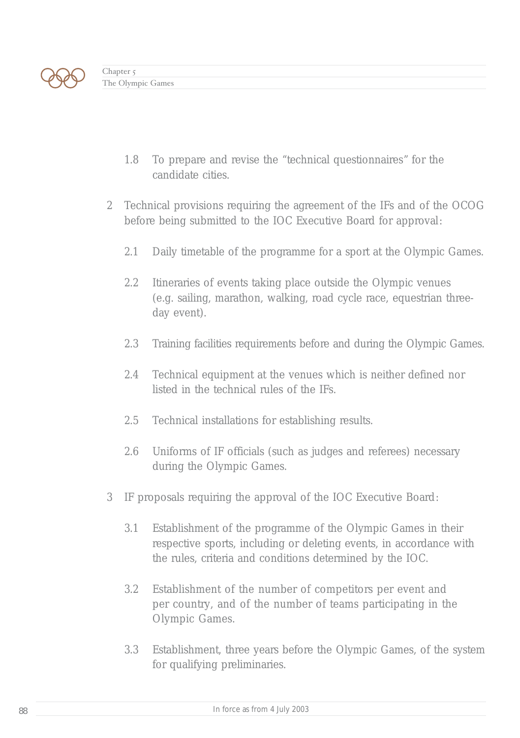- 1.8 To prepare and revise the "technical questionnaires" for the candidate cities.
- 2 Technical provisions requiring the agreement of the IFs and of the OCOG before being submitted to the IOC Executive Board for approval:
	- 2.1 Daily timetable of the programme for a sport at the Olympic Games.
	- 2.2 Itineraries of events taking place outside the Olympic venues (e.g. sailing, marathon, walking, road cycle race, equestrian threeday event).
	- 2.3 Training facilities requirements before and during the Olympic Games.
	- 2.4 Technical equipment at the venues which is neither defined nor listed in the technical rules of the IFs.
	- 2.5 Technical installations for establishing results.
	- 2.6 Uniforms of IF officials (such as judges and referees) necessary during the Olympic Games.
- 3 IF proposals requiring the approval of the IOC Executive Board:
	- 3.1 Establishment of the programme of the Olympic Games in their respective sports, including or deleting events, in accordance with the rules, criteria and conditions determined by the IOC.
	- 3.2 Establishment of the number of competitors per event and per country, and of the number of teams participating in the Olympic Games.
	- 3.3 Establishment, three years before the Olympic Games, of the system for qualifying preliminaries.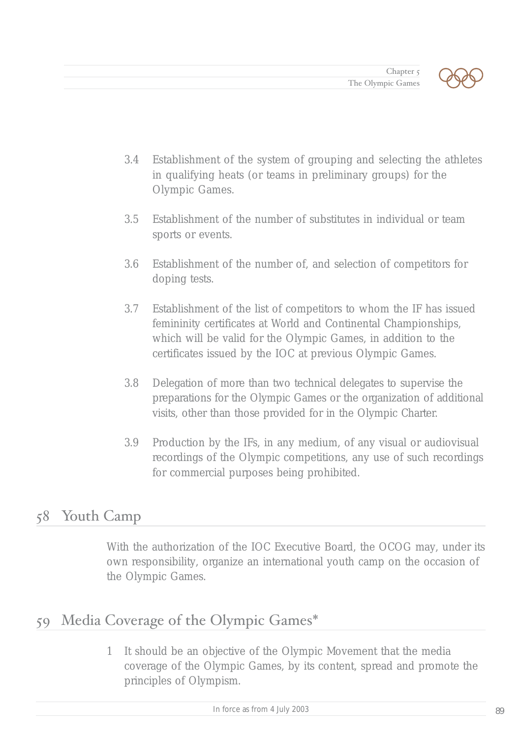

- 3.4 Establishment of the system of grouping and selecting the athletes in qualifying heats (or teams in preliminary groups) for the Olympic Games.
- 3.5 Establishment of the number of substitutes in individual or team sports or events.
- 3.6 Establishment of the number of, and selection of competitors for doping tests.
- 3.7 Establishment of the list of competitors to whom the IF has issued femininity certificates at World and Continental Championships, which will be valid for the Olympic Games, in addition to the certificates issued by the IOC at previous Olympic Games.
- 3.8 Delegation of more than two technical delegates to supervise the preparations for the Olympic Games or the organization of additional visits, other than those provided for in the Olympic Charter.
- 3.9 Production by the IFs, in any medium, of any visual or audiovisual recordings of the Olympic competitions, any use of such recordings for commercial purposes being prohibited.

# 58 Youth Camp

With the authorization of the IOC Executive Board, the OCOG may, under its own responsibility, organize an international youth camp on the occasion of the Olympic Games.

# 59 Media Coverage of the Olympic Games\*

1 It should be an objective of the Olympic Movement that the media coverage of the Olympic Games, by its content, spread and promote the principles of Olympism.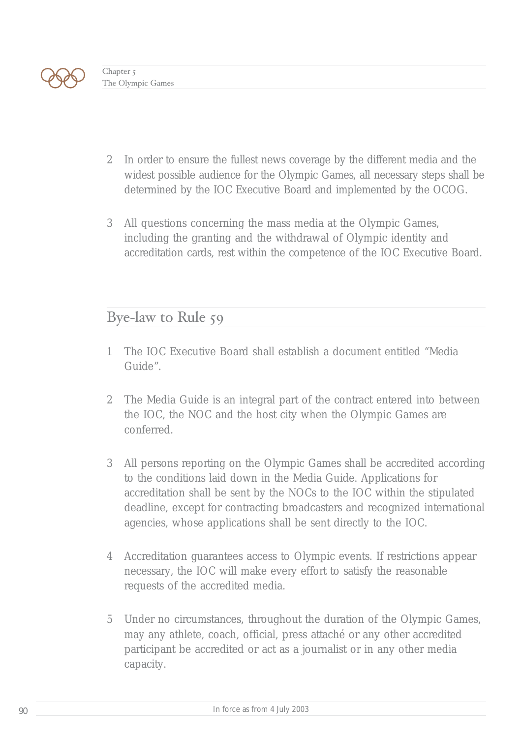

3 All questions concerning the mass media at the Olympic Games, including the granting and the withdrawal of Olympic identity and accreditation cards, rest within the competence of the IOC Executive Board.

- 1 The IOC Executive Board shall establish a document entitled "Media Guide".
- 2 The Media Guide is an integral part of the contract entered into between the IOC, the NOC and the host city when the Olympic Games are conferred.
- 3 All persons reporting on the Olympic Games shall be accredited according to the conditions laid down in the Media Guide. Applications for accreditation shall be sent by the NOCs to the IOC within the stipulated deadline, except for contracting broadcasters and recognized international agencies, whose applications shall be sent directly to the IOC.
- 4 Accreditation guarantees access to Olympic events. If restrictions appear necessary, the IOC will make every effort to satisfy the reasonable requests of the accredited media.
- 5 Under no circumstances, throughout the duration of the Olympic Games, may any athlete, coach, official, press attaché or any other accredited participant be accredited or act as a journalist or in any other media capacity.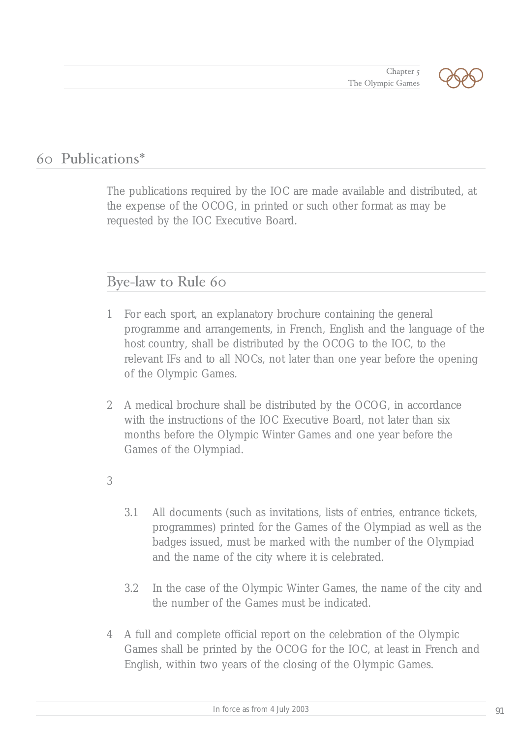

## 60 Publications\*

The publications required by the IOC are made available and distributed, at the expense of the OCOG, in printed or such other format as may be requested by the IOC Executive Board.

#### Bye-law to Rule 60

- 1 For each sport, an explanatory brochure containing the general programme and arrangements, in French, English and the language of the host country, shall be distributed by the OCOG to the IOC, to the relevant IFs and to all NOCs, not later than one year before the opening of the Olympic Games.
- 2 A medical brochure shall be distributed by the OCOG, in accordance with the instructions of the IOC Executive Board, not later than six months before the Olympic Winter Games and one year before the Games of the Olympiad.

3

- 3.1 All documents (such as invitations, lists of entries, entrance tickets, programmes) printed for the Games of the Olympiad as well as the badges issued, must be marked with the number of the Olympiad and the name of the city where it is celebrated.
- 3.2 In the case of the Olympic Winter Games, the name of the city and the number of the Games must be indicated.
- 4 A full and complete official report on the celebration of the Olympic Games shall be printed by the OCOG for the IOC, at least in French and English, within two years of the closing of the Olympic Games.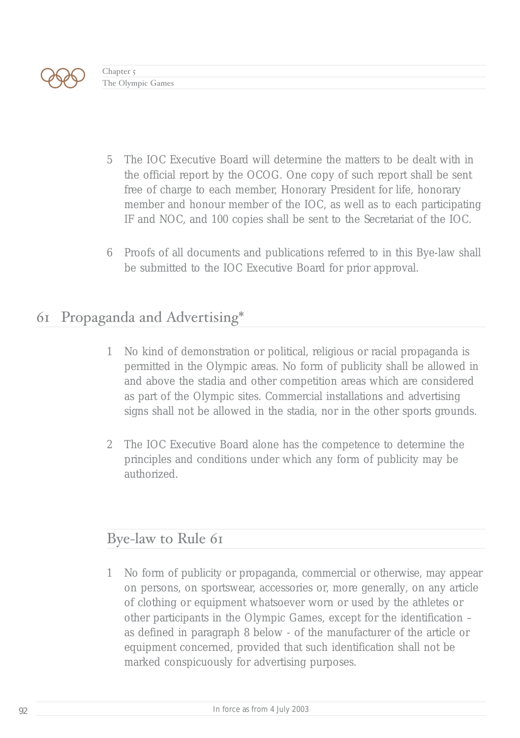- 5 The IOC Executive Board will determine the matters to be dealt with in the official report by the OCOG. One copy of such report shall be sent free of charge to each member, Honorary President for life, honorary member and honour member of the IOC, as well as to each participating IF and NOC, and 100 copies shall be sent to the Secretariat of the IOC.
- 6 Proofs of all documents and publications referred to in this Bye-law shall be submitted to the IOC Executive Board for prior approval.

# 61 Propaganda and Advertising\*

- 1 No kind of demonstration or political, religious or racial propaganda is permitted in the Olympic areas. No form of publicity shall be allowed in and above the stadia and other competition areas which are considered as part of the Olympic sites. Commercial installations and advertising signs shall not be allowed in the stadia, nor in the other sports grounds.
- 2 The IOC Executive Board alone has the competence to determine the principles and conditions under which any form of publicity may be authorized.

#### Bye-law to Rule 61

1 No form of publicity or propaganda, commercial or otherwise, may appear on persons, on sportswear, accessories or, more generally, on any article of clothing or equipment whatsoever worn or used by the athletes or other participants in the Olympic Games, except for the identification – as defined in paragraph 8 below - of the manufacturer of the article or equipment concerned, provided that such identification shall not be marked conspicuously for advertising purposes.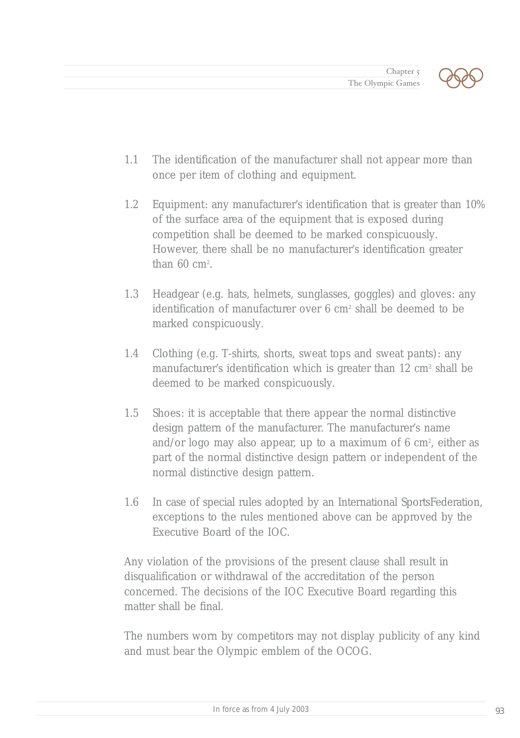

- 1.1 The identification of the manufacturer shall not appear more than once per item of clothing and equipment.
- 1.2 Equipment: any manufacturer's identification that is greater than 10% of the surface area of the equipment that is exposed during competition shall be deemed to be marked conspicuously. However, there shall be no manufacturer's identification greater than  $60 \text{ cm}^2$ .
- 1.3 Headgear (e.g. hats, helmets, sunglasses, goggles) and gloves: any identification of manufacturer over 6 cm<sup>2</sup> shall be deemed to be marked conspicuously.
- 1.4 Clothing (e.g. T-shirts, shorts, sweat tops and sweat pants): any manufacturer's identification which is greater than 12 cm<sup>2</sup> shall be deemed to be marked conspicuously.
- 1.5 Shoes: it is acceptable that there appear the normal distinctive design pattern of the manufacturer. The manufacturer's name and/or logo may also appear, up to a maximum of 6 cm2 , either as part of the normal distinctive design pattern or independent of the normal distinctive design pattern.
- 1.6 In case of special rules adopted by an International SportsFederation, exceptions to the rules mentioned above can be approved by the Executive Board of the IOC.

Any violation of the provisions of the present clause shall result in disqualification or withdrawal of the accreditation of the person concerned. The decisions of the IOC Executive Board regarding this matter shall be final.

The numbers worn by competitors may not display publicity of any kind and must bear the Olympic emblem of the OCOG.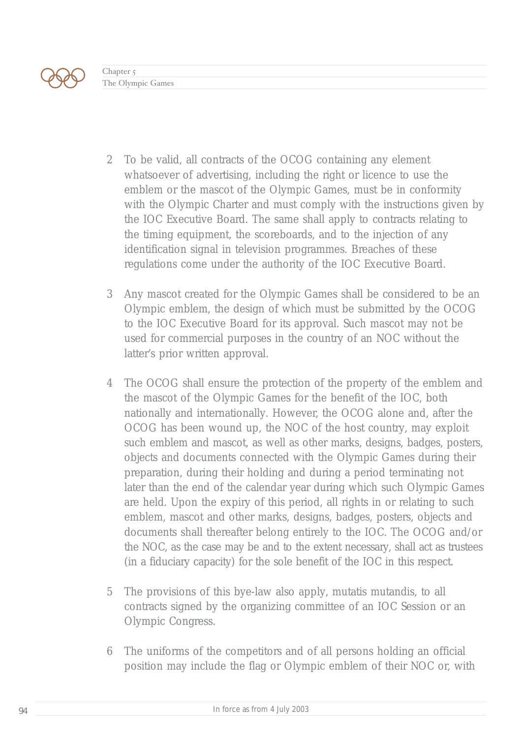- 2 To be valid, all contracts of the OCOG containing any element whatsoever of advertising, including the right or licence to use the emblem or the mascot of the Olympic Games, must be in conformity with the Olympic Charter and must comply with the instructions given by the IOC Executive Board. The same shall apply to contracts relating to the timing equipment, the scoreboards, and to the injection of any identification signal in television programmes. Breaches of these regulations come under the authority of the IOC Executive Board.
- 3 Any mascot created for the Olympic Games shall be considered to be an Olympic emblem, the design of which must be submitted by the OCOG to the IOC Executive Board for its approval. Such mascot may not be used for commercial purposes in the country of an NOC without the latter's prior written approval.
- 4 The OCOG shall ensure the protection of the property of the emblem and the mascot of the Olympic Games for the benefit of the IOC, both nationally and internationally. However, the OCOG alone and, after the OCOG has been wound up, the NOC of the host country, may exploit such emblem and mascot, as well as other marks, designs, badges, posters, objects and documents connected with the Olympic Games during their preparation, during their holding and during a period terminating not later than the end of the calendar year during which such Olympic Games are held. Upon the expiry of this period, all rights in or relating to such emblem, mascot and other marks, designs, badges, posters, objects and documents shall thereafter belong entirely to the IOC. The OCOG and/or the NOC, as the case may be and to the extent necessary, shall act as trustees (in a fiduciary capacity) for the sole benefit of the IOC in this respect.
- 5 The provisions of this bye-law also apply, mutatis mutandis, to all contracts signed by the organizing committee of an IOC Session or an Olympic Congress.
- 6 The uniforms of the competitors and of all persons holding an official position may include the flag or Olympic emblem of their NOC or, with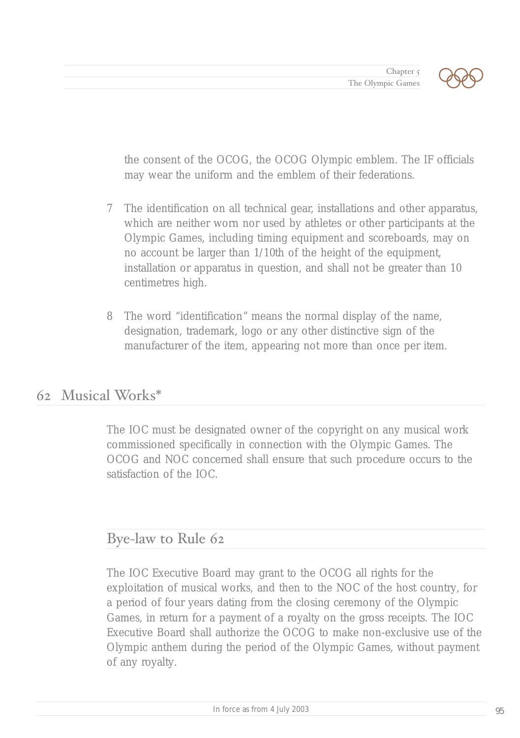

the consent of the OCOG, the OCOG Olympic emblem. The IF officials may wear the uniform and the emblem of their federations.

- 7 The identification on all technical gear, installations and other apparatus, which are neither worn nor used by athletes or other participants at the Olympic Games, including timing equipment and scoreboards, may on no account be larger than 1/10th of the height of the equipment, installation or apparatus in question, and shall not be greater than 10 centimetres high.
- 8 The word "identification" means the normal display of the name, designation, trademark, logo or any other distinctive sign of the manufacturer of the item, appearing not more than once per item.

### 62 Musical Works\*

The IOC must be designated owner of the copyright on any musical work commissioned specifically in connection with the Olympic Games. The OCOG and NOC concerned shall ensure that such procedure occurs to the satisfaction of the IOC.

#### Bye-law to Rule 62

The IOC Executive Board may grant to the OCOG all rights for the exploitation of musical works, and then to the NOC of the host country, for a period of four years dating from the closing ceremony of the Olympic Games, in return for a payment of a royalty on the gross receipts. The IOC Executive Board shall authorize the OCOG to make non-exclusive use of the Olympic anthem during the period of the Olympic Games, without payment of any royalty.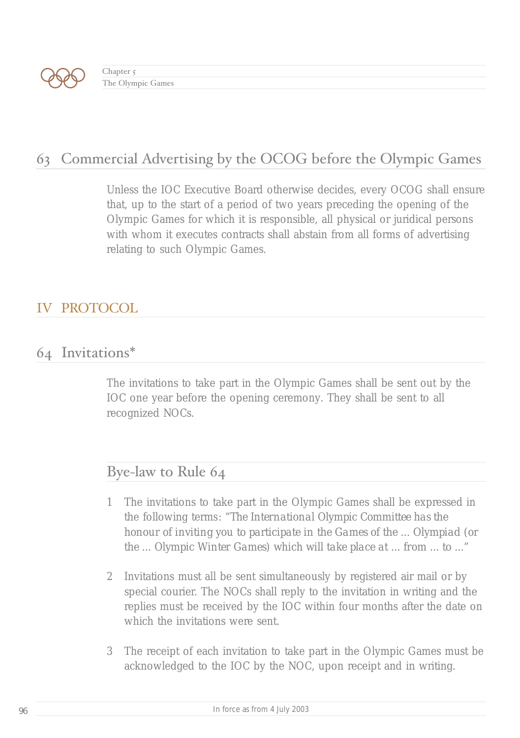# 63 Commercial Advertising by the OCOG before the Olympic Games

Unless the IOC Executive Board otherwise decides, every OCOG shall ensure that, up to the start of a period of two years preceding the opening of the Olympic Games for which it is responsible, all physical or juridical persons with whom it executes contracts shall abstain from all forms of advertising relating to such Olympic Games.

### IV PROTOCOL

#### 64 Invitations\*

The invitations to take part in the Olympic Games shall be sent out by the IOC one year before the opening ceremony. They shall be sent to all recognized NOCs.

- 1 The invitations to take part in the Olympic Games shall be expressed in the following terms: *"The International Olympic Committee has the honour of inviting you to participate in the Games of the ... Olympiad (or the ... Olympic Winter Games) which will take place at ... from ... to ..."*
- 2 Invitations must all be sent simultaneously by registered air mail or by special courier. The NOCs shall reply to the invitation in writing and the replies must be received by the IOC within four months after the date on which the invitations were sent.
- 3 The receipt of each invitation to take part in the Olympic Games must be acknowledged to the IOC by the NOC, upon receipt and in writing.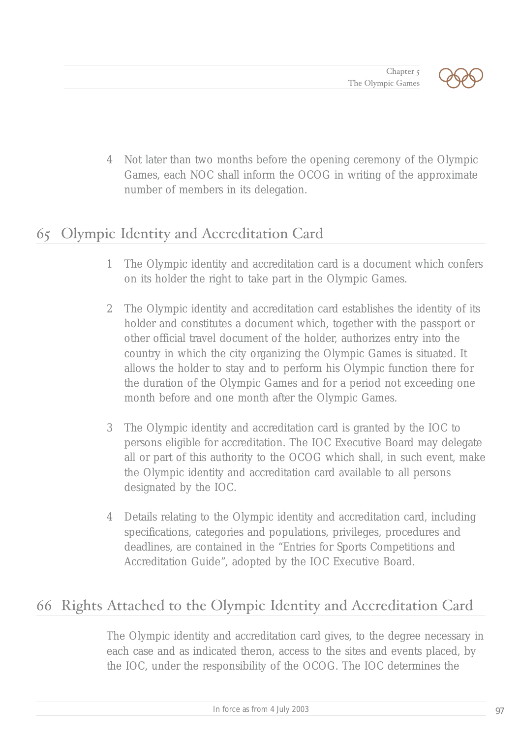

4 Not later than two months before the opening ceremony of the Olympic Games, each NOC shall inform the OCOG in writing of the approximate number of members in its delegation.

# 65 Olympic Identity and Accreditation Card

- 1 The Olympic identity and accreditation card is a document which confers on its holder the right to take part in the Olympic Games.
- 2 The Olympic identity and accreditation card establishes the identity of its holder and constitutes a document which, together with the passport or other official travel document of the holder, authorizes entry into the country in which the city organizing the Olympic Games is situated. It allows the holder to stay and to perform his Olympic function there for the duration of the Olympic Games and for a period not exceeding one month before and one month after the Olympic Games.
- 3 The Olympic identity and accreditation card is granted by the IOC to persons eligible for accreditation. The IOC Executive Board may delegate all or part of this authority to the OCOG which shall, in such event, make the Olympic identity and accreditation card available to all persons designated by the IOC.
- 4 Details relating to the Olympic identity and accreditation card, including specifications, categories and populations, privileges, procedures and deadlines, are contained in the "Entries for Sports Competitions and Accreditation Guide", adopted by the IOC Executive Board.

# 66 Rights Attached to the Olympic Identity and Accreditation Card

The Olympic identity and accreditation card gives, to the degree necessary in each case and as indicated theron, access to the sites and events placed, by the IOC, under the responsibility of the OCOG. The IOC determines the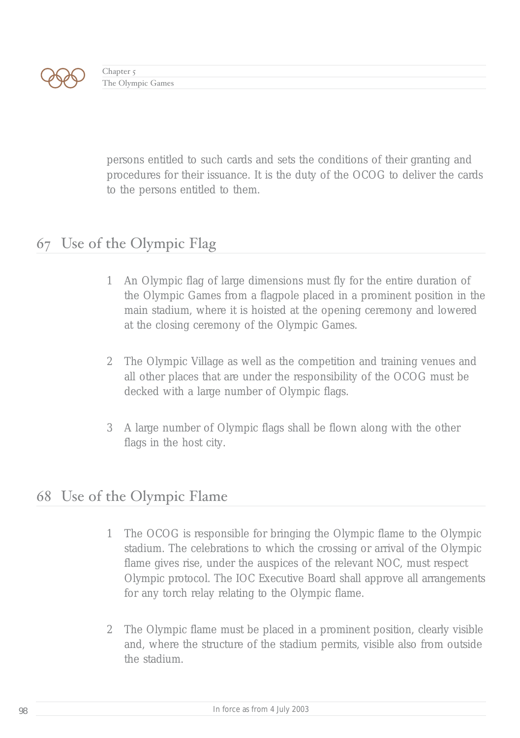Chapter<sub>5</sub> The Olympic Games

persons entitled to such cards and sets the conditions of their granting and procedures for their issuance. It is the duty of the OCOG to deliver the cards to the persons entitled to them.

# 67 Use of the Olympic Flag

- 1 An Olympic flag of large dimensions must fly for the entire duration of the Olympic Games from a flagpole placed in a prominent position in the main stadium, where it is hoisted at the opening ceremony and lowered at the closing ceremony of the Olympic Games.
- 2 The Olympic Village as well as the competition and training venues and all other places that are under the responsibility of the OCOG must be decked with a large number of Olympic flags.
- 3 A large number of Olympic flags shall be flown along with the other flags in the host city.

#### 68 Use of the Olympic Flame

- 1 The OCOG is responsible for bringing the Olympic flame to the Olympic stadium. The celebrations to which the crossing or arrival of the Olympic flame gives rise, under the auspices of the relevant NOC, must respect Olympic protocol. The IOC Executive Board shall approve all arrangements for any torch relay relating to the Olympic flame.
- 2 The Olympic flame must be placed in a prominent position, clearly visible and, where the structure of the stadium permits, visible also from outside the stadium.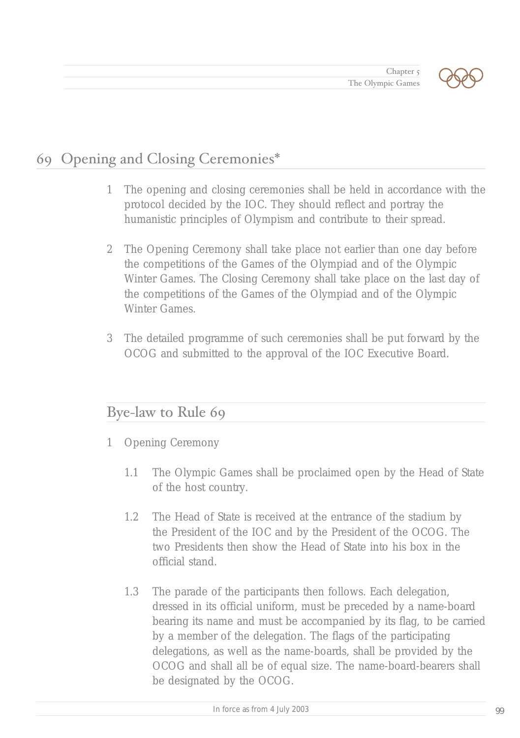

# 69 Opening and Closing Ceremonies\*

- 1 The opening and closing ceremonies shall be held in accordance with the protocol decided by the IOC. They should reflect and portray the humanistic principles of Olympism and contribute to their spread.
- 2 The Opening Ceremony shall take place not earlier than one day before the competitions of the Games of the Olympiad and of the Olympic Winter Games. The Closing Ceremony shall take place on the last day of the competitions of the Games of the Olympiad and of the Olympic Winter Games
- 3 The detailed programme of such ceremonies shall be put forward by the OCOG and submitted to the approval of the IOC Executive Board.

- 1 Opening Ceremony
	- 1.1 The Olympic Games shall be proclaimed open by the Head of State of the host country.
	- 1.2 The Head of State is received at the entrance of the stadium by the President of the IOC and by the President of the OCOG. The two Presidents then show the Head of State into his box in the official stand.
	- 1.3 The parade of the participants then follows. Each delegation, dressed in its official uniform, must be preceded by a name-board bearing its name and must be accompanied by its flag, to be carried by a member of the delegation. The flags of the participating delegations, as well as the name-boards, shall be provided by the OCOG and shall all be of equal size. The name-board-bearers shall be designated by the OCOG.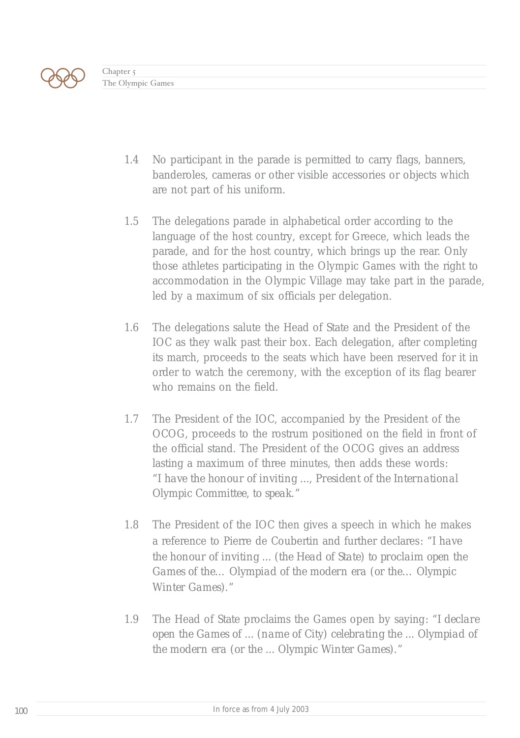

- 1.5 The delegations parade in alphabetical order according to the language of the host country, except for Greece, which leads the parade, and for the host country, which brings up the rear. Only those athletes participating in the Olympic Games with the right to accommodation in the Olympic Village may take part in the parade, led by a maximum of six officials per delegation.
- 1.6 The delegations salute the Head of State and the President of the IOC as they walk past their box. Each delegation, after completing its march, proceeds to the seats which have been reserved for it in order to watch the ceremony, with the exception of its flag bearer who remains on the field.
- 1.7 The President of the IOC, accompanied by the President of the OCOG, proceeds to the rostrum positioned on the field in front of the official stand. The President of the OCOG gives an address lasting a maximum of three minutes, then adds these words: *"I have the honour of inviting ..., President of the International Olympic Committee, to speak."*
- 1.8 The President of the IOC then gives a speech in which he makes a reference to Pierre de Coubertin and further declares: *"I have the honour of inviting ... (the Head of State) to proclaim open the Games of the… Olympiad of the modern era (or the… Olympic Winter Games)."*
- 1.9 The Head of State proclaims the Games open by saying: *"I declare open the Games of ... (name of City) celebrating the ... Olympiad of the modern era (or the ... Olympic Winter Games)."*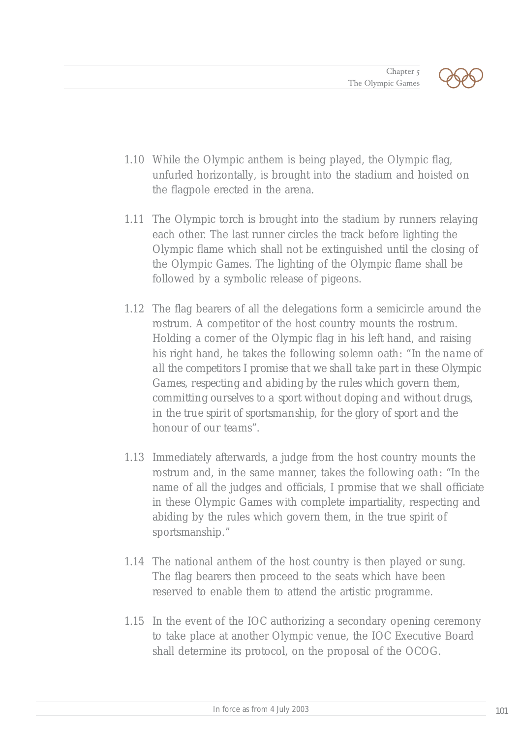

- 1.10 While the Olympic anthem is being played, the Olympic flag, unfurled horizontally, is brought into the stadium and hoisted on the flagpole erected in the arena.
- 1.11 The Olympic torch is brought into the stadium by runners relaying each other. The last runner circles the track before lighting the Olympic flame which shall not be extinguished until the closing of the Olympic Games. The lighting of the Olympic flame shall be followed by a symbolic release of pigeons.
- 1.12 The flag bearers of all the delegations form a semicircle around the rostrum. A competitor of the host country mounts the rostrum. Holding a corner of the Olympic flag in his left hand, and raising his right hand, he takes the following solemn oath: *"In the name of all the competitors I promise that we shall take part in these Olympic Games, respecting and abiding by the rules which govern them, committing ourselves to a sport without doping and without drugs, in the true spirit of sportsmanship, for the glory of sport and the honour of our teams".*
- 1.13 Immediately afterwards, a judge from the host country mounts the rostrum and, in the same manner, takes the following oath: "In the name of all the judges and officials, I promise that we shall officiate in these Olympic Games with complete impartiality, respecting and abiding by the rules which govern them, in the true spirit of sportsmanship."
- 1.14 The national anthem of the host country is then played or sung. The flag bearers then proceed to the seats which have been reserved to enable them to attend the artistic programme.
- 1.15 In the event of the IOC authorizing a secondary opening ceremony to take place at another Olympic venue, the IOC Executive Board shall determine its protocol, on the proposal of the OCOG.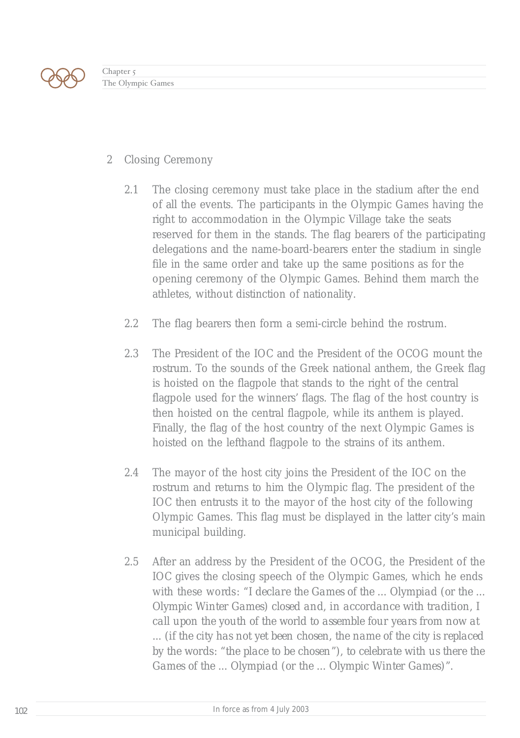#### 2 Closing Ceremony

- 2.1 The closing ceremony must take place in the stadium after the end of all the events. The participants in the Olympic Games having the right to accommodation in the Olympic Village take the seats reserved for them in the stands. The flag bearers of the participating delegations and the name-board-bearers enter the stadium in single file in the same order and take up the same positions as for the opening ceremony of the Olympic Games. Behind them march the athletes, without distinction of nationality.
- 2.2 The flag bearers then form a semi-circle behind the rostrum.
- 2.3 The President of the IOC and the President of the OCOG mount the rostrum. To the sounds of the Greek national anthem, the Greek flag is hoisted on the flagpole that stands to the right of the central flagpole used for the winners' flags. The flag of the host country is then hoisted on the central flagpole, while its anthem is played. Finally, the flag of the host country of the next Olympic Games is hoisted on the lefthand flagpole to the strains of its anthem.
- 2.4 The mayor of the host city joins the President of the IOC on the rostrum and returns to him the Olympic flag. The president of the IOC then entrusts it to the mayor of the host city of the following Olympic Games. This flag must be displayed in the latter city's main municipal building.
- 2.5 After an address by the President of the OCOG, the President of the IOC gives the closing speech of the Olympic Games, which he ends with these words: *"I declare the Games of the ... Olympiad (or the ... Olympic Winter Games) closed and, in accordance with tradition, I call upon the youth of the world to assemble four years from now at ... (if the city has not yet been chosen, the name of the city is replaced by the words: "the place to be chosen"), to celebrate with us there the Games of the ... Olympiad (or the ... Olympic Winter Games)".*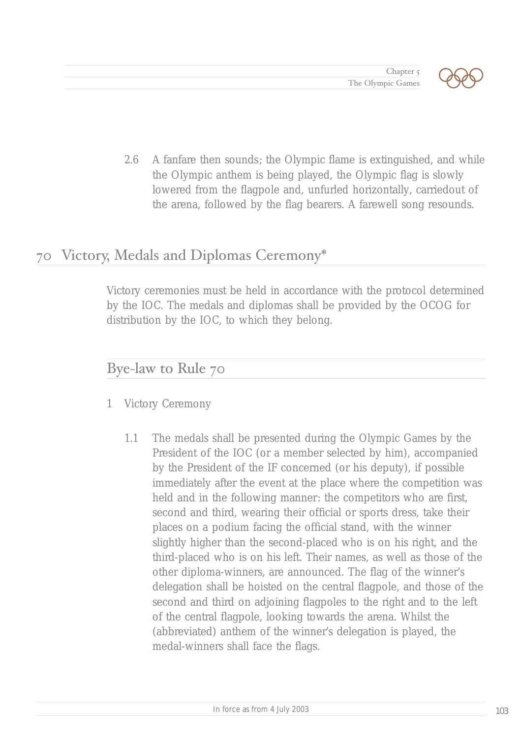

2.6 A fanfare then sounds; the Olympic flame is extinguished, and while the Olympic anthem is being played, the Olympic flag is slowly lowered from the flagpole and, unfurled horizontally, carriedout of the arena, followed by the flag bearers. A farewell song resounds.

# 70 Victory, Medals and Diplomas Ceremony\*

Victory ceremonies must be held in accordance with the protocol determined by the IOC. The medals and diplomas shall be provided by the OCOG for distribution by the IOC, to which they belong.

- 1 Victory Ceremony
	- 1.1 The medals shall be presented during the Olympic Games by the President of the IOC (or a member selected by him), accompanied by the President of the IF concerned (or his deputy), if possible immediately after the event at the place where the competition was held and in the following manner: the competitors who are first, second and third, wearing their official or sports dress, take their places on a podium facing the official stand, with the winner slightly higher than the second-placed who is on his right, and the third-placed who is on his left. Their names, as well as those of the other diploma-winners, are announced. The flag of the winner's delegation shall be hoisted on the central flagpole, and those of the second and third on adjoining flagpoles to the right and to the left of the central flagpole, looking towards the arena. Whilst the (abbreviated) anthem of the winner's delegation is played, the medal-winners shall face the flags.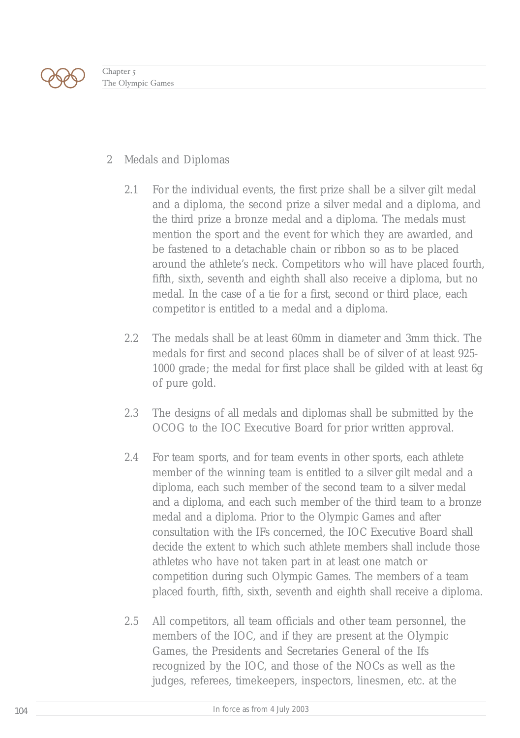

- 2.1 For the individual events, the first prize shall be a silver gilt medal and a diploma, the second prize a silver medal and a diploma, and the third prize a bronze medal and a diploma. The medals must mention the sport and the event for which they are awarded, and be fastened to a detachable chain or ribbon so as to be placed around the athlete's neck. Competitors who will have placed fourth, fifth, sixth, seventh and eighth shall also receive a diploma, but no medal. In the case of a tie for a first, second or third place, each competitor is entitled to a medal and a diploma.
- 2.2 The medals shall be at least 60mm in diameter and 3mm thick. The medals for first and second places shall be of silver of at least 925- 1000 grade; the medal for first place shall be gilded with at least 6g of pure gold.
- 2.3 The designs of all medals and diplomas shall be submitted by the OCOG to the IOC Executive Board for prior written approval.
- 2.4 For team sports, and for team events in other sports, each athlete member of the winning team is entitled to a silver gilt medal and a diploma, each such member of the second team to a silver medal and a diploma, and each such member of the third team to a bronze medal and a diploma. Prior to the Olympic Games and after consultation with the IFs concerned, the IOC Executive Board shall decide the extent to which such athlete members shall include those athletes who have not taken part in at least one match or competition during such Olympic Games. The members of a team placed fourth, fifth, sixth, seventh and eighth shall receive a diploma.
- 2.5 All competitors, all team officials and other team personnel, the members of the IOC, and if they are present at the Olympic Games, the Presidents and Secretaries General of the Ifs recognized by the IOC, and those of the NOCs as well as the judges, referees, timekeepers, inspectors, linesmen, etc. at the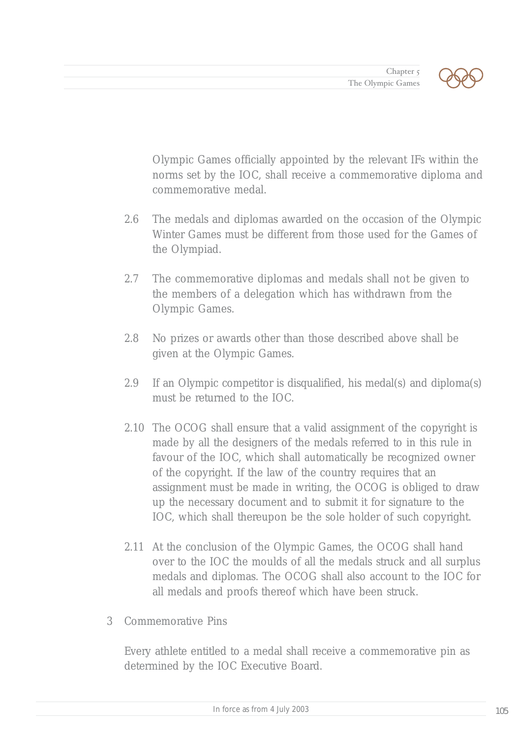

Olympic Games officially appointed by the relevant IFs within the norms set by the IOC, shall receive a commemorative diploma and commemorative medal.

- 2.6 The medals and diplomas awarded on the occasion of the Olympic Winter Games must be different from those used for the Games of the Olympiad.
- 2.7 The commemorative diplomas and medals shall not be given to the members of a delegation which has withdrawn from the Olympic Games.
- 2.8 No prizes or awards other than those described above shall be given at the Olympic Games.
- 2.9 If an Olympic competitor is disqualified, his medal(s) and diploma(s) must be returned to the IOC.
- 2.10 The OCOG shall ensure that a valid assignment of the copyright is made by all the designers of the medals referred to in this rule in favour of the IOC, which shall automatically be recognized owner of the copyright. If the law of the country requires that an assignment must be made in writing, the OCOG is obliged to draw up the necessary document and to submit it for signature to the IOC, which shall thereupon be the sole holder of such copyright.
- 2.11 At the conclusion of the Olympic Games, the OCOG shall hand over to the IOC the moulds of all the medals struck and all surplus medals and diplomas. The OCOG shall also account to the IOC for all medals and proofs thereof which have been struck.
- 3 Commemorative Pins

Every athlete entitled to a medal shall receive a commemorative pin as determined by the IOC Executive Board.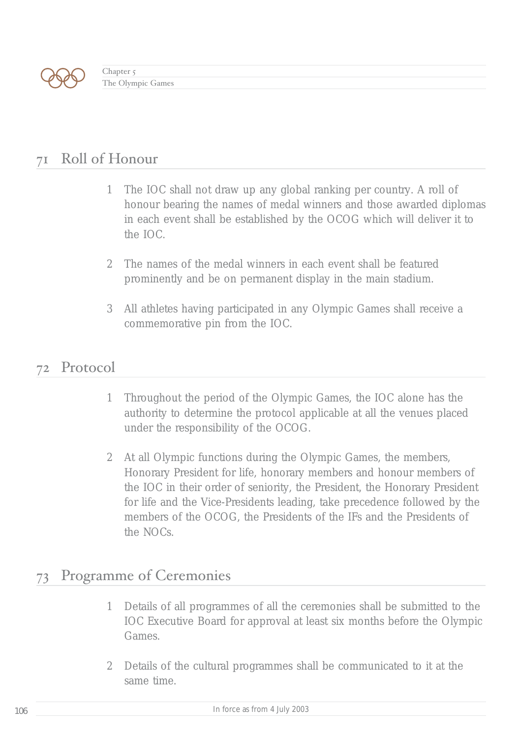## 71 Roll of Honour

- 1 The IOC shall not draw up any global ranking per country. A roll of honour bearing the names of medal winners and those awarded diplomas in each event shall be established by the OCOG which will deliver it to the IOC.
- 2 The names of the medal winners in each event shall be featured prominently and be on permanent display in the main stadium.
- 3 All athletes having participated in any Olympic Games shall receive a commemorative pin from the IOC.

### 72 Protocol

- 1 Throughout the period of the Olympic Games, the IOC alone has the authority to determine the protocol applicable at all the venues placed under the responsibility of the OCOG.
- 2 At all Olympic functions during the Olympic Games, the members, Honorary President for life, honorary members and honour members of the IOC in their order of seniority, the President, the Honorary President for life and the Vice-Presidents leading, take precedence followed by the members of the OCOG, the Presidents of the IFs and the Presidents of the NOCs.

# 73 Programme of Ceremonies

- 1 Details of all programmes of all the ceremonies shall be submitted to the IOC Executive Board for approval at least six months before the Olympic Games.
- 2 Details of the cultural programmes shall be communicated to it at the same time.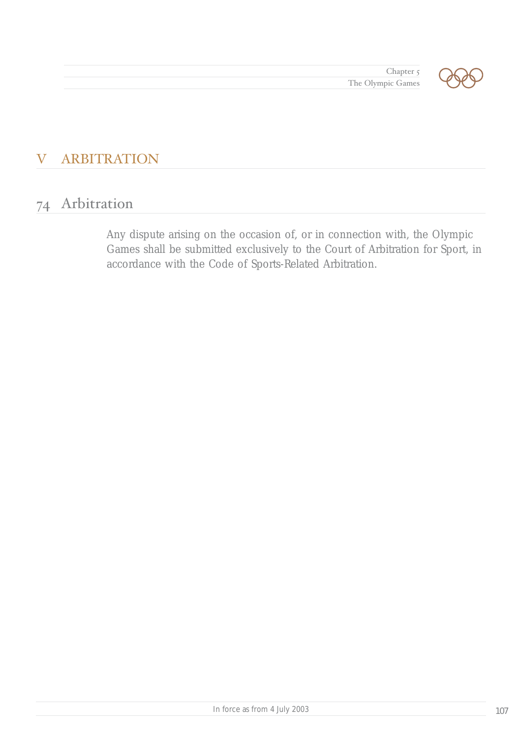



# V ARBITRATION

# 74 Arbitration

Any dispute arising on the occasion of, or in connection with, the Olympic Games shall be submitted exclusively to the Court of Arbitration for Sport, in accordance with the Code of Sports-Related Arbitration.